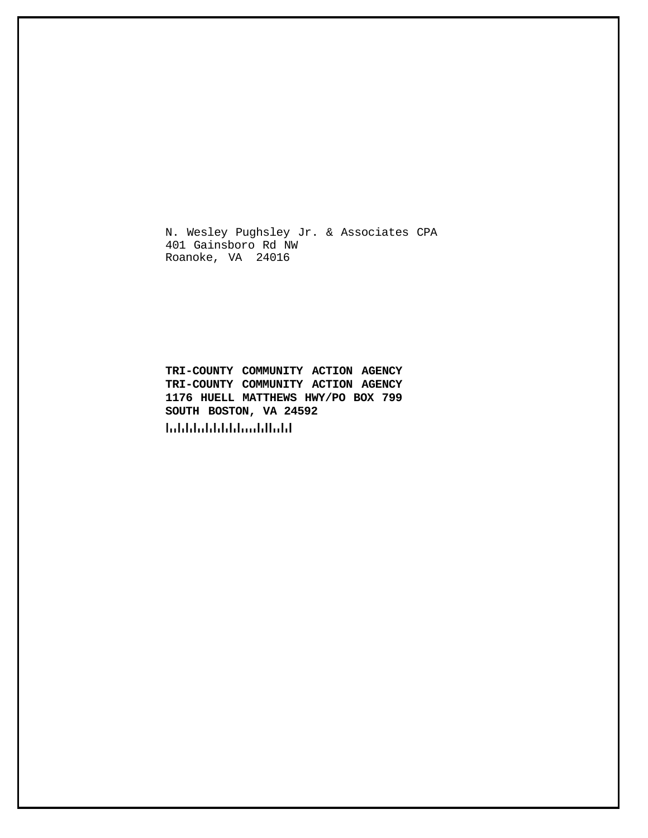N. Wesley Pughsley Jr. & Associates CPA 401 Gainsboro Rd NW Roanoke, VA 24016

**TRI-COUNTY COMMUNITY ACTION AGENCY TRI-COUNTY COMMUNITY ACTION AGENCY 1176 HUELL MATTHEWS HWY/PO BOX 799 SOUTH BOSTON, VA 24592**Inhibitibilibilibilibili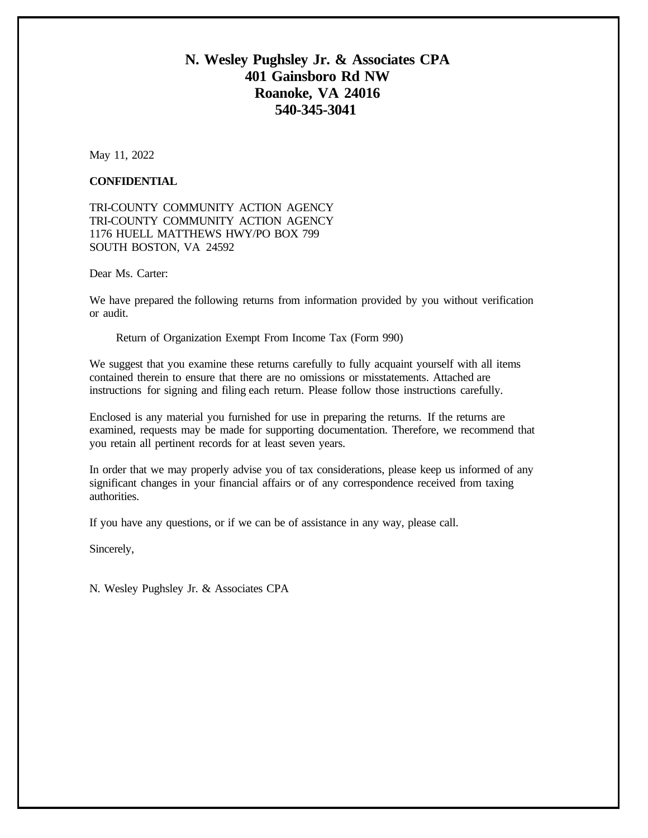## **N. Wesley Pughsley Jr. & Associates CPA 401 Gainsboro Rd NW Roanoke, VA 24016 540-345-3041**

May 11, 2022

#### **CONFIDENTIAL**

TRI-COUNTY COMMUNITY ACTION AGENCY TRI-COUNTY COMMUNITY ACTION AGENCY 1176 HUELL MATTHEWS HWY/PO BOX 799 SOUTH BOSTON, VA 24592

Dear Ms. Carter:

We have prepared the following returns from information provided by you without verification or audit.

Return of Organization Exempt From Income Tax (Form 990)

We suggest that you examine these returns carefully to fully acquaint yourself with all items contained therein to ensure that there are no omissions or misstatements. Attached are instructions for signing and filing each return. Please follow those instructions carefully.

Enclosed is any material you furnished for use in preparing the returns. If the returns are examined, requests may be made for supporting documentation. Therefore, we recommend that you retain all pertinent records for at least seven years.

In order that we may properly advise you of tax considerations, please keep us informed of any significant changes in your financial affairs or of any correspondence received from taxing authorities.

If you have any questions, or if we can be of assistance in any way, please call.

Sincerely,

N. Wesley Pughsley Jr. & Associates CPA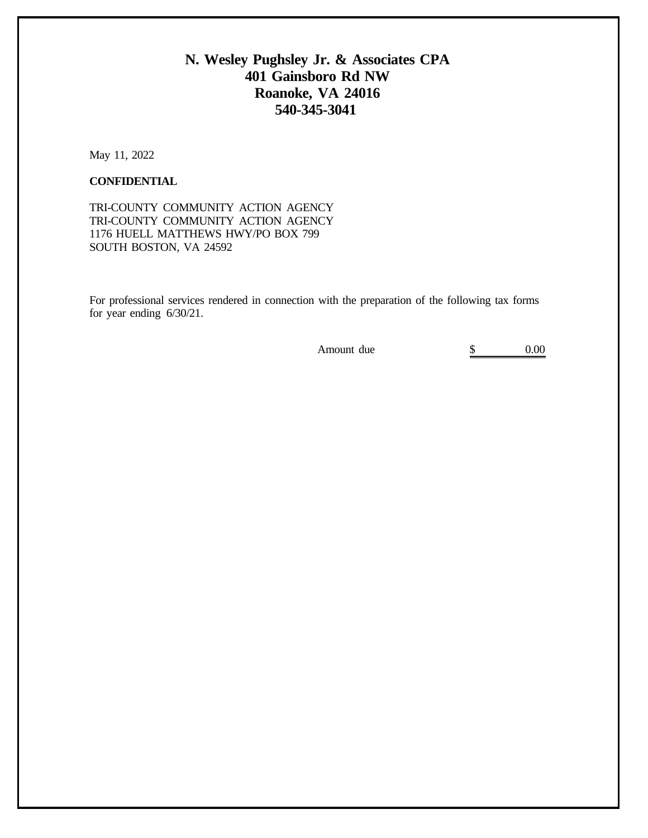## **N. Wesley Pughsley Jr. & Associates CPA 401 Gainsboro Rd NW Roanoke, VA 24016 540-345-3041**

May 11, 2022

#### **CONFIDENTIAL**

TRI-COUNTY COMMUNITY ACTION AGENCY TRI-COUNTY COMMUNITY ACTION AGENCY 1176 HUELL MATTHEWS HWY/PO BOX 799 SOUTH BOSTON, VA 24592

For professional services rendered in connection with the preparation of the following tax forms for year ending 6/30/21.

Amount due  $\qquad \qquad \frac{1}{5}$  0.00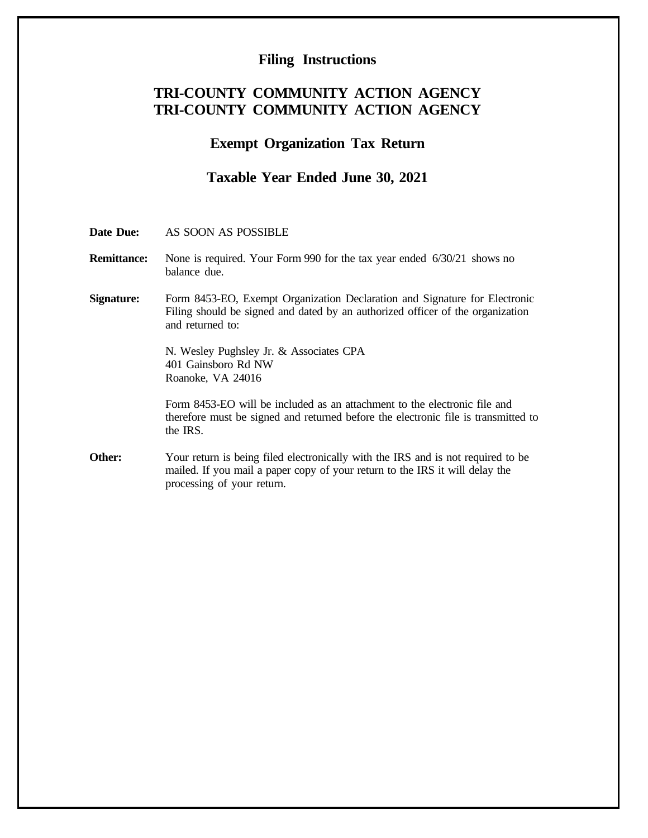## **Filing Instructions**

## **TRI-COUNTY COMMUNITY ACTION AGENCY TRI-COUNTY COMMUNITY ACTION AGENCY**

## **Exempt Organization Tax Return**

**Taxable Year Ended June 30, 2021**

**Date Due:** AS SOON AS POSSIBLE

**Remittance:** None is required. Your Form 990 for the tax year ended 6/30/21 shows no balance due.

**Signature:** Form 8453-EO, Exempt Organization Declaration and Signature for Electronic Filing should be signed and dated by an authorized officer of the organization and returned to:

> N. Wesley Pughsley Jr. & Associates CPA 401 Gainsboro Rd NW Roanoke, VA 24016

Form 8453-EO will be included as an attachment to the electronic file and therefore must be signed and returned before the electronic file is transmitted to the IRS.

**Other:** Your return is being filed electronically with the IRS and is not required to be mailed. If you mail a paper copy of your return to the IRS it will delay the processing of your return.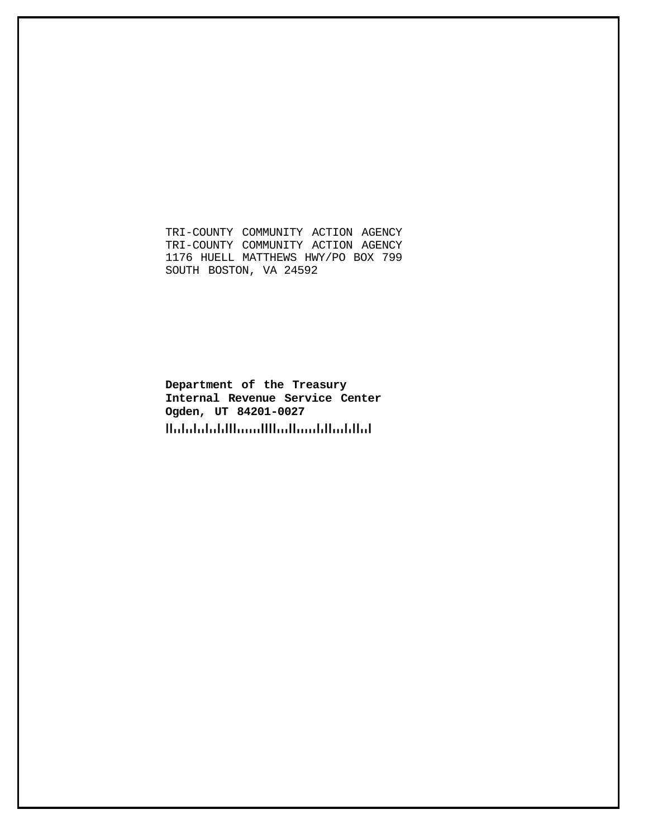TRI-COUNTY COMMUNITY ACTION AGENCY TRI-COUNTY COMMUNITY ACTION AGENCY 1176 HUELL MATTHEWS HWY/PO BOX 799 SOUTH BOSTON, VA 24592

**Department of the Treasury Internal Revenue Service Center Ogden, UT 84201-0027**Halalalalillinnilllinillinillinillinlili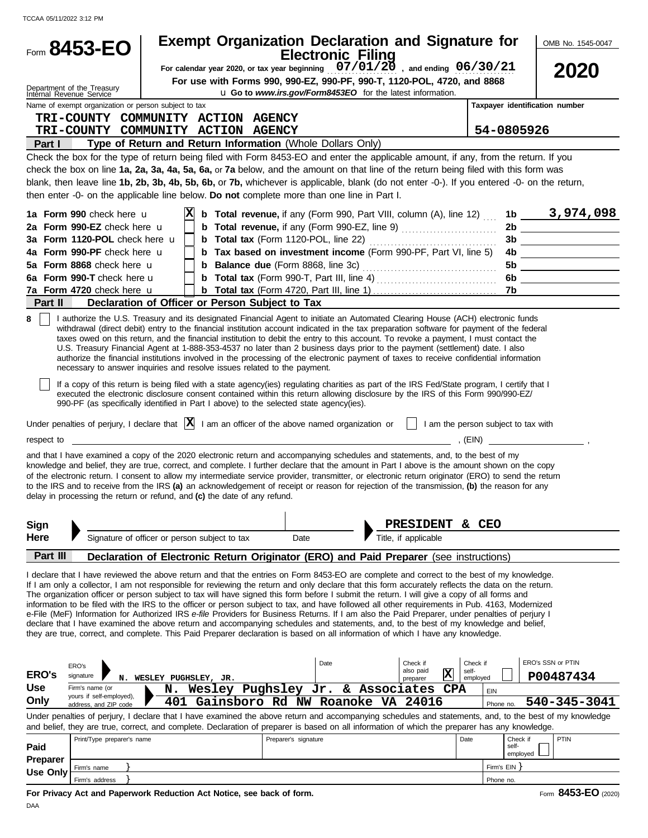|                 | Form 8453-EO                                             | <b>Exempt Organization Declaration and Signature for</b>                                                                                                                                                                                                                                                                                                                                                                                                                                                                                                                                                                                                                                                                                                                                                                                                                                                                                                                                                                                                                                                                      |                                                            |                          |    |                                   |                                    |                          | OMB No. 1545-0047                                                                                                |
|-----------------|----------------------------------------------------------|-------------------------------------------------------------------------------------------------------------------------------------------------------------------------------------------------------------------------------------------------------------------------------------------------------------------------------------------------------------------------------------------------------------------------------------------------------------------------------------------------------------------------------------------------------------------------------------------------------------------------------------------------------------------------------------------------------------------------------------------------------------------------------------------------------------------------------------------------------------------------------------------------------------------------------------------------------------------------------------------------------------------------------------------------------------------------------------------------------------------------------|------------------------------------------------------------|--------------------------|----|-----------------------------------|------------------------------------|--------------------------|------------------------------------------------------------------------------------------------------------------|
|                 |                                                          |                                                                                                                                                                                                                                                                                                                                                                                                                                                                                                                                                                                                                                                                                                                                                                                                                                                                                                                                                                                                                                                                                                                               |                                                            | <b>Electronic Filing</b> |    |                                   |                                    |                          |                                                                                                                  |
|                 |                                                          | For calendar year 2020, or tax year beginning $07/01/20$ , and ending $06/30/21$<br>For use with Forms 990, 990-EZ, 990-PF, 990-T, 1120-POL, 4720, and 8868                                                                                                                                                                                                                                                                                                                                                                                                                                                                                                                                                                                                                                                                                                                                                                                                                                                                                                                                                                   |                                                            |                          |    |                                   |                                    |                          | 2020                                                                                                             |
|                 | Department of the Treasury<br>Internal Revenue Service   |                                                                                                                                                                                                                                                                                                                                                                                                                                                                                                                                                                                                                                                                                                                                                                                                                                                                                                                                                                                                                                                                                                                               | u Go to www.irs.gov/Form8453EO for the latest information. |                          |    |                                   |                                    |                          |                                                                                                                  |
|                 | Name of exempt organization or person subject to tax     |                                                                                                                                                                                                                                                                                                                                                                                                                                                                                                                                                                                                                                                                                                                                                                                                                                                                                                                                                                                                                                                                                                                               |                                                            |                          |    |                                   |                                    |                          | Taxpayer identification number                                                                                   |
|                 |                                                          | TRI-COUNTY COMMUNITY ACTION AGENCY                                                                                                                                                                                                                                                                                                                                                                                                                                                                                                                                                                                                                                                                                                                                                                                                                                                                                                                                                                                                                                                                                            |                                                            |                          |    |                                   |                                    |                          |                                                                                                                  |
|                 |                                                          | TRI-COUNTY COMMUNITY ACTION AGENCY                                                                                                                                                                                                                                                                                                                                                                                                                                                                                                                                                                                                                                                                                                                                                                                                                                                                                                                                                                                                                                                                                            |                                                            |                          |    |                                   |                                    | 54-0805926               |                                                                                                                  |
| Part I          |                                                          | Type of Return and Return Information (Whole Dollars Only)                                                                                                                                                                                                                                                                                                                                                                                                                                                                                                                                                                                                                                                                                                                                                                                                                                                                                                                                                                                                                                                                    |                                                            |                          |    |                                   |                                    |                          |                                                                                                                  |
|                 |                                                          | Check the box for the type of return being filed with Form 8453-EO and enter the applicable amount, if any, from the return. If you                                                                                                                                                                                                                                                                                                                                                                                                                                                                                                                                                                                                                                                                                                                                                                                                                                                                                                                                                                                           |                                                            |                          |    |                                   |                                    |                          |                                                                                                                  |
|                 |                                                          | check the box on line 1a, 2a, 3a, 4a, 5a, 6a, or 7a below, and the amount on that line of the return being filed with this form was                                                                                                                                                                                                                                                                                                                                                                                                                                                                                                                                                                                                                                                                                                                                                                                                                                                                                                                                                                                           |                                                            |                          |    |                                   |                                    |                          |                                                                                                                  |
|                 |                                                          | blank, then leave line 1b, 2b, 3b, 4b, 5b, 6b, or 7b, whichever is applicable, blank (do not enter -0-). If you entered -0- on the return,                                                                                                                                                                                                                                                                                                                                                                                                                                                                                                                                                                                                                                                                                                                                                                                                                                                                                                                                                                                    |                                                            |                          |    |                                   |                                    |                          |                                                                                                                  |
|                 |                                                          | then enter -0- on the applicable line below. Do not complete more than one line in Part I.                                                                                                                                                                                                                                                                                                                                                                                                                                                                                                                                                                                                                                                                                                                                                                                                                                                                                                                                                                                                                                    |                                                            |                          |    |                                   |                                    |                          |                                                                                                                  |
|                 | 1a Form 990 check here u                                 |                                                                                                                                                                                                                                                                                                                                                                                                                                                                                                                                                                                                                                                                                                                                                                                                                                                                                                                                                                                                                                                                                                                               |                                                            |                          |    |                                   |                                    |                          | <b>b</b> Total revenue, if any (Form 990, Part VIII, column (A), line 12) $\ldots$ 1b $\frac{3,974,098}{\ldots}$ |
|                 | 2a Form 990-EZ check here u                              |                                                                                                                                                                                                                                                                                                                                                                                                                                                                                                                                                                                                                                                                                                                                                                                                                                                                                                                                                                                                                                                                                                                               |                                                            |                          |    |                                   |                                    |                          |                                                                                                                  |
|                 | 3a Form 1120-POL check here u                            |                                                                                                                                                                                                                                                                                                                                                                                                                                                                                                                                                                                                                                                                                                                                                                                                                                                                                                                                                                                                                                                                                                                               |                                                            |                          |    |                                   |                                    |                          |                                                                                                                  |
|                 | 4a Form 990-PF check here u<br>5a Form 8868 check here u | b Tax based on investment income (Form 990-PF, Part VI, line 5)                                                                                                                                                                                                                                                                                                                                                                                                                                                                                                                                                                                                                                                                                                                                                                                                                                                                                                                                                                                                                                                               |                                                            |                          |    |                                   |                                    |                          | $\overline{\mathbf{a}}$ $\overline{\mathbf{b}}$                                                                  |
|                 | 6a Form 990-T check here u                               |                                                                                                                                                                                                                                                                                                                                                                                                                                                                                                                                                                                                                                                                                                                                                                                                                                                                                                                                                                                                                                                                                                                               |                                                            |                          |    |                                   |                                    |                          |                                                                                                                  |
|                 | 7a Form 4720 check here u                                |                                                                                                                                                                                                                                                                                                                                                                                                                                                                                                                                                                                                                                                                                                                                                                                                                                                                                                                                                                                                                                                                                                                               |                                                            |                          |    |                                   |                                    |                          | 7b                                                                                                               |
| Part II         |                                                          | Declaration of Officer or Person Subject to Tax                                                                                                                                                                                                                                                                                                                                                                                                                                                                                                                                                                                                                                                                                                                                                                                                                                                                                                                                                                                                                                                                               |                                                            |                          |    |                                   |                                    |                          |                                                                                                                  |
|                 |                                                          | withdrawal (direct debit) entry to the financial institution account indicated in the tax preparation software for payment of the federal<br>taxes owed on this return, and the financial institution to debit the entry to this account. To revoke a payment, I must contact the<br>U.S. Treasury Financial Agent at 1-888-353-4537 no later than 2 business days prior to the payment (settlement) date. I also<br>authorize the financial institutions involved in the processing of the electronic payment of taxes to receive confidential information<br>necessary to answer inquiries and resolve issues related to the payment.                                                                                                                                                                                                                                                                                                                                                                                                                                                                                       |                                                            |                          |    |                                   |                                    |                          |                                                                                                                  |
|                 |                                                          | If a copy of this return is being filed with a state agency(ies) regulating charities as part of the IRS Fed/State program, I certify that I<br>executed the electronic disclosure consent contained within this return allowing disclosure by the IRS of this Form 990/990-EZ/<br>990-PF (as specifically identified in Part I above) to the selected state agency(ies).                                                                                                                                                                                                                                                                                                                                                                                                                                                                                                                                                                                                                                                                                                                                                     |                                                            |                          |    |                                   |                                    |                          |                                                                                                                  |
| respect to      |                                                          | Under penalties of perjury, I declare that $\mathbf{X}$ I am an officer of the above named organization or $\ \cdot\ $ I am the person subject to tax with<br>$\sim$ (EIN) $\sim$ (EIN) $\sim$ , (EIN) $\sim$                                                                                                                                                                                                                                                                                                                                                                                                                                                                                                                                                                                                                                                                                                                                                                                                                                                                                                                 |                                                            |                          |    |                                   |                                    |                          |                                                                                                                  |
|                 |                                                          | and that I have examined a copy of the 2020 electronic return and accompanying schedules and statements, and, to the best of my<br>knowledge and belief, they are true, correct, and complete. I further declare that the amount in Part I above is the amount shown on the copy<br>of the electronic return. I consent to allow my intermediate service provider, transmitter, or electronic return originator (ERO) to send the return<br>to the IRS and to receive from the IRS (a) an acknowledgement of receipt or reason for rejection of the transmission, (b) the reason for any<br>delay in processing the return or refund, and (c) the date of any refund.                                                                                                                                                                                                                                                                                                                                                                                                                                                         |                                                            |                          |    |                                   |                                    |                          |                                                                                                                  |
| <b>Sign</b>     |                                                          |                                                                                                                                                                                                                                                                                                                                                                                                                                                                                                                                                                                                                                                                                                                                                                                                                                                                                                                                                                                                                                                                                                                               |                                                            |                          |    | <b>PRESIDENT</b>                  | & CEO                              |                          |                                                                                                                  |
| Here            |                                                          | Signature of officer or person subject to tax                                                                                                                                                                                                                                                                                                                                                                                                                                                                                                                                                                                                                                                                                                                                                                                                                                                                                                                                                                                                                                                                                 | Date                                                       |                          |    | Title, if applicable              |                                    |                          |                                                                                                                  |
| Part III        |                                                          |                                                                                                                                                                                                                                                                                                                                                                                                                                                                                                                                                                                                                                                                                                                                                                                                                                                                                                                                                                                                                                                                                                                               |                                                            |                          |    |                                   |                                    |                          |                                                                                                                  |
|                 |                                                          | Declaration of Electronic Return Originator (ERO) and Paid Preparer (see instructions)<br>I declare that I have reviewed the above return and that the entries on Form 8453-EO are complete and correct to the best of my knowledge.<br>If I am only a collector, I am not responsible for reviewing the return and only declare that this form accurately reflects the data on the return.<br>The organization officer or person subject to tax will have signed this form before I submit the return. I will give a copy of all forms and<br>information to be filed with the IRS to the officer or person subject to tax, and have followed all other requirements in Pub. 4163, Modernized<br>e-File (MeF) Information for Authorized IRS e-file Providers for Business Returns. If I am also the Paid Preparer, under penalties of perjury I<br>declare that I have examined the above return and accompanying schedules and statements, and, to the best of my knowledge and belief,<br>they are true, correct, and complete. This Paid Preparer declaration is based on all information of which I have any knowledge. |                                                            |                          |    |                                   |                                    |                          |                                                                                                                  |
| <b>ERO's</b>    | ERO's<br>signature                                       | N. WESLEY PUGHSLEY, JR.                                                                                                                                                                                                                                                                                                                                                                                                                                                                                                                                                                                                                                                                                                                                                                                                                                                                                                                                                                                                                                                                                                       |                                                            | Date                     |    | Check if<br>also paid<br>preparer | Check if<br>self-<br>x<br>employed |                          | ERO's SSN or PTIN<br>P00487434                                                                                   |
| <b>Use</b>      | Firm's name (or<br>yours if self-employed),              | Wesley Pughsley Jr.<br>N.                                                                                                                                                                                                                                                                                                                                                                                                                                                                                                                                                                                                                                                                                                                                                                                                                                                                                                                                                                                                                                                                                                     |                                                            |                          |    | & Associates                      | <b>CPA</b>                         | EIN                      |                                                                                                                  |
| Only            | address, and ZIP code                                    | Gainsboro Rd NW Roanoke<br>401                                                                                                                                                                                                                                                                                                                                                                                                                                                                                                                                                                                                                                                                                                                                                                                                                                                                                                                                                                                                                                                                                                |                                                            |                          | VA | 24016                             |                                    | Phone no.                | 540-345-3041                                                                                                     |
|                 |                                                          | Under penalties of perjury, I declare that I have examined the above return and accompanying schedules and statements, and, to the best of my knowledge<br>and belief, they are true, correct, and complete. Declaration of preparer is based on all information of which the preparer has any knowledge.                                                                                                                                                                                                                                                                                                                                                                                                                                                                                                                                                                                                                                                                                                                                                                                                                     |                                                            |                          |    |                                   |                                    |                          |                                                                                                                  |
| Paid            | Print/Type preparer's name                               |                                                                                                                                                                                                                                                                                                                                                                                                                                                                                                                                                                                                                                                                                                                                                                                                                                                                                                                                                                                                                                                                                                                               | Preparer's signature                                       |                          |    |                                   | Date                               | Check if<br>self-        | <b>PTIN</b>                                                                                                      |
| <b>Preparer</b> | Firm's name                                              |                                                                                                                                                                                                                                                                                                                                                                                                                                                                                                                                                                                                                                                                                                                                                                                                                                                                                                                                                                                                                                                                                                                               |                                                            |                          |    |                                   |                                    | employed<br>Firm's EIN } |                                                                                                                  |
| <b>Use Only</b> | Firm's address                                           |                                                                                                                                                                                                                                                                                                                                                                                                                                                                                                                                                                                                                                                                                                                                                                                                                                                                                                                                                                                                                                                                                                                               |                                                            |                          |    |                                   |                                    | Phone no.                |                                                                                                                  |
|                 |                                                          |                                                                                                                                                                                                                                                                                                                                                                                                                                                                                                                                                                                                                                                                                                                                                                                                                                                                                                                                                                                                                                                                                                                               |                                                            |                          |    |                                   |                                    |                          |                                                                                                                  |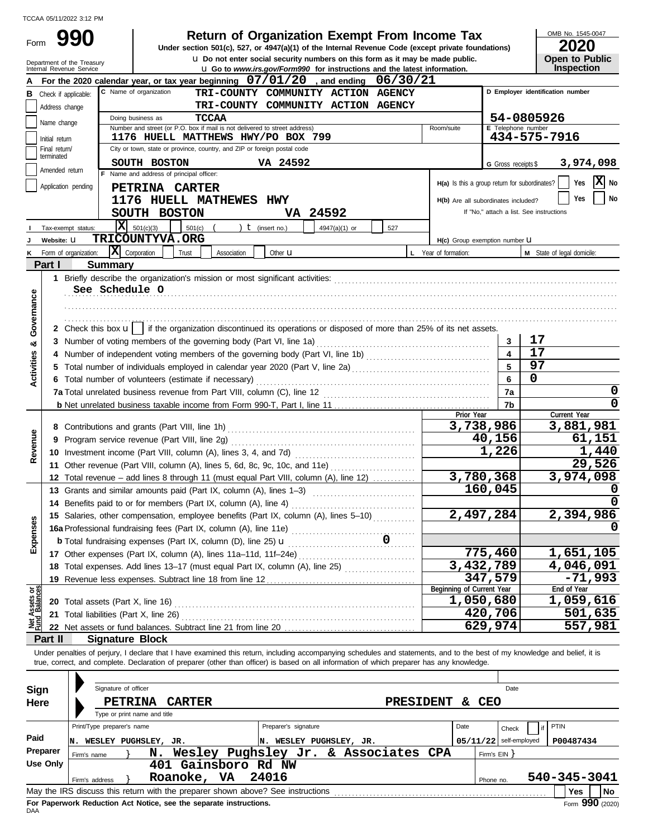#### **17** Other expenses (Part IX, column (A), lines 11a–11d, 11f–24e) .................................. Total expenses. Add lines 13–17 (must equal Part IX, column (A), line 25) . . . . . . . . . . . . . . . . . . . . **18** G Gross receipts \$ Check if applicable: **For the 2020 calendar year, or tax year beginning A , and ending 07/01/20 06/30/21** Application pending City or town, state or province, country, and ZIP or foreign postal code Amended return terminated Number and street (or P.O. box if mail is not delivered to street address) Room/suite Initial return Name change Address change C Name of organization **u** Go to *www.irs.gov/Form990* for instructions and the latest information. Department of the Treasury<br>Internal Revenue Service OMB No. 1545-0047 Form **Telephone number B** Check if applicable: C Name of organization TRI-COUNTY COMMUNITY ACTION AGENCY **Demployer identification number** u **Do not enter social security numbers on this form as it may be made public. Open to Public 990 2020 2010 2020 2020 2020 2020 2020 2020 2020 2020 2020 2020 2020 2020 2020 2020 Inspection** Doing business as Name and address of principal officer: **H(a)** Is this a group return for subordinates? **H(b)** Are all subordinates included? H(c) Group exemption number **U** If "No," attach a list. See instructions  $Y$ es  $\boxed{\mathbf{X}}$  No **Yes No I J K** Tax-exempt status: **Website:** u Form of organization: **t** (insert no.)  $\begin{array}{|c|c|c|c|c|} \hline \end{array}$  4947(a)(1) or  $\begin{array}{|c|c|c|c|c|c|} \hline \end{array}$  527 Trust **Association | Other u Corporation Corporation Corporation: <b>M** State of legal domicile: **Part I Summary 1** Briefly describe the organization's mission or most significant activities: . . . . . . . . . . . . . . . . . . . . . . . . . . . . . . . . . . . . . . . . . . . . . . . . . . . . . . . . . . . . . . . . . . . . . . . . . . . . . . . . **2** Check this box **u** | if the organization discontinued its operations or disposed of more than 25% of its net assets. **3** Number of voting members of the governing body (Part VI, line 1a) . . . . . . . . . . . . . . . . . . . . . . . . . . . . . . . . . . . . . . . . . . . . . . . . . **4** Number of independent voting members of the governing body (Part VI, line 1b) ............................... **5** Total number of individuals employed in calendar year 2020 (Part V, line 2a) . . . . . . . . . . . . . . . . . . . . . . . . . . . . . . . . . . . . . . . **6** Total number of volunteers (estimate if necessary) . . . . . . . . . . . . . . . . . . . . . . . . . . . . . . . . . . . . . . . . . . . . . . . . . . . . . . . . . . . . . . . . . . **7a** Total unrelated business revenue from Part VIII, column (C), line 12 . . . . . . . . . . . . . . . . . . . . . . . . . . . . . . . . . . . . . . . . . . . . . . . **b** Net unrelated business taxable income from Form 990-T, Part I, line 11 . . . . . . . . . . . . . . . . . . . . . . . . . . . . . . . . . . . . . . . . . . . . **7b 7a 6 5 4 3** . . . . . . . . . . . . . . . . . . . . . . . . . . . . . . . . . . . . . . . . . . . . . . . . . . . . . . . . . . . . . . . . . . . . . . . . . . . . . . . . . . . . . . . . . . . . . . . . . . . . . . . . . . . . . . . . . . . . . . . . . . . . . . . . . . . . . . . . . . . . . . . . . . . . . . . . . . . . **8** Contributions and grants (Part VIII, line 1h) . . . . . . . . . . . . . . . . . . . . . . . . . . . . . . . . . . . . . . . . . . . . . . . . . . . . . **9** Program service revenue (Part VIII, line 2g) . . . . . . . . . . . . . . . . . . . . . . . . . . . . . . . . . . . . . . . . . . . . . . . . . . . . **10** Investment income (Part VIII, column (A), lines 3, 4, and 7d) ................................. **11** Other revenue (Part VIII, column (A), lines 5, 6d, 8c, 9c, 10c, and 11e) **.................... 12** Total revenue – add lines 8 through 11 (must equal Part VIII, column (A), line 12) ............ **Prior Year Current Year 13** Grants and similar amounts paid (Part IX, column (A), lines 1–3) .............................. **14** Benefits paid to or for members (Part IX, column (A), line 4) . . . . . . . . . . . . . . . . . . . . . . . . . . . . . . . . . . . **15** Salaries, other compensation, employee benefits (Part IX, column (A), lines 5–10) **16a** Professional fundraising fees (Part IX, column (A), line 11e)<br> **16a** Professional fundraising fees (Part IX, column (A), line 11e)<br> **16** Total fundraising expenses (Part IX, column (D), line 25) **u b** Total fundraising expenses (Part IX, column (D), line 25) u . . . . . . . . . . . . . . . . . . . . . . . . . . . . . . . . . . . . **19** Revenue less expenses. Subtract line 18 from line 12 . . . . . . . . . . . . . . . . . . . . . . . . . . . . . . . . . . . . . . . . . . **20** Total assets (Part X, line 16) **21** Total liabilities (Part X, line 26) . . . . . . . . . . . . . . . . . . . . . . . . . . . . . . . . . . . . . . . . . . . . . . . . . . . . . . . . . . . . . . . . . . **22** Net assets or fund balances. Subtract line 21 from line 20 . . . . . . . . . . . . . . . . . . . . . . . . . . . . . . . . . . . . . **Beginning of Current Year End of Year Part II Signature Block** and a construction of the organization description of the generation of the point of the organization of the generation of the generation of the generation of the generation of the generation of the generation of the gene  $\mathbf{X}$  501(c)(3) Final return/ **TRI-COUNTY COMMUNITY ACTION AGENCY TCCAA 1176 HUELL MATTHEWS HWY/PO BOX 799 SOUTH BOSTON VA 24592 54-0805926 434-575-7916 PETRINA CARTER 1176 HUELL MATHEWES HWY SOUTH BOSTON VA 24592 3,974,098 TRICOUNTYVA.ORG X** Corporation **See Schedule O 17 17 97 0 0 0 3,738,986 3,881,981 40,156 61,151 1,226 1,440 29,526 3,780,368 3,974,098 160,045 0 0 2,497,284 2,394,986 0 775,460 1,651,105 3,432,789 4,046,091 347,579 -71,993 1,050,680 1,059,616 420,706 501,635 629,974 557,981** TCCAA 05/11/2022 3:12 PM

Under penalties of perjury, I declare that I have examined this return, including accompanying schedules and statements, and to the best of my knowledge and belief, it is true, correct, and complete. Declaration of preparer (other than officer) is based on all information of which preparer has any knowledge.

| Sign                                                                             |                            | Signature of officer         |     |               |     |                                                                                 |                      |                                      |                  |      |              | Date                     |                    |           |
|----------------------------------------------------------------------------------|----------------------------|------------------------------|-----|---------------|-----|---------------------------------------------------------------------------------|----------------------|--------------------------------------|------------------|------|--------------|--------------------------|--------------------|-----------|
| Here                                                                             |                            | <b>PETRINA</b>               |     | <b>CARTER</b> |     |                                                                                 |                      |                                      | <b>PRESIDENT</b> | δc.  | CEO          |                          |                    |           |
|                                                                                  |                            | Type or print name and title |     |               |     |                                                                                 |                      |                                      |                  |      |              |                          |                    |           |
|                                                                                  | Print/Type preparer's name |                              |     |               |     |                                                                                 | Preparer's signature |                                      |                  | Date |              | Check                    | PTIN               |           |
| Paid                                                                             | IN.                        | WESLEY PUGHSLEY, JR.         |     |               |     | IN.                                                                             |                      | WESLEY PUGHSLEY, JR.                 |                  |      |              | $05/11/22$ self-employed | P00487434          |           |
| Preparer                                                                         | Firm's name                |                              | N.  |               |     |                                                                                 |                      | Wesley Pughsley Jr. & Associates CPA |                  |      | Firm's EIN Y |                          |                    |           |
| Use Only                                                                         |                            |                              | 401 |               |     | Gainsboro Rd NW                                                                 |                      |                                      |                  |      |              |                          |                    |           |
|                                                                                  | Firm's address             |                              |     | Roanoke ,     | VA. | 24016                                                                           |                      |                                      |                  |      | Phone no.    |                          | $540 - 345 - 3041$ |           |
|                                                                                  |                            |                              |     |               |     | May the IRS discuss this return with the preparer shown above? See instructions |                      |                                      |                  |      |              |                          | Yes                | <b>No</b> |
| For Paperwork Reduction Act Notice, see the separate instructions.<br><b>DAA</b> |                            |                              |     |               |     |                                                                                 |                      |                                      |                  |      |              |                          | Form               | 990(2020) |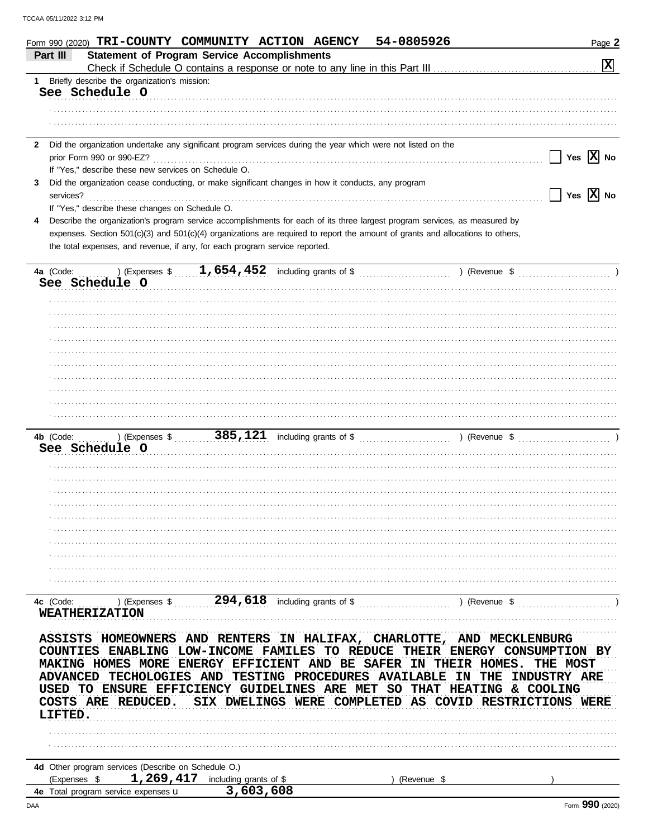|   | 54-0805926<br>Form 990 (2020) TRI-COUNTY COMMUNITY ACTION AGENCY                                                                                   | Page 2                           |
|---|----------------------------------------------------------------------------------------------------------------------------------------------------|----------------------------------|
|   | <b>Statement of Program Service Accomplishments</b><br>Part III                                                                                    | $ \mathbf{x} $                   |
|   | Briefly describe the organization's mission:                                                                                                       |                                  |
|   | See Schedule O                                                                                                                                     |                                  |
|   |                                                                                                                                                    |                                  |
|   |                                                                                                                                                    |                                  |
|   |                                                                                                                                                    |                                  |
| 2 | Did the organization undertake any significant program services during the year which were not listed on the                                       |                                  |
|   |                                                                                                                                                    | Yes $\overline{X}$ No            |
|   | If "Yes," describe these new services on Schedule O.                                                                                               |                                  |
| 3 | Did the organization cease conducting, or make significant changes in how it conducts, any program<br>services?                                    | $\Box$ Yes $\boxed{\text{X}}$ No |
|   | If "Yes," describe these changes on Schedule O.                                                                                                    |                                  |
| 4 | Describe the organization's program service accomplishments for each of its three largest program services, as measured by                         |                                  |
|   | expenses. Section 501(c)(3) and 501(c)(4) organizations are required to report the amount of grants and allocations to others,                     |                                  |
|   | the total expenses, and revenue, if any, for each program service reported.                                                                        |                                  |
|   |                                                                                                                                                    |                                  |
|   | ) (Expenses $\sqrt[3]{1,654,452}$ including grants of $\sqrt[3]{2}$ (Revenue $\sqrt[3]{2}$<br>4a (Code:                                            |                                  |
|   | See Schedule O                                                                                                                                     |                                  |
|   |                                                                                                                                                    |                                  |
|   |                                                                                                                                                    |                                  |
|   |                                                                                                                                                    |                                  |
|   |                                                                                                                                                    |                                  |
|   |                                                                                                                                                    |                                  |
|   |                                                                                                                                                    |                                  |
|   |                                                                                                                                                    |                                  |
|   |                                                                                                                                                    |                                  |
|   |                                                                                                                                                    |                                  |
|   |                                                                                                                                                    |                                  |
|   | ) (Expenses $\frac{385,121}{1}$ including grants of $\frac{1000}{1000}$ (Revenue $\frac{2000}{1000}$ ) (Revenue $\frac{2000}{1000}$ )<br>4b (Code: |                                  |
|   | See Schedule O                                                                                                                                     |                                  |
|   |                                                                                                                                                    |                                  |
|   |                                                                                                                                                    |                                  |
|   |                                                                                                                                                    |                                  |
|   |                                                                                                                                                    |                                  |
|   |                                                                                                                                                    |                                  |
|   |                                                                                                                                                    |                                  |
|   |                                                                                                                                                    |                                  |
|   |                                                                                                                                                    |                                  |
|   |                                                                                                                                                    |                                  |
|   |                                                                                                                                                    |                                  |
|   | ) (Revenue \$                                                                                                                                      |                                  |
|   | <b>WEATHERIZATION</b>                                                                                                                              |                                  |
|   |                                                                                                                                                    |                                  |
|   | ASSISTS HOMEOWNERS AND RENTERS IN HALIFAX, CHARLOTTE, AND MECKLENBURG                                                                              |                                  |
|   | COUNTIES ENABLING LOW-INCOME FAMILES TO REDUCE THEIR ENERGY CONSUMPTION BY                                                                         |                                  |
|   | MAKING HOMES MORE ENERGY EFFICIENT AND BE SAFER IN THEIR HOMES.                                                                                    | THE MOST                         |
|   | ADVANCED TECHOLOGIES AND TESTING PROCEDURES AVAILABLE<br>THE<br>IN                                                                                 | INDUSTRY ARE                     |
|   | USED TO ENSURE EFFICIENCY GUIDELINES ARE MET SO THAT HEATING & COOLING                                                                             |                                  |
|   | COSTS ARE REDUCED.<br>SIX DWELINGS WERE COMPLETED AS COVID RESTRICTIONS WERE                                                                       |                                  |
|   | <b>LIFTED.</b>                                                                                                                                     |                                  |
|   |                                                                                                                                                    |                                  |
|   |                                                                                                                                                    |                                  |
|   |                                                                                                                                                    |                                  |
|   | 4d Other program services (Describe on Schedule O.)                                                                                                |                                  |
|   | 1,269,417<br>(Expenses \$<br>including grants of \$<br>(Revenue \$                                                                                 |                                  |
|   | 3,603,608<br>4e Total program service expenses u                                                                                                   |                                  |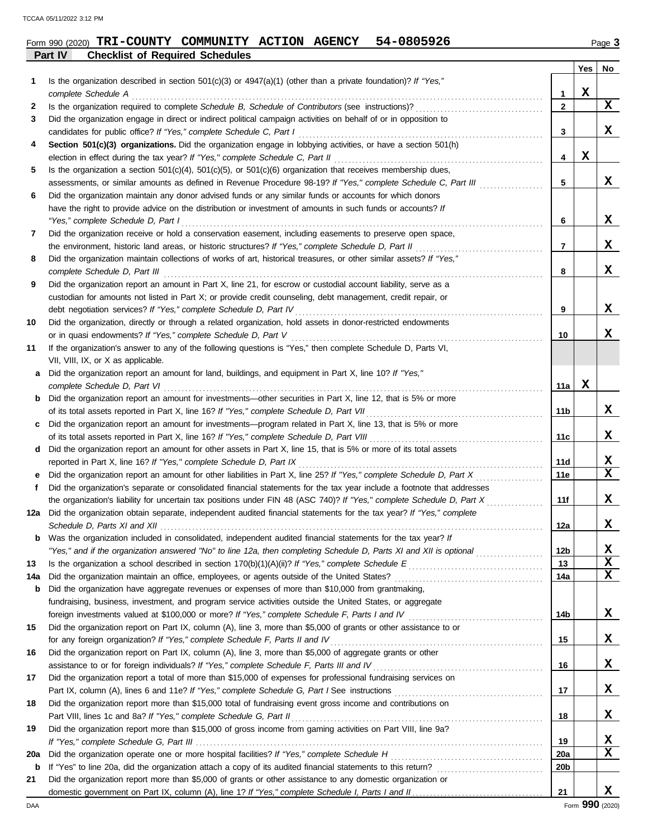#### **Part IV Checklist of Required Schedules** Form 990 (2020) Page **3 TRI-COUNTY COMMUNITY ACTION AGENCY 54-0805926**

|     |                                                                                                                                                                                                        |                 | Yes | No. |
|-----|--------------------------------------------------------------------------------------------------------------------------------------------------------------------------------------------------------|-----------------|-----|-----|
| 1   | Is the organization described in section $501(c)(3)$ or $4947(a)(1)$ (other than a private foundation)? If "Yes,"                                                                                      |                 |     |     |
|     | complete Schedule A                                                                                                                                                                                    | 1               | X   |     |
| 2   | Is the organization required to complete Schedule B, Schedule of Contributors (see instructions)?                                                                                                      | $\mathbf{2}$    |     | X   |
| 3   | Did the organization engage in direct or indirect political campaign activities on behalf of or in opposition to                                                                                       |                 |     |     |
|     | candidates for public office? If "Yes," complete Schedule C, Part I                                                                                                                                    | 3               |     | x   |
| 4   | Section 501(c)(3) organizations. Did the organization engage in lobbying activities, or have a section 501(h)                                                                                          |                 | X   |     |
| 5   | election in effect during the tax year? If "Yes," complete Schedule C, Part II<br>Is the organization a section $501(c)(4)$ , $501(c)(5)$ , or $501(c)(6)$ organization that receives membership dues, | 4               |     |     |
|     | assessments, or similar amounts as defined in Revenue Procedure 98-19? If "Yes," complete Schedule C, Part III                                                                                         | 5               |     | x   |
| 6   | Did the organization maintain any donor advised funds or any similar funds or accounts for which donors                                                                                                |                 |     |     |
|     | have the right to provide advice on the distribution or investment of amounts in such funds or accounts? If                                                                                            |                 |     |     |
|     | "Yes," complete Schedule D, Part I                                                                                                                                                                     | 6               |     | x   |
| 7   | Did the organization receive or hold a conservation easement, including easements to preserve open space,                                                                                              |                 |     |     |
|     | the environment, historic land areas, or historic structures? If "Yes," complete Schedule D, Part II                                                                                                   | 7               |     | x   |
| 8   | Did the organization maintain collections of works of art, historical treasures, or other similar assets? If "Yes,"                                                                                    |                 |     |     |
|     | complete Schedule D, Part III                                                                                                                                                                          | 8               |     | x   |
| 9   | Did the organization report an amount in Part X, line 21, for escrow or custodial account liability, serve as a                                                                                        |                 |     |     |
|     | custodian for amounts not listed in Part X; or provide credit counseling, debt management, credit repair, or                                                                                           |                 |     |     |
|     | debt negotiation services? If "Yes," complete Schedule D, Part IV                                                                                                                                      | 9               |     | x   |
| 10  | Did the organization, directly or through a related organization, hold assets in donor-restricted endowments                                                                                           |                 |     |     |
|     | or in quasi endowments? If "Yes," complete Schedule D, Part V                                                                                                                                          | 10              |     | x   |
| 11  | If the organization's answer to any of the following questions is "Yes," then complete Schedule D, Parts VI,                                                                                           |                 |     |     |
|     | VII, VIII, IX, or X as applicable.                                                                                                                                                                     |                 |     |     |
| a   | Did the organization report an amount for land, buildings, and equipment in Part X, line 10? If "Yes,"                                                                                                 |                 |     |     |
|     | complete Schedule D, Part VI                                                                                                                                                                           | 11a             | X   |     |
| b   | Did the organization report an amount for investments—other securities in Part X, line 12, that is 5% or more                                                                                          |                 |     |     |
|     | of its total assets reported in Part X, line 16? If "Yes," complete Schedule D, Part VII                                                                                                               | 11b             |     | X.  |
| c   | Did the organization report an amount for investments—program related in Part X, line 13, that is 5% or more                                                                                           |                 |     |     |
|     | of its total assets reported in Part X, line 16? If "Yes," complete Schedule D, Part VIII                                                                                                              | 11c             |     | X.  |
| d   | Did the organization report an amount for other assets in Part X, line 15, that is 5% or more of its total assets<br>reported in Part X, line 16? If "Yes," complete Schedule D, Part IX               | 11d             |     | X   |
| е   | Did the organization report an amount for other liabilities in Part X, line 25? If "Yes," complete Schedule D, Part X                                                                                  | 11e             |     | X   |
| f   | Did the organization's separate or consolidated financial statements for the tax year include a footnote that addresses                                                                                |                 |     |     |
|     | the organization's liability for uncertain tax positions under FIN 48 (ASC 740)? If "Yes," complete Schedule D, Part X                                                                                 | 11f             |     | X.  |
| 12a | Did the organization obtain separate, independent audited financial statements for the tax year? If "Yes," complete                                                                                    |                 |     |     |
|     | Schedule D, Parts XI and XII [1995] [1995] Schedule D, Parts XI and XII [1996]                                                                                                                         | 12a             |     | x   |
|     | Was the organization included in consolidated, independent audited financial statements for the tax year? If                                                                                           |                 |     |     |
|     | "Yes," and if the organization answered "No" to line 12a, then completing Schedule D, Parts XI and XII is optional                                                                                     | 12 <sub>b</sub> |     | X   |
| 13  |                                                                                                                                                                                                        | 13              |     | X   |
| 14a | Did the organization maintain an office, employees, or agents outside of the United States?                                                                                                            | 14a             |     | x   |
| b   | Did the organization have aggregate revenues or expenses of more than \$10,000 from grantmaking,                                                                                                       |                 |     |     |
|     | fundraising, business, investment, and program service activities outside the United States, or aggregate                                                                                              |                 |     |     |
|     | foreign investments valued at \$100,000 or more? If "Yes," complete Schedule F, Parts I and IV [[[[[[[[[[[[[[[                                                                                         | 14b             |     | X   |
| 15  | Did the organization report on Part IX, column (A), line 3, more than \$5,000 of grants or other assistance to or                                                                                      |                 |     |     |
|     | for any foreign organization? If "Yes," complete Schedule F, Parts II and IV                                                                                                                           | 15              |     | X,  |
| 16  | Did the organization report on Part IX, column (A), line 3, more than \$5,000 of aggregate grants or other                                                                                             |                 |     |     |
|     |                                                                                                                                                                                                        | 16              |     | X,  |
| 17  | Did the organization report a total of more than \$15,000 of expenses for professional fundraising services on                                                                                         |                 |     |     |
|     |                                                                                                                                                                                                        | 17              |     | X,  |
| 18  | Did the organization report more than \$15,000 total of fundraising event gross income and contributions on<br>Part VIII, lines 1c and 8a? If "Yes," complete Schedule G, Part II                      | 18              |     | X.  |
| 19  | Did the organization report more than \$15,000 of gross income from gaming activities on Part VIII, line 9a?                                                                                           |                 |     |     |
|     |                                                                                                                                                                                                        | 19              |     | x   |
| 20a |                                                                                                                                                                                                        | 20a             |     | x   |
| b   |                                                                                                                                                                                                        | 20b             |     |     |
| 21  | Did the organization report more than \$5,000 of grants or other assistance to any domestic organization or                                                                                            |                 |     |     |
|     |                                                                                                                                                                                                        | 21              |     | X,  |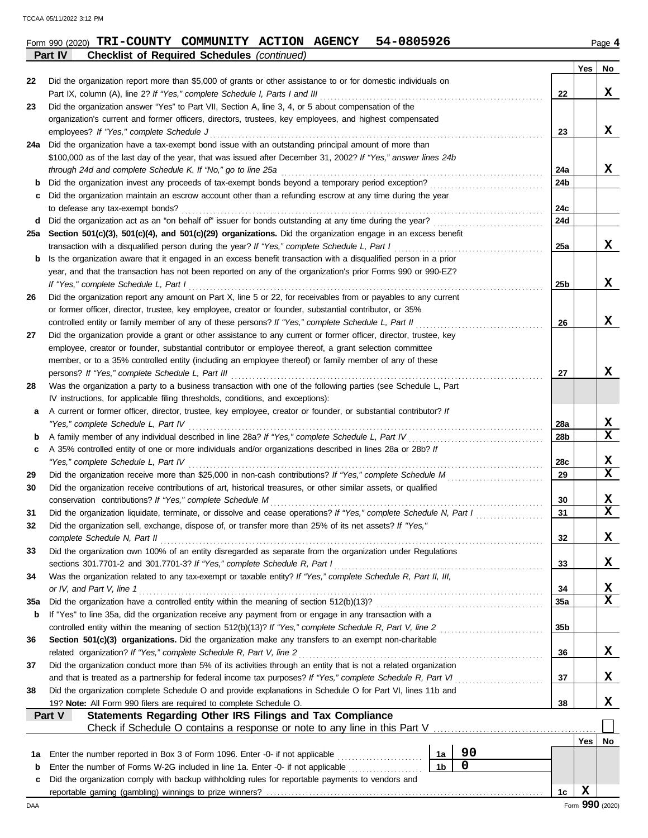### **Form 990 (2020) TRI-COUNTY COMMUNITY ACTION AGENCY 54-0805926** Page 4 **Part IV Checklist of Required Schedules** *(continued)*

|     |                                                                                                                                                                                                               |                 | Yes | No     |
|-----|---------------------------------------------------------------------------------------------------------------------------------------------------------------------------------------------------------------|-----------------|-----|--------|
| 22  | Did the organization report more than \$5,000 of grants or other assistance to or for domestic individuals on                                                                                                 |                 |     |        |
|     | Part IX, column (A), line 2? If "Yes," complete Schedule I, Parts I and III                                                                                                                                   | 22              |     | X      |
| 23  | Did the organization answer "Yes" to Part VII, Section A, line 3, 4, or 5 about compensation of the                                                                                                           |                 |     |        |
|     | organization's current and former officers, directors, trustees, key employees, and highest compensated                                                                                                       |                 |     |        |
|     | employees? If "Yes," complete Schedule J                                                                                                                                                                      | 23              |     | x      |
| 24a | Did the organization have a tax-exempt bond issue with an outstanding principal amount of more than                                                                                                           |                 |     |        |
|     | \$100,000 as of the last day of the year, that was issued after December 31, 2002? If "Yes," answer lines 24b                                                                                                 |                 |     |        |
|     | through 24d and complete Schedule K. If "No," go to line 25a                                                                                                                                                  | 24a             |     | x      |
| b   | Did the organization invest any proceeds of tax-exempt bonds beyond a temporary period exception?                                                                                                             | 24b             |     |        |
|     | Did the organization maintain an escrow account other than a refunding escrow at any time during the year                                                                                                     |                 |     |        |
|     | to defease any tax-exempt bonds?                                                                                                                                                                              | 24c             |     |        |
| d   | Did the organization act as an "on behalf of" issuer for bonds outstanding at any time during the year?                                                                                                       | 24d             |     |        |
| 25a | Section 501(c)(3), 501(c)(4), and 501(c)(29) organizations. Did the organization engage in an excess benefit<br>transaction with a disqualified person during the year? If "Yes," complete Schedule L, Part I | 25a             |     | x      |
| b   | Is the organization aware that it engaged in an excess benefit transaction with a disqualified person in a prior                                                                                              |                 |     |        |
|     | year, and that the transaction has not been reported on any of the organization's prior Forms 990 or 990-EZ?                                                                                                  |                 |     |        |
|     | If "Yes," complete Schedule L, Part I                                                                                                                                                                         | 25 <sub>b</sub> |     | x      |
| 26  | Did the organization report any amount on Part X, line 5 or 22, for receivables from or payables to any current                                                                                               |                 |     |        |
|     | or former officer, director, trustee, key employee, creator or founder, substantial contributor, or 35%                                                                                                       |                 |     |        |
|     | controlled entity or family member of any of these persons? If "Yes," complete Schedule L, Part II                                                                                                            | 26              |     | x      |
| 27  | Did the organization provide a grant or other assistance to any current or former officer, director, trustee, key                                                                                             |                 |     |        |
|     | employee, creator or founder, substantial contributor or employee thereof, a grant selection committee                                                                                                        |                 |     |        |
|     | member, or to a 35% controlled entity (including an employee thereof) or family member of any of these                                                                                                        |                 |     |        |
|     | persons? If "Yes," complete Schedule L, Part III                                                                                                                                                              | 27              |     | x      |
| 28  | Was the organization a party to a business transaction with one of the following parties (see Schedule L, Part                                                                                                |                 |     |        |
|     | IV instructions, for applicable filing thresholds, conditions, and exceptions):                                                                                                                               |                 |     |        |
| а   | A current or former officer, director, trustee, key employee, creator or founder, or substantial contributor? If                                                                                              |                 |     |        |
|     | "Yes," complete Schedule L, Part IV                                                                                                                                                                           | 28a             |     | X      |
| b   | A family member of any individual described in line 28a? If "Yes," complete Schedule L, Part IV                                                                                                               | 28 <sub>b</sub> |     | X      |
| c   | A 35% controlled entity of one or more individuals and/or organizations described in lines 28a or 28b? If                                                                                                     |                 |     |        |
|     | "Yes," complete Schedule L, Part IV                                                                                                                                                                           | 28c             |     | X      |
| 29  |                                                                                                                                                                                                               | 29              |     | X      |
| 30  | Did the organization receive contributions of art, historical treasures, or other similar assets, or qualified                                                                                                |                 |     |        |
|     | conservation contributions? If "Yes," complete Schedule M                                                                                                                                                     | 30              |     | X      |
| 31  | Did the organization liquidate, terminate, or dissolve and cease operations? If "Yes," complete Schedule N, Part I                                                                                            | 31              |     | X      |
| 32  | Did the organization sell, exchange, dispose of, or transfer more than 25% of its net assets? If "Yes,"                                                                                                       |                 |     |        |
|     | complete Schedule N, Part II                                                                                                                                                                                  | 32              |     | Y<br>́ |
| 33  | Did the organization own 100% of an entity disregarded as separate from the organization under Regulations                                                                                                    |                 |     |        |
|     | sections 301.7701-2 and 301.7701-3? If "Yes," complete Schedule R, Part I                                                                                                                                     | 33              |     | x      |
| 34  | Was the organization related to any tax-exempt or taxable entity? If "Yes," complete Schedule R, Part II, III,                                                                                                |                 |     |        |
|     | or IV, and Part V, line 1                                                                                                                                                                                     | 34              |     | X<br>X |
| 35a | Did the organization have a controlled entity within the meaning of section 512(b)(13)?                                                                                                                       | 35a             |     |        |
| b   | If "Yes" to line 35a, did the organization receive any payment from or engage in any transaction with a                                                                                                       |                 |     |        |
|     | controlled entity within the meaning of section 512(b)(13)? If "Yes," complete Schedule R, Part V, line 2                                                                                                     | 35b             |     |        |
| 36  | Section 501(c)(3) organizations. Did the organization make any transfers to an exempt non-charitable<br>related organization? If "Yes," complete Schedule R, Part V, line 2                                   | 36              |     | X      |
| 37  | Did the organization conduct more than 5% of its activities through an entity that is not a related organization                                                                                              |                 |     |        |
|     | and that is treated as a partnership for federal income tax purposes? If "Yes," complete Schedule R, Part VI                                                                                                  | 37              |     | X      |
| 38  | Did the organization complete Schedule O and provide explanations in Schedule O for Part VI, lines 11b and                                                                                                    |                 |     |        |
|     | 19? Note: All Form 990 filers are required to complete Schedule O.                                                                                                                                            | 38              |     | x      |
|     | Statements Regarding Other IRS Filings and Tax Compliance<br>Part V                                                                                                                                           |                 |     |        |
|     | Check if Schedule O contains a response or note to any line in this Part V                                                                                                                                    |                 |     |        |
|     |                                                                                                                                                                                                               |                 | Yes | No.    |
| 1a  | 90<br>Enter the number reported in Box 3 of Form 1096. Enter -0- if not applicable<br>1a                                                                                                                      |                 |     |        |
| b   | $\mathbf 0$<br>1 <sub>b</sub><br>Enter the number of Forms W-2G included in line 1a. Enter -0- if not applicable                                                                                              |                 |     |        |
| c   | Did the organization comply with backup withholding rules for reportable payments to vendors and                                                                                                              |                 |     |        |
|     |                                                                                                                                                                                                               | 1c              | X   |        |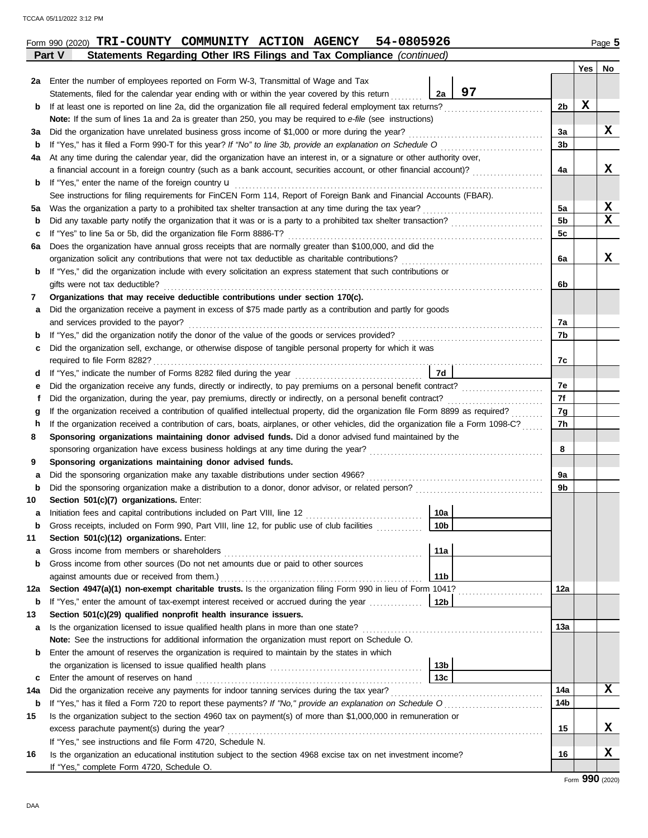|        | Part V<br>Statements Regarding Other IRS Filings and Tax Compliance (continued)                                                                                                                                                                  |                 |     |             |
|--------|--------------------------------------------------------------------------------------------------------------------------------------------------------------------------------------------------------------------------------------------------|-----------------|-----|-------------|
|        |                                                                                                                                                                                                                                                  |                 | Yes | No          |
| 2a     | Enter the number of employees reported on Form W-3, Transmittal of Wage and Tax                                                                                                                                                                  |                 |     |             |
|        | 97<br>2a<br>Statements, filed for the calendar year ending with or within the year covered by this return                                                                                                                                        |                 |     |             |
| b      | If at least one is reported on line 2a, did the organization file all required federal employment tax returns?                                                                                                                                   | 2 <sub>b</sub>  | X   |             |
|        | <b>Note:</b> If the sum of lines 1a and 2a is greater than 250, you may be required to e-file (see instructions)                                                                                                                                 |                 |     |             |
| За     | Did the organization have unrelated business gross income of \$1,000 or more during the year?                                                                                                                                                    | За              |     | x           |
| b      | If "Yes," has it filed a Form 990-T for this year? If "No" to line 3b, provide an explanation on Schedule O                                                                                                                                      | 3 <sub>b</sub>  |     |             |
| 4a     | At any time during the calendar year, did the organization have an interest in, or a signature or other authority over,                                                                                                                          |                 |     |             |
|        | a financial account in a foreign country (such as a bank account, securities account, or other financial account)?                                                                                                                               | 4a              |     | x           |
| b      | If "Yes," enter the name of the foreign country u                                                                                                                                                                                                |                 |     |             |
|        | See instructions for filing requirements for FinCEN Form 114, Report of Foreign Bank and Financial Accounts (FBAR).                                                                                                                              |                 |     |             |
| 5a     |                                                                                                                                                                                                                                                  | 5a              |     | х           |
| b      |                                                                                                                                                                                                                                                  | 5 <sub>b</sub>  |     | $\mathbf x$ |
| c      | If "Yes" to line 5a or 5b, did the organization file Form 8886-T?                                                                                                                                                                                | 5 <sub>c</sub>  |     |             |
| 6a     | Does the organization have annual gross receipts that are normally greater than \$100,000, and did the                                                                                                                                           |                 |     |             |
|        |                                                                                                                                                                                                                                                  | 6a              |     | x           |
| b      | If "Yes," did the organization include with every solicitation an express statement that such contributions or                                                                                                                                   |                 |     |             |
|        | gifts were not tax deductible?                                                                                                                                                                                                                   | 6b              |     |             |
| 7      | Organizations that may receive deductible contributions under section 170(c).                                                                                                                                                                    |                 |     |             |
| а      | Did the organization receive a payment in excess of \$75 made partly as a contribution and partly for goods                                                                                                                                      |                 |     |             |
|        | and services provided to the payor?                                                                                                                                                                                                              | 7a              |     |             |
| b      |                                                                                                                                                                                                                                                  | 7b              |     |             |
| c      | Did the organization sell, exchange, or otherwise dispose of tangible personal property for which it was                                                                                                                                         |                 |     |             |
|        | 7d                                                                                                                                                                                                                                               | 7с              |     |             |
| d      |                                                                                                                                                                                                                                                  | 7e              |     |             |
| е      |                                                                                                                                                                                                                                                  | 7f              |     |             |
| f      | Did the organization, during the year, pay premiums, directly or indirectly, on a personal benefit contract?<br>If the organization received a contribution of qualified intellectual property, did the organization file Form 8899 as required? | 7g              |     |             |
| g<br>h | If the organization received a contribution of cars, boats, airplanes, or other vehicles, did the organization file a Form 1098-C?                                                                                                               | 7h              |     |             |
| 8      | Sponsoring organizations maintaining donor advised funds. Did a donor advised fund maintained by the                                                                                                                                             |                 |     |             |
|        |                                                                                                                                                                                                                                                  | 8               |     |             |
| 9      | Sponsoring organizations maintaining donor advised funds.                                                                                                                                                                                        |                 |     |             |
| а      | Did the sponsoring organization make any taxable distributions under section 4966?                                                                                                                                                               | 9а              |     |             |
| b      |                                                                                                                                                                                                                                                  | 9b              |     |             |
| 10     | Section 501(c)(7) organizations. Enter:                                                                                                                                                                                                          |                 |     |             |
| а      | 10a                                                                                                                                                                                                                                              |                 |     |             |
| b      | 10 <sub>b</sub><br>Gross receipts, included on Form 990, Part VIII, line 12, for public use of club facilities                                                                                                                                   |                 |     |             |
| 11     | Section 501(c)(12) organizations. Enter:                                                                                                                                                                                                         |                 |     |             |
| а      | 11a<br>Gross income from members or shareholders                                                                                                                                                                                                 |                 |     |             |
| b      | Gross income from other sources (Do not net amounts due or paid to other sources                                                                                                                                                                 |                 |     |             |
|        | 11 <sub>b</sub><br>against amounts due or received from them.)                                                                                                                                                                                   |                 |     |             |
| 12a    | Section 4947(a)(1) non-exempt charitable trusts. Is the organization filing Form 990 in lieu of Form 1041?                                                                                                                                       | 12a             |     |             |
| b      | If "Yes," enter the amount of tax-exempt interest received or accrued during the year<br>  12b                                                                                                                                                   |                 |     |             |
| 13     | Section 501(c)(29) qualified nonprofit health insurance issuers.                                                                                                                                                                                 |                 |     |             |
| а      | Is the organization licensed to issue qualified health plans in more than one state?                                                                                                                                                             | 13a             |     |             |
|        | Note: See the instructions for additional information the organization must report on Schedule O.                                                                                                                                                |                 |     |             |
| b      | Enter the amount of reserves the organization is required to maintain by the states in which                                                                                                                                                     |                 |     |             |
|        | 13b                                                                                                                                                                                                                                              |                 |     |             |
| c      | 13c<br>Enter the amount of reserves on hand                                                                                                                                                                                                      |                 |     |             |
| 14a    | Did the organization receive any payments for indoor tanning services during the tax year?                                                                                                                                                       | 14a             |     | x           |
| b      |                                                                                                                                                                                                                                                  | 14 <sub>b</sub> |     |             |
| 15     | Is the organization subject to the section 4960 tax on payment(s) of more than \$1,000,000 in remuneration or                                                                                                                                    |                 |     |             |
|        | excess parachute payment(s) during the year?                                                                                                                                                                                                     | 15              |     | x           |
|        | If "Yes," see instructions and file Form 4720, Schedule N.                                                                                                                                                                                       |                 |     |             |
| 16     | Is the organization an educational institution subject to the section 4968 excise tax on net investment income?                                                                                                                                  | 16              |     | x           |
|        | If "Yes," complete Form 4720, Schedule O.                                                                                                                                                                                                        |                 |     |             |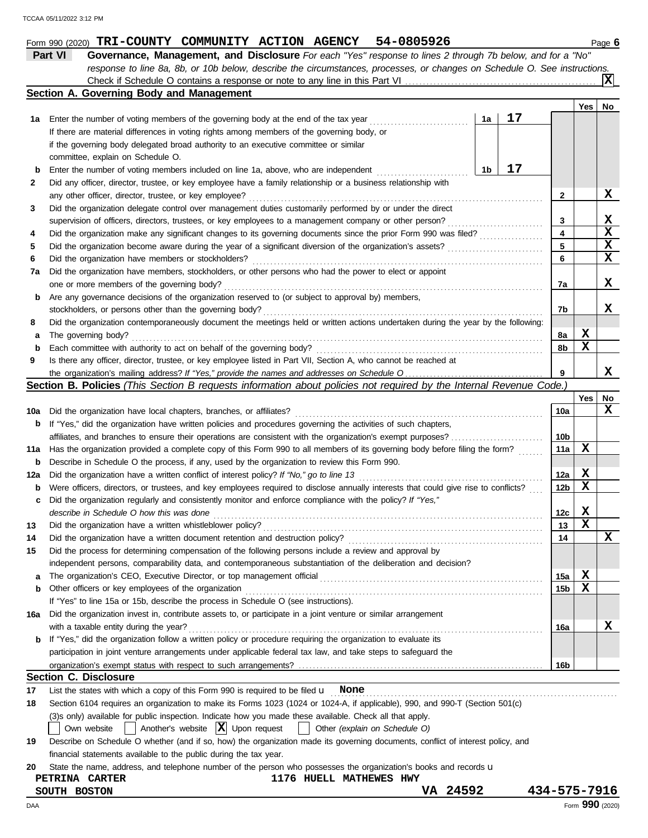|     |              | Form 990 (2020) TRI-COUNTY COMMUNITY ACTION AGENCY                                                                                                                  |                                               |                         | 54-0805926                    |          |    |    |                 |             | Page 6      |
|-----|--------------|---------------------------------------------------------------------------------------------------------------------------------------------------------------------|-----------------------------------------------|-------------------------|-------------------------------|----------|----|----|-----------------|-------------|-------------|
|     | Part VI      | Governance, Management, and Disclosure For each "Yes" response to lines 2 through 7b below, and for a "No"                                                          |                                               |                         |                               |          |    |    |                 |             |             |
|     |              | response to line 8a, 8b, or 10b below, describe the circumstances, processes, or changes on Schedule O. See instructions.                                           |                                               |                         |                               |          |    |    |                 |             |             |
|     |              |                                                                                                                                                                     |                                               |                         |                               |          |    |    |                 |             | ΙXΙ         |
|     |              | Section A. Governing Body and Management                                                                                                                            |                                               |                         |                               |          |    |    |                 |             |             |
|     |              |                                                                                                                                                                     |                                               |                         |                               |          |    |    |                 | Yes         | No          |
| 1а  |              | Enter the number of voting members of the governing body at the end of the tax year                                                                                 |                                               |                         |                               |          | 1a | 17 |                 |             |             |
|     |              | If there are material differences in voting rights among members of the governing body, or                                                                          |                                               |                         |                               |          |    |    |                 |             |             |
|     |              | if the governing body delegated broad authority to an executive committee or similar                                                                                |                                               |                         |                               |          |    |    |                 |             |             |
|     |              | committee, explain on Schedule O.                                                                                                                                   |                                               |                         |                               |          |    | 17 |                 |             |             |
| b   |              | Enter the number of voting members included on line 1a, above, who are independent                                                                                  |                                               |                         |                               |          | 1b |    |                 |             |             |
| 2   |              | Did any officer, director, trustee, or key employee have a family relationship or a business relationship with                                                      |                                               |                         |                               |          |    |    |                 |             | X           |
| 3   |              | any other officer, director, trustee, or key employee?<br>Did the organization delegate control over management duties customarily performed by or under the direct |                                               |                         |                               |          |    |    | $\mathbf{2}$    |             |             |
|     |              | supervision of officers, directors, trustees, or key employees to a management company or other person?                                                             |                                               |                         |                               |          |    |    | 3               |             | X           |
| 4   |              | Did the organization make any significant changes to its governing documents since the prior Form 990 was filed?                                                    |                                               |                         |                               |          |    |    | 4               |             | $\mathbf x$ |
| 5   |              | Did the organization become aware during the year of a significant diversion of the organization's assets?                                                          |                                               |                         |                               |          |    |    | 5               |             | X           |
| 6   |              | Did the organization have members or stockholders?                                                                                                                  |                                               |                         |                               |          |    |    | 6               |             | $\mathbf x$ |
| 7а  |              | Did the organization have members, stockholders, or other persons who had the power to elect or appoint                                                             |                                               |                         |                               |          |    |    |                 |             |             |
|     |              | one or more members of the governing body?                                                                                                                          |                                               |                         |                               |          |    |    | 7a              |             | X           |
| b   |              | Are any governance decisions of the organization reserved to (or subject to approval by) members,                                                                   |                                               |                         |                               |          |    |    |                 |             |             |
|     |              | stockholders, or persons other than the governing body?                                                                                                             |                                               |                         |                               |          |    |    | 7b              |             | x           |
| 8   |              | Did the organization contemporaneously document the meetings held or written actions undertaken during the year by the following:                                   |                                               |                         |                               |          |    |    |                 |             |             |
| a   |              | The governing body?                                                                                                                                                 |                                               |                         |                               |          |    |    | 8а              | X           |             |
| b   |              | Each committee with authority to act on behalf of the governing body?                                                                                               |                                               |                         |                               |          |    |    | 8b              | x           |             |
| 9   |              | Is there any officer, director, trustee, or key employee listed in Part VII, Section A, who cannot be reached at                                                    |                                               |                         |                               |          |    |    |                 |             |             |
|     |              |                                                                                                                                                                     |                                               |                         |                               |          |    |    | 9               |             | x           |
|     |              | Section B. Policies (This Section B requests information about policies not required by the Internal Revenue Code.)                                                 |                                               |                         |                               |          |    |    |                 |             |             |
|     |              |                                                                                                                                                                     |                                               |                         |                               |          |    |    |                 | Yes         | No          |
| 10a |              | Did the organization have local chapters, branches, or affiliates?                                                                                                  |                                               |                         |                               |          |    |    | 10a             |             | х           |
| b   |              | If "Yes," did the organization have written policies and procedures governing the activities of such chapters,                                                      |                                               |                         |                               |          |    |    |                 |             |             |
|     |              | affiliates, and branches to ensure their operations are consistent with the organization's exempt purposes?                                                         |                                               |                         |                               |          |    |    | 10b             |             |             |
| 11a |              | Has the organization provided a complete copy of this Form 990 to all members of its governing body before filing the form?                                         |                                               |                         |                               |          |    |    | 11a             | х           |             |
| b   |              | Describe in Schedule O the process, if any, used by the organization to review this Form 990.                                                                       |                                               |                         |                               |          |    |    |                 |             |             |
| 12a |              | Did the organization have a written conflict of interest policy? If "No," go to line 13                                                                             |                                               |                         |                               |          |    |    | 12a             | X           |             |
| b   |              | Were officers, directors, or trustees, and key employees required to disclose annually interests that could give rise to conflicts?                                 |                                               |                         |                               |          |    |    | 12b             | X           |             |
| c   |              | Did the organization regularly and consistently monitor and enforce compliance with the policy? If "Yes,"                                                           |                                               |                         |                               |          |    |    |                 |             |             |
|     |              | describe in Schedule O how this was done                                                                                                                            |                                               |                         |                               |          |    |    | 12c             | X           |             |
| 13  |              | Did the organization have a written whistleblower policy?                                                                                                           |                                               |                         |                               |          |    |    | 13              | $\mathbf x$ |             |
| 14  |              | Did the organization have a written document retention and destruction policy?                                                                                      |                                               |                         |                               |          |    |    | 14              |             | x           |
| 15  |              | Did the process for determining compensation of the following persons include a review and approval by                                                              |                                               |                         |                               |          |    |    |                 |             |             |
|     |              | independent persons, comparability data, and contemporaneous substantiation of the deliberation and decision?                                                       |                                               |                         |                               |          |    |    |                 |             |             |
| a   |              | The organization's CEO, Executive Director, or top management official                                                                                              |                                               |                         |                               |          |    |    | 15a             | х           |             |
| b   |              | Other officers or key employees of the organization                                                                                                                 |                                               |                         |                               |          |    |    | 15 <sub>b</sub> | х           |             |
|     |              | If "Yes" to line 15a or 15b, describe the process in Schedule O (see instructions).                                                                                 |                                               |                         |                               |          |    |    |                 |             |             |
| 16a |              | Did the organization invest in, contribute assets to, or participate in a joint venture or similar arrangement                                                      |                                               |                         |                               |          |    |    |                 |             |             |
|     |              | with a taxable entity during the year?                                                                                                                              |                                               |                         |                               |          |    |    | 16a             |             | X           |
|     |              | If "Yes," did the organization follow a written policy or procedure requiring the organization to evaluate its                                                      |                                               |                         |                               |          |    |    |                 |             |             |
|     |              | participation in joint venture arrangements under applicable federal tax law, and take steps to safeguard the                                                       |                                               |                         |                               |          |    |    |                 |             |             |
|     |              |                                                                                                                                                                     |                                               |                         |                               |          |    |    | 16b             |             |             |
|     |              | <b>Section C. Disclosure</b>                                                                                                                                        |                                               |                         |                               |          |    |    |                 |             |             |
| 17  |              | List the states with which a copy of this Form 990 is required to be filed $\mathbf u$ None                                                                         |                                               |                         |                               |          |    |    |                 |             |             |
| 18  |              | Section 6104 requires an organization to make its Forms 1023 (1024 or 1024-A, if applicable), 990, and 990-T (Section 501(c)                                        |                                               |                         |                               |          |    |    |                 |             |             |
|     |              | (3)s only) available for public inspection. Indicate how you made these available. Check all that apply.                                                            |                                               |                         |                               |          |    |    |                 |             |             |
|     |              | Own website                                                                                                                                                         | Another's website $ \mathbf{X} $ Upon request |                         | Other (explain on Schedule O) |          |    |    |                 |             |             |
| 19  |              | Describe on Schedule O whether (and if so, how) the organization made its governing documents, conflict of interest policy, and                                     |                                               |                         |                               |          |    |    |                 |             |             |
|     |              | financial statements available to the public during the tax year.                                                                                                   |                                               |                         |                               |          |    |    |                 |             |             |
| 20  |              | State the name, address, and telephone number of the person who possesses the organization's books and records u<br>PETRINA CARTER                                  |                                               | 1176 HUELL MATHEWES HWY |                               |          |    |    |                 |             |             |
|     | SOUTH BOSTON |                                                                                                                                                                     |                                               |                         |                               | VA 24592 |    |    | 434-575-7916    |             |             |
|     |              |                                                                                                                                                                     |                                               |                         |                               |          |    |    |                 |             |             |

DAA Form **990** (2020)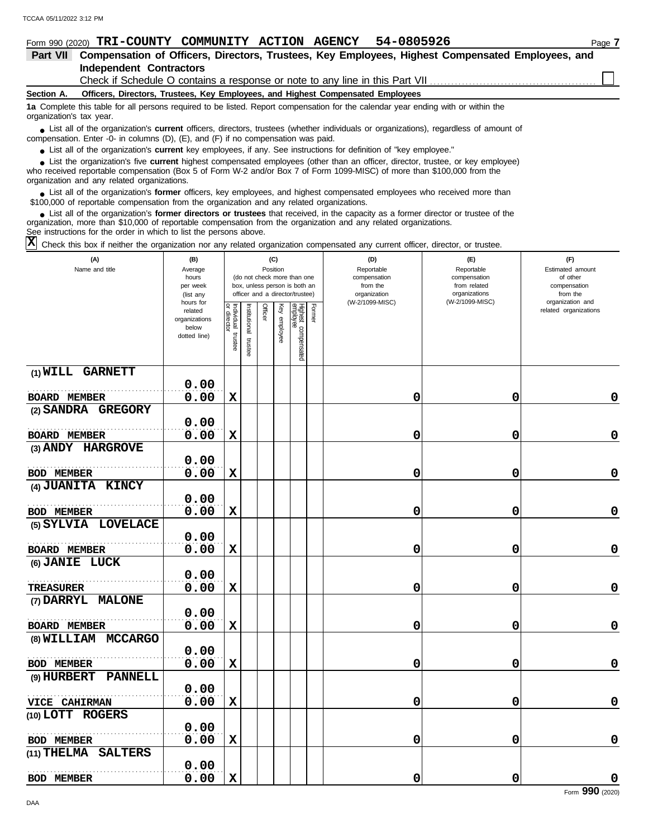|          | 54-0805926<br>Form 990 (2020) TRI-COUNTY COMMUNITY<br><b>ACTION AGENCY</b><br>Page 7                                                                                                                                                       |  |  |  |  |  |  |  |  |  |  |  |
|----------|--------------------------------------------------------------------------------------------------------------------------------------------------------------------------------------------------------------------------------------------|--|--|--|--|--|--|--|--|--|--|--|
| Part VII | Compensation of Officers, Directors, Trustees, Key Employees, Highest Compensated Employees, and                                                                                                                                           |  |  |  |  |  |  |  |  |  |  |  |
|          | <b>Independent Contractors</b>                                                                                                                                                                                                             |  |  |  |  |  |  |  |  |  |  |  |
|          | Check if Schedule O contains a response or note to any line in this Part VII <i>concerentially</i>                                                                                                                                         |  |  |  |  |  |  |  |  |  |  |  |
|          | Officers, Directors, Trustees, Key Employees, and Highest Compensated Employees<br>Section A.                                                                                                                                              |  |  |  |  |  |  |  |  |  |  |  |
|          | 1a Complete this table for all persons required to be listed. Report compensation for the calendar year ending with or within the<br>organization's tax year.                                                                              |  |  |  |  |  |  |  |  |  |  |  |
|          | • List all of the organization's <b>current</b> officers, directors, trustees (whether individuals or organizations), regardless of amount of<br>compensation. Enter -0- in columns $(D)$ , $(E)$ , and $(F)$ if no compensation was paid. |  |  |  |  |  |  |  |  |  |  |  |
|          | • List all of the organization's current key employees, if any. See instructions for definition of "key employee."                                                                                                                         |  |  |  |  |  |  |  |  |  |  |  |
|          | • List the organization's five current highest compensated employees (other than an officer, director, trustee, or key employee)                                                                                                           |  |  |  |  |  |  |  |  |  |  |  |
|          | who received reportable compensation (Box 5 of Form W-2 and/or Box 7 of Form 1099-MISC) of more than \$100,000 from the<br>organization and any related organizations.                                                                     |  |  |  |  |  |  |  |  |  |  |  |

List all of the organization's **former** officers, key employees, and highest compensated employees who received more than • List all of the organization's **former** officers, key employees, and highest compensate \$100,000 of reportable compensation from the organization and any related organizations.

List all of the organization's **former directors or trustees** that received, in the capacity as a former director or trustee of the organization, more than \$10,000 of reportable compensation from the organization and any related organizations. See instructions for the order in which to list the persons above. **•**

Check this box if neither the organization nor any related organization compensated any current officer, director, or trustee. **X**

| (A)<br>Name and title                 | (B)<br>Average<br>hours<br>per week<br>(list any<br>hours for |                                   |                          |         | (C)<br>Position | (do not check more than one<br>box, unless person is both an<br>officer and a director/trustee) | (D)<br>Reportable<br>compensation<br>from the<br>organization | (E)<br>Reportable<br>compensation<br>from related<br>organizations | (F)<br>Estimated amount<br>of other<br>compensation<br>from the |
|---------------------------------------|---------------------------------------------------------------|-----------------------------------|--------------------------|---------|-----------------|-------------------------------------------------------------------------------------------------|---------------------------------------------------------------|--------------------------------------------------------------------|-----------------------------------------------------------------|
|                                       | related<br>organizations<br>below<br>dotted line)             | Individual trustee<br>or director | Institutional<br>trustee | Officer | Key employee    | Former<br>Highest compensated<br>employee                                                       | (W-2/1099-MISC)                                               | (W-2/1099-MISC)                                                    | organization and<br>related organizations                       |
| (1) WILL GARNETT                      | 0.00                                                          |                                   |                          |         |                 |                                                                                                 |                                                               |                                                                    |                                                                 |
| <b>BOARD MEMBER</b>                   | 0.00                                                          | $\mathbf x$                       |                          |         |                 |                                                                                                 | 0                                                             | 0                                                                  | $\mathbf 0$                                                     |
| (2) SANDRA GREGORY                    |                                                               |                                   |                          |         |                 |                                                                                                 |                                                               |                                                                    |                                                                 |
|                                       | 0.00                                                          |                                   |                          |         |                 |                                                                                                 |                                                               |                                                                    |                                                                 |
| <b>BOARD MEMBER</b>                   | 0.00                                                          | $\mathbf x$                       |                          |         |                 |                                                                                                 | 0                                                             | 0                                                                  | 0                                                               |
| (3) ANDY HARGROVE                     |                                                               |                                   |                          |         |                 |                                                                                                 |                                                               |                                                                    |                                                                 |
|                                       | 0.00                                                          |                                   |                          |         |                 |                                                                                                 |                                                               |                                                                    |                                                                 |
| <b>BOD MEMBER</b>                     | 0.00                                                          | $\mathbf x$                       |                          |         |                 |                                                                                                 | 0                                                             | 0                                                                  | $\mathbf 0$                                                     |
| (4) JUANITA KINCY                     |                                                               |                                   |                          |         |                 |                                                                                                 |                                                               |                                                                    |                                                                 |
|                                       | 0.00                                                          |                                   |                          |         |                 |                                                                                                 |                                                               |                                                                    |                                                                 |
| <b>BOD MEMBER</b>                     | 0.00                                                          | $\mathbf x$                       |                          |         |                 |                                                                                                 | 0                                                             | 0                                                                  | $\mathbf 0$                                                     |
| (5) SYLVIA LOVELACE                   |                                                               |                                   |                          |         |                 |                                                                                                 |                                                               |                                                                    |                                                                 |
|                                       | 0.00                                                          |                                   |                          |         |                 |                                                                                                 |                                                               |                                                                    |                                                                 |
| <b>BOARD MEMBER</b>                   | 0.00                                                          | $\mathbf x$                       |                          |         |                 |                                                                                                 | 0                                                             | 0                                                                  | 0                                                               |
| (6) JANIE LUCK                        |                                                               |                                   |                          |         |                 |                                                                                                 |                                                               |                                                                    |                                                                 |
|                                       | 0.00                                                          |                                   |                          |         |                 |                                                                                                 |                                                               |                                                                    | $\mathbf 0$                                                     |
| <b>TREASURER</b><br>(7) DARRYL MALONE | 0.00                                                          | $\mathbf x$                       |                          |         |                 |                                                                                                 | 0                                                             | 0                                                                  |                                                                 |
|                                       | 0.00                                                          |                                   |                          |         |                 |                                                                                                 |                                                               |                                                                    |                                                                 |
| <b>BOARD MEMBER</b>                   | 0.00                                                          | $\mathbf x$                       |                          |         |                 |                                                                                                 | 0                                                             | 0                                                                  | 0                                                               |
| (8) WILLIAM MCCARGO                   |                                                               |                                   |                          |         |                 |                                                                                                 |                                                               |                                                                    |                                                                 |
|                                       | 0.00                                                          |                                   |                          |         |                 |                                                                                                 |                                                               |                                                                    |                                                                 |
| <b>BOD MEMBER</b>                     | 0.00                                                          | $\mathbf x$                       |                          |         |                 |                                                                                                 | 0                                                             | 0                                                                  | 0                                                               |
| (9) HURBERT<br><b>PANNELL</b>         |                                                               |                                   |                          |         |                 |                                                                                                 |                                                               |                                                                    |                                                                 |
|                                       | 0.00                                                          |                                   |                          |         |                 |                                                                                                 |                                                               |                                                                    |                                                                 |
| VICE CAHIRMAN                         | 0.00                                                          | $\mathbf x$                       |                          |         |                 |                                                                                                 | 0                                                             | 0                                                                  | $\mathbf 0$                                                     |
| (10) LOTT ROGERS                      |                                                               |                                   |                          |         |                 |                                                                                                 |                                                               |                                                                    |                                                                 |
|                                       | 0.00                                                          |                                   |                          |         |                 |                                                                                                 |                                                               |                                                                    |                                                                 |
| <b>BOD MEMBER</b>                     | 0.00                                                          | $\mathbf x$                       |                          |         |                 |                                                                                                 | 0                                                             | 0                                                                  | $\mathbf 0$                                                     |
| <b>SALTERS</b><br>(11) THELMA         |                                                               |                                   |                          |         |                 |                                                                                                 |                                                               |                                                                    |                                                                 |
|                                       | 0.00                                                          |                                   |                          |         |                 |                                                                                                 |                                                               |                                                                    |                                                                 |
| <b>BOD MEMBER</b>                     | 0.00                                                          | $\mathbf x$                       |                          |         |                 |                                                                                                 | 0                                                             | 0                                                                  | $\mathbf 0$                                                     |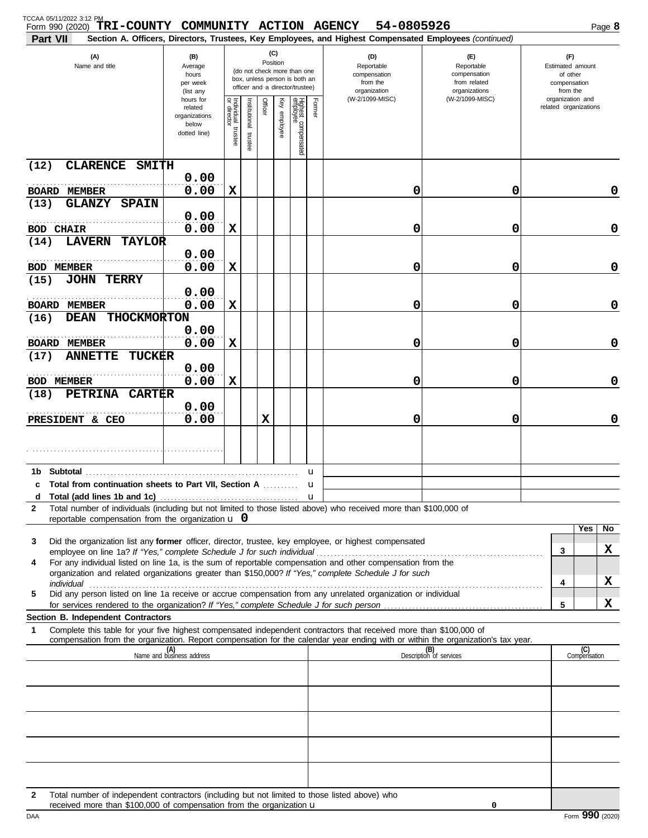| TCCAA 05/11/2022 3:12 PM<br>Form 990 (2020) TRI-COUNTY COMMUNITY ACTION AGENCY<br>Part VII                                                                                                                                                                                                                                                                |                                                                |                         |                       |                 |              |                                                                                                 |        | 54-0805926<br>Section A. Officers, Directors, Trustees, Key Employees, and Highest Compensated Employees (continued) |                                                                    |                                                                 | Page 8              |
|-----------------------------------------------------------------------------------------------------------------------------------------------------------------------------------------------------------------------------------------------------------------------------------------------------------------------------------------------------------|----------------------------------------------------------------|-------------------------|-----------------------|-----------------|--------------|-------------------------------------------------------------------------------------------------|--------|----------------------------------------------------------------------------------------------------------------------|--------------------------------------------------------------------|-----------------------------------------------------------------|---------------------|
| (A)<br>Name and title                                                                                                                                                                                                                                                                                                                                     | (B)<br>Average<br>hours<br>per week<br>(list any               |                         |                       | (C)<br>Position |              | (do not check more than one<br>box, unless person is both an<br>officer and a director/trustee) |        | (D)<br>Reportable<br>compensation<br>from the<br>organization                                                        | (E)<br>Reportable<br>compensation<br>from related<br>organizations | (F)<br>Estimated amount<br>of other<br>compensation<br>from the |                     |
|                                                                                                                                                                                                                                                                                                                                                           | hours for<br>related<br>organizations<br>below<br>dotted line) | Individual 1<br>trustee | Institutional trustee | Officer         | Key employee | Highest compensated<br>employee                                                                 | Former | (W-2/1099-MISC)                                                                                                      | (W-2/1099-MISC)                                                    | organization and<br>related organizations                       |                     |
| (12)<br><b>CLARENCE</b><br><b>SMITH</b>                                                                                                                                                                                                                                                                                                                   |                                                                |                         |                       |                 |              |                                                                                                 |        |                                                                                                                      |                                                                    |                                                                 |                     |
| <b>MEMBER</b><br><b>BOARD</b>                                                                                                                                                                                                                                                                                                                             | 0.00<br>0.00                                                   | $\mathbf x$             |                       |                 |              |                                                                                                 |        | 0                                                                                                                    | 0                                                                  |                                                                 | 0                   |
| <b>GLANZY</b><br><b>SPAIN</b><br>(13)                                                                                                                                                                                                                                                                                                                     |                                                                |                         |                       |                 |              |                                                                                                 |        |                                                                                                                      |                                                                    |                                                                 |                     |
|                                                                                                                                                                                                                                                                                                                                                           | 0.00                                                           |                         |                       |                 |              |                                                                                                 |        |                                                                                                                      |                                                                    |                                                                 |                     |
| <b>BOD CHAIR</b><br><b>LAVERN</b><br><b>TAYLOR</b><br>(14)                                                                                                                                                                                                                                                                                                | 0.00                                                           | $\mathbf x$             |                       |                 |              |                                                                                                 |        | 0                                                                                                                    | 0                                                                  |                                                                 | 0                   |
|                                                                                                                                                                                                                                                                                                                                                           | 0.00                                                           |                         |                       |                 |              |                                                                                                 |        |                                                                                                                      |                                                                    |                                                                 |                     |
| <b>BOD MEMBER</b>                                                                                                                                                                                                                                                                                                                                         | 0.00                                                           | $\mathbf x$             |                       |                 |              |                                                                                                 |        | 0                                                                                                                    | 0                                                                  |                                                                 | 0                   |
| <b>TERRY</b><br>(15)<br><b>JOHN</b>                                                                                                                                                                                                                                                                                                                       | 0.00                                                           |                         |                       |                 |              |                                                                                                 |        |                                                                                                                      |                                                                    |                                                                 |                     |
| <b>MEMBER</b><br><b>BOARD</b>                                                                                                                                                                                                                                                                                                                             | 0.00                                                           | $\mathbf x$             |                       |                 |              |                                                                                                 |        | 0                                                                                                                    | 0                                                                  |                                                                 | $\mathbf 0$         |
| THOCKMORTON<br>(16)<br><b>DEAN</b>                                                                                                                                                                                                                                                                                                                        | 0.00                                                           |                         |                       |                 |              |                                                                                                 |        |                                                                                                                      |                                                                    |                                                                 |                     |
| <b>BOARD</b><br><b>MEMBER</b>                                                                                                                                                                                                                                                                                                                             | 0.00                                                           | $\mathbf x$             |                       |                 |              |                                                                                                 |        | 0                                                                                                                    | 0                                                                  |                                                                 | $\mathbf 0$         |
| <b>ANNETTE</b><br><b>TUCKER</b><br>(17)                                                                                                                                                                                                                                                                                                                   |                                                                |                         |                       |                 |              |                                                                                                 |        |                                                                                                                      |                                                                    |                                                                 |                     |
| <b>BOD MEMBER</b>                                                                                                                                                                                                                                                                                                                                         | 0.00<br>0.00                                                   | X                       |                       |                 |              |                                                                                                 |        | 0                                                                                                                    | 0                                                                  |                                                                 | 0                   |
| <b>PETRINA</b><br><b>CARTER</b><br>(18)                                                                                                                                                                                                                                                                                                                   |                                                                |                         |                       |                 |              |                                                                                                 |        |                                                                                                                      |                                                                    |                                                                 |                     |
| PRESIDENT & CEO                                                                                                                                                                                                                                                                                                                                           | 0.00<br>0.00                                                   |                         |                       | $\mathbf x$     |              |                                                                                                 |        | 0                                                                                                                    | 0                                                                  |                                                                 | $\mathbf 0$         |
|                                                                                                                                                                                                                                                                                                                                                           |                                                                |                         |                       |                 |              |                                                                                                 |        |                                                                                                                      |                                                                    |                                                                 |                     |
| 1b                                                                                                                                                                                                                                                                                                                                                        |                                                                |                         |                       |                 |              |                                                                                                 | u      |                                                                                                                      |                                                                    |                                                                 |                     |
| <b>c</b> Total from continuation sheets to Part VII, Section A                                                                                                                                                                                                                                                                                            |                                                                |                         |                       |                 |              |                                                                                                 | u      |                                                                                                                      |                                                                    |                                                                 |                     |
| d<br>Total number of individuals (including but not limited to those listed above) who received more than \$100,000 of<br>$\mathbf{2}$                                                                                                                                                                                                                    |                                                                |                         |                       |                 |              |                                                                                                 | u      |                                                                                                                      |                                                                    |                                                                 |                     |
| reportable compensation from the organization $\bf{u}$ 0                                                                                                                                                                                                                                                                                                  |                                                                |                         |                       |                 |              |                                                                                                 |        |                                                                                                                      |                                                                    |                                                                 | Yes<br>No           |
| Did the organization list any former officer, director, trustee, key employee, or highest compensated<br>3                                                                                                                                                                                                                                                |                                                                |                         |                       |                 |              |                                                                                                 |        |                                                                                                                      |                                                                    |                                                                 |                     |
| For any individual listed on line 1a, is the sum of reportable compensation and other compensation from the<br>4                                                                                                                                                                                                                                          |                                                                |                         |                       |                 |              |                                                                                                 |        |                                                                                                                      |                                                                    | 3                                                               | X                   |
| organization and related organizations greater than \$150,000? If "Yes," complete Schedule J for such                                                                                                                                                                                                                                                     |                                                                |                         |                       |                 |              |                                                                                                 |        |                                                                                                                      |                                                                    |                                                                 | X                   |
| individual <b>construe that in the construction of the construction</b> of the construction of the construction of the construction of the construction of the construction of the construction of the construction of the construc<br>Did any person listed on line 1a receive or accrue compensation from any unrelated organization or individual<br>5 |                                                                |                         |                       |                 |              |                                                                                                 |        |                                                                                                                      |                                                                    | 4                                                               |                     |
| Section B. Independent Contractors                                                                                                                                                                                                                                                                                                                        |                                                                |                         |                       |                 |              |                                                                                                 |        |                                                                                                                      |                                                                    | 5                                                               | X                   |
| Complete this table for your five highest compensated independent contractors that received more than \$100,000 of<br>1                                                                                                                                                                                                                                   |                                                                |                         |                       |                 |              |                                                                                                 |        |                                                                                                                      |                                                                    |                                                                 |                     |
| compensation from the organization. Report compensation for the calendar year ending with or within the organization's tax year.                                                                                                                                                                                                                          | (A)<br>Name and business address                               |                         |                       |                 |              |                                                                                                 |        |                                                                                                                      | (B)<br>Description of services                                     |                                                                 | (C)<br>Compensation |
|                                                                                                                                                                                                                                                                                                                                                           |                                                                |                         |                       |                 |              |                                                                                                 |        |                                                                                                                      |                                                                    |                                                                 |                     |
|                                                                                                                                                                                                                                                                                                                                                           |                                                                |                         |                       |                 |              |                                                                                                 |        |                                                                                                                      |                                                                    |                                                                 |                     |
|                                                                                                                                                                                                                                                                                                                                                           |                                                                |                         |                       |                 |              |                                                                                                 |        |                                                                                                                      |                                                                    |                                                                 |                     |
|                                                                                                                                                                                                                                                                                                                                                           |                                                                |                         |                       |                 |              |                                                                                                 |        |                                                                                                                      |                                                                    |                                                                 |                     |
|                                                                                                                                                                                                                                                                                                                                                           |                                                                |                         |                       |                 |              |                                                                                                 |        |                                                                                                                      |                                                                    |                                                                 |                     |
|                                                                                                                                                                                                                                                                                                                                                           |                                                                |                         |                       |                 |              |                                                                                                 |        |                                                                                                                      |                                                                    |                                                                 |                     |
|                                                                                                                                                                                                                                                                                                                                                           |                                                                |                         |                       |                 |              |                                                                                                 |        |                                                                                                                      |                                                                    |                                                                 |                     |
|                                                                                                                                                                                                                                                                                                                                                           |                                                                |                         |                       |                 |              |                                                                                                 |        |                                                                                                                      |                                                                    |                                                                 |                     |
| Total number of independent contractors (including but not limited to those listed above) who<br>$\mathbf{2}$<br>received more than \$100,000 of compensation from the organization u                                                                                                                                                                     |                                                                |                         |                       |                 |              |                                                                                                 |        |                                                                                                                      | 0                                                                  |                                                                 |                     |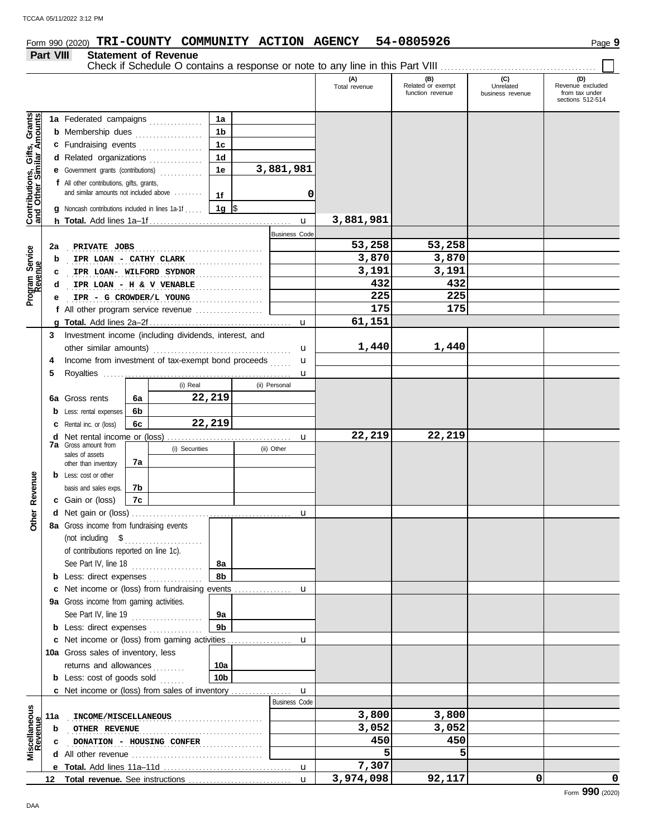### Form 990 (2020) Page **9 TRI-COUNTY COMMUNITY ACTION AGENCY 54-0805926**

#### **Part VIII Statement of Revenue**

Check if Schedule O contains a response or note to any line in this Part VIII . . . . . . . . . . . . . . . . . . . . . . . . . . . . . . . . . . . . . . . . . . . .

|                                                           |                                |                                                                                            |    |                |                      |            |                      | (A)<br>Total revenue | (B)<br>Related or exempt<br>function revenue | (C)<br>Unrelated<br>business revenue | (D)<br>Revenue excluded<br>from tax under<br>sections 512-514 |
|-----------------------------------------------------------|--------------------------------|--------------------------------------------------------------------------------------------|----|----------------|----------------------|------------|----------------------|----------------------|----------------------------------------------|--------------------------------------|---------------------------------------------------------------|
|                                                           |                                |                                                                                            |    |                |                      |            |                      |                      |                                              |                                      |                                                               |
|                                                           |                                | 1a Federated campaigns                                                                     |    |                | 1a<br>1 <sub>b</sub> |            |                      |                      |                                              |                                      |                                                               |
|                                                           |                                | <b>b</b> Membership dues                                                                   |    |                |                      |            |                      |                      |                                              |                                      |                                                               |
|                                                           |                                | c Fundraising events                                                                       |    |                | 1 <sub>c</sub>       |            |                      |                      |                                              |                                      |                                                               |
|                                                           |                                | d Related organizations                                                                    |    | .              | 1 <sub>d</sub>       |            |                      |                      |                                              |                                      |                                                               |
|                                                           |                                | Government grants (contributions)                                                          |    |                | 1e                   |            | 3,881,981            |                      |                                              |                                      |                                                               |
| Contributions, Gifts, Grants<br>and Other Similar Amounts |                                | <b>f</b> All other contributions, gifts, grants,<br>and similar amounts not included above |    |                | 1f                   |            | 0                    |                      |                                              |                                      |                                                               |
|                                                           |                                | Noncash contributions included in lines 1a-1f                                              |    |                | $1g \sqrt{3}$        |            |                      |                      |                                              |                                      |                                                               |
|                                                           |                                |                                                                                            |    |                |                      |            | $\mathbf u$          | 3,881,981            |                                              |                                      |                                                               |
|                                                           |                                |                                                                                            |    |                |                      |            | <b>Business Code</b> |                      |                                              |                                      |                                                               |
|                                                           | 2a                             | PRIVATE JOBS                                                                               |    |                |                      |            |                      | 53,258               | 53,258                                       |                                      |                                                               |
|                                                           | b                              | IPR LOAN - CATHY CLARK                                                                     |    |                |                      |            |                      | 3,870                | 3,870                                        |                                      |                                                               |
|                                                           | С                              | IPR LOAN- WILFORD SYDNOR                                                                   |    |                |                      |            |                      | 3,191                | 3,191                                        |                                      |                                                               |
|                                                           |                                | IPR LOAN - H & V VENABLE                                                                   |    |                |                      |            |                      | 432                  | 432                                          |                                      |                                                               |
| Program Service<br>Revenue                                | е                              | IPR - G CROWDER/L YOUNG                                                                    |    |                |                      |            |                      | 225                  | 225                                          |                                      |                                                               |
|                                                           |                                | f All other program service revenue                                                        |    |                |                      | .          |                      | 175                  | 175                                          |                                      |                                                               |
|                                                           |                                |                                                                                            |    |                |                      |            | $\mathbf u$          | 61,151               |                                              |                                      |                                                               |
|                                                           | 3                              | Investment income (including dividends, interest, and                                      |    |                |                      |            |                      |                      |                                              |                                      |                                                               |
|                                                           |                                |                                                                                            |    |                |                      |            | u                    | 1,440                | 1,440                                        |                                      |                                                               |
|                                                           | 4                              | Income from investment of tax-exempt bond proceeds                                         |    |                |                      |            | u                    |                      |                                              |                                      |                                                               |
|                                                           |                                |                                                                                            |    |                |                      |            | u                    |                      |                                              |                                      |                                                               |
|                                                           | 5<br>(i) Real<br>(ii) Personal |                                                                                            |    |                |                      |            |                      |                      |                                              |                                      |                                                               |
|                                                           | 6a                             | Gross rents                                                                                | 6а |                | 22,219               |            |                      |                      |                                              |                                      |                                                               |
|                                                           | b                              | Less: rental expenses                                                                      | 6b |                |                      |            |                      |                      |                                              |                                      |                                                               |
|                                                           |                                |                                                                                            | 6c |                | 22,219               |            |                      |                      |                                              |                                      |                                                               |
|                                                           | c                              | Rental inc. or (loss)                                                                      |    |                |                      |            |                      | 22,219               | 22,219                                       |                                      |                                                               |
|                                                           | d                              | <b>7a</b> Gross amount from                                                                |    | (i) Securities |                      | (ii) Other | u                    |                      |                                              |                                      |                                                               |
|                                                           |                                | sales of assets                                                                            |    |                |                      |            |                      |                      |                                              |                                      |                                                               |
|                                                           |                                | other than inventory                                                                       | 7а |                |                      |            |                      |                      |                                              |                                      |                                                               |
|                                                           |                                | <b>b</b> Less: cost or other                                                               |    |                |                      |            |                      |                      |                                              |                                      |                                                               |
| Revenue                                                   |                                | basis and sales exps.                                                                      | 7b |                |                      |            |                      |                      |                                              |                                      |                                                               |
|                                                           |                                | <b>c</b> Gain or (loss)                                                                    | 7c |                |                      |            |                      |                      |                                              |                                      |                                                               |
| <b>Other</b>                                              | d                              |                                                                                            |    |                |                      |            | u                    |                      |                                              |                                      |                                                               |
|                                                           |                                | 8a Gross income from fundraising events                                                    |    |                |                      |            |                      |                      |                                              |                                      |                                                               |
|                                                           |                                |                                                                                            |    |                |                      |            |                      |                      |                                              |                                      |                                                               |
|                                                           |                                | of contributions reported on line 1c).                                                     |    |                |                      |            |                      |                      |                                              |                                      |                                                               |
|                                                           |                                | See Part IV, line 18                                                                       |    |                | 8a                   |            |                      |                      |                                              |                                      |                                                               |
|                                                           |                                | <b>b</b> Less: direct expenses                                                             |    |                | 8b                   |            |                      |                      |                                              |                                      |                                                               |
|                                                           | c                              | Net income or (loss) from fundraising events                                               |    |                |                      |            | u                    |                      |                                              |                                      |                                                               |
|                                                           |                                | 9a Gross income from gaming activities.                                                    |    |                |                      |            |                      |                      |                                              |                                      |                                                               |
|                                                           |                                | See Part IV, line 19                                                                       |    | .              | 9а                   |            |                      |                      |                                              |                                      |                                                               |
|                                                           |                                | <b>b</b> Less: direct expenses                                                             |    |                | 9 <sub>b</sub>       |            |                      |                      |                                              |                                      |                                                               |
|                                                           | c                              | Net income or (loss) from gaming activities                                                |    |                |                      |            | u                    |                      |                                              |                                      |                                                               |
|                                                           |                                | 10a Gross sales of inventory, less                                                         |    |                |                      |            |                      |                      |                                              |                                      |                                                               |
|                                                           |                                | returns and allowances                                                                     |    | de de decem    | 10a                  |            |                      |                      |                                              |                                      |                                                               |
|                                                           |                                | <b>b</b> Less: cost of goods sold                                                          |    |                | 10 <sub>b</sub>      |            |                      |                      |                                              |                                      |                                                               |
|                                                           |                                | c Net income or (loss) from sales of inventory                                             |    |                |                      |            | u                    |                      |                                              |                                      |                                                               |
|                                                           |                                |                                                                                            |    |                |                      |            | <b>Business Code</b> |                      |                                              |                                      |                                                               |
|                                                           | 11a                            | INCOME/MISCELLANEOUS                                                                       |    |                |                      |            |                      | 3,800                | 3,800                                        |                                      |                                                               |
|                                                           | b                              | OTHER REVENUE                                                                              |    |                |                      |            |                      | 3,052                | 3,052                                        |                                      |                                                               |
| Miscellaneous<br>Revenue                                  | с                              | DONATION - HOUSING CONFER                                                                  |    |                |                      |            |                      | 450                  | 450                                          |                                      |                                                               |
|                                                           | d                              |                                                                                            |    |                |                      |            |                      | 5                    | 5                                            |                                      |                                                               |
|                                                           | е                              |                                                                                            |    |                |                      |            | $\mathbf u$          | 7,307                |                                              |                                      |                                                               |
|                                                           | 12 <sup>12</sup>               |                                                                                            |    |                |                      |            | $\mathbf{u}$         | 3,974,098            | 92,117                                       | 0                                    | 0                                                             |

 $\Box$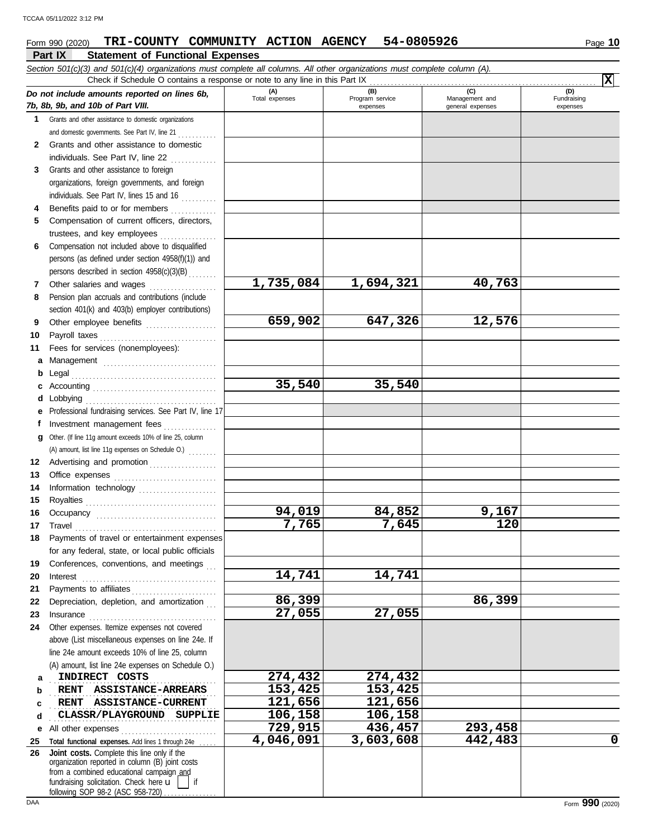#### **Form 990 (2020) PIRI-COUNTY COMMUNITY ACTION AGENCY 54-0805926** Page 10 **Part IX Statement of Functional Expenses** Г *Section 501(c)(3) and 501(c)(4) organizations must complete all columns. All other organizations must complete column (A).*

|              | Section 501(c)(3) and 501(c)(4) organizations must complete all columns. All other organizations must complete column (A).<br>Check if Schedule O contains a response or note to any line in this Part IX                                                                                                                                                                                                                                                                                                                   |                       |                                    |                                           | 図                              |
|--------------|-----------------------------------------------------------------------------------------------------------------------------------------------------------------------------------------------------------------------------------------------------------------------------------------------------------------------------------------------------------------------------------------------------------------------------------------------------------------------------------------------------------------------------|-----------------------|------------------------------------|-------------------------------------------|--------------------------------|
|              | Do not include amounts reported on lines 6b,<br>7b, 8b, 9b, and 10b of Part VIII.                                                                                                                                                                                                                                                                                                                                                                                                                                           | (A)<br>Total expenses | (B)<br>Program service<br>expenses | (C)<br>Management and<br>general expenses | (D)<br>Fundraising<br>expenses |
|              | 1 Grants and other assistance to domestic organizations                                                                                                                                                                                                                                                                                                                                                                                                                                                                     |                       |                                    |                                           |                                |
|              | and domestic governments. See Part IV, line 21                                                                                                                                                                                                                                                                                                                                                                                                                                                                              |                       |                                    |                                           |                                |
| $\mathbf{2}$ | Grants and other assistance to domestic                                                                                                                                                                                                                                                                                                                                                                                                                                                                                     |                       |                                    |                                           |                                |
|              | individuals. See Part IV, line 22<br>.                                                                                                                                                                                                                                                                                                                                                                                                                                                                                      |                       |                                    |                                           |                                |
| 3            | Grants and other assistance to foreign                                                                                                                                                                                                                                                                                                                                                                                                                                                                                      |                       |                                    |                                           |                                |
|              | organizations, foreign governments, and foreign                                                                                                                                                                                                                                                                                                                                                                                                                                                                             |                       |                                    |                                           |                                |
|              | individuals. See Part IV, lines 15 and 16                                                                                                                                                                                                                                                                                                                                                                                                                                                                                   |                       |                                    |                                           |                                |
| 4            | Benefits paid to or for members                                                                                                                                                                                                                                                                                                                                                                                                                                                                                             |                       |                                    |                                           |                                |
| 5            | Compensation of current officers, directors,                                                                                                                                                                                                                                                                                                                                                                                                                                                                                |                       |                                    |                                           |                                |
|              | trustees, and key employees<br>.                                                                                                                                                                                                                                                                                                                                                                                                                                                                                            |                       |                                    |                                           |                                |
| 6            | Compensation not included above to disqualified                                                                                                                                                                                                                                                                                                                                                                                                                                                                             |                       |                                    |                                           |                                |
|              | persons (as defined under section 4958(f)(1)) and                                                                                                                                                                                                                                                                                                                                                                                                                                                                           |                       |                                    |                                           |                                |
|              | persons described in section 4958(c)(3)(B)                                                                                                                                                                                                                                                                                                                                                                                                                                                                                  |                       |                                    |                                           |                                |
| 7            | Other salaries and wages                                                                                                                                                                                                                                                                                                                                                                                                                                                                                                    | 1,735,084             | 1,694,321                          | 40,763                                    |                                |
| 8            | Pension plan accruals and contributions (include                                                                                                                                                                                                                                                                                                                                                                                                                                                                            |                       |                                    |                                           |                                |
|              | section 401(k) and 403(b) employer contributions)                                                                                                                                                                                                                                                                                                                                                                                                                                                                           |                       |                                    |                                           |                                |
| 9            | Other employee benefits                                                                                                                                                                                                                                                                                                                                                                                                                                                                                                     | 659,902               | 647,326                            | 12,576                                    |                                |
| 10           | Payroll taxes                                                                                                                                                                                                                                                                                                                                                                                                                                                                                                               |                       |                                    |                                           |                                |
| 11           | Fees for services (nonemployees):                                                                                                                                                                                                                                                                                                                                                                                                                                                                                           |                       |                                    |                                           |                                |
| a            |                                                                                                                                                                                                                                                                                                                                                                                                                                                                                                                             |                       |                                    |                                           |                                |
| b            |                                                                                                                                                                                                                                                                                                                                                                                                                                                                                                                             | 35,540                | 35,540                             |                                           |                                |
|              |                                                                                                                                                                                                                                                                                                                                                                                                                                                                                                                             |                       |                                    |                                           |                                |
|              | Professional fundraising services. See Part IV, line 17                                                                                                                                                                                                                                                                                                                                                                                                                                                                     |                       |                                    |                                           |                                |
|              | Investment management fees                                                                                                                                                                                                                                                                                                                                                                                                                                                                                                  |                       |                                    |                                           |                                |
| q            | Other. (If line 11g amount exceeds 10% of line 25, column                                                                                                                                                                                                                                                                                                                                                                                                                                                                   |                       |                                    |                                           |                                |
|              | (A) amount, list line 11g expenses on Schedule O.)                                                                                                                                                                                                                                                                                                                                                                                                                                                                          |                       |                                    |                                           |                                |
| 12           | Advertising and promotion                                                                                                                                                                                                                                                                                                                                                                                                                                                                                                   |                       |                                    |                                           |                                |
| 13           |                                                                                                                                                                                                                                                                                                                                                                                                                                                                                                                             |                       |                                    |                                           |                                |
| 14           | Information technology                                                                                                                                                                                                                                                                                                                                                                                                                                                                                                      |                       |                                    |                                           |                                |
| 15           |                                                                                                                                                                                                                                                                                                                                                                                                                                                                                                                             |                       |                                    |                                           |                                |
| 16           |                                                                                                                                                                                                                                                                                                                                                                                                                                                                                                                             | 94,019                | 84,852                             | 9,167                                     |                                |
| 17           | $\begin{minipage}[c]{0.9\linewidth} \begin{tabular}{l} \textbf{Travel} \end{tabular} \end{minipage} \end{minipage} \begin{minipage}[c]{0.9\linewidth} \begin{tabular}{l} \textbf{True} \end{tabular} \end{minipage} \end{minipage} \begin{minipage}[c]{0.9\linewidth} \begin{tabular}{l} \textbf{True} \end{tabular} \end{minipage} \end{minipage} \begin{minipage}[c]{0.9\linewidth} \begin{tabular}{l} \textbf{True} \end{tabular} \end{minipage} \end{minipage} \begin{minipage}[c]{0.9\linewidth} \begin{tabular}{l} \$ | 7,765                 | $\overline{7,645}$                 | 120                                       |                                |
| 18           | Payments of travel or entertainment expenses                                                                                                                                                                                                                                                                                                                                                                                                                                                                                |                       |                                    |                                           |                                |
|              | for any federal, state, or local public officials                                                                                                                                                                                                                                                                                                                                                                                                                                                                           |                       |                                    |                                           |                                |
| 19           | Conferences, conventions, and meetings                                                                                                                                                                                                                                                                                                                                                                                                                                                                                      |                       |                                    |                                           |                                |
| 20           | Interest                                                                                                                                                                                                                                                                                                                                                                                                                                                                                                                    | 14,741                | 14,741                             |                                           |                                |
| 21           | Payments to affiliates                                                                                                                                                                                                                                                                                                                                                                                                                                                                                                      |                       |                                    |                                           |                                |
| 22           | Depreciation, depletion, and amortization                                                                                                                                                                                                                                                                                                                                                                                                                                                                                   | 86,399                |                                    | 86,399                                    |                                |
| 23           | Insurance                                                                                                                                                                                                                                                                                                                                                                                                                                                                                                                   | 27,055                | 27,055                             |                                           |                                |
| 24           | Other expenses. Itemize expenses not covered                                                                                                                                                                                                                                                                                                                                                                                                                                                                                |                       |                                    |                                           |                                |
|              | above (List miscellaneous expenses on line 24e. If                                                                                                                                                                                                                                                                                                                                                                                                                                                                          |                       |                                    |                                           |                                |
|              | line 24e amount exceeds 10% of line 25, column                                                                                                                                                                                                                                                                                                                                                                                                                                                                              |                       |                                    |                                           |                                |
|              | (A) amount, list line 24e expenses on Schedule O.)                                                                                                                                                                                                                                                                                                                                                                                                                                                                          |                       |                                    |                                           |                                |
| а            | INDIRECT COSTS                                                                                                                                                                                                                                                                                                                                                                                                                                                                                                              | 274,432               | 274,432                            |                                           |                                |
|              | RENT ASSISTANCE-ARREARS<br>RENT ASSISTANCE-CURRENT                                                                                                                                                                                                                                                                                                                                                                                                                                                                          | 153,425<br>121,656    | 153,425<br>121,656                 |                                           |                                |
|              | CLASSR/PLAYGROUND SUPPLIE                                                                                                                                                                                                                                                                                                                                                                                                                                                                                                   | 106,158               | 106,158                            |                                           |                                |
| d            |                                                                                                                                                                                                                                                                                                                                                                                                                                                                                                                             | 729,915               | 436,457                            | 293,458                                   |                                |
| е<br>25      | All other expenses<br>Total functional expenses. Add lines 1 through 24e                                                                                                                                                                                                                                                                                                                                                                                                                                                    | 4,046,091             | 3,603,608                          | 442,483                                   | 0                              |
| 26           | Joint costs. Complete this line only if the                                                                                                                                                                                                                                                                                                                                                                                                                                                                                 |                       |                                    |                                           |                                |
|              | organization reported in column (B) joint costs                                                                                                                                                                                                                                                                                                                                                                                                                                                                             |                       |                                    |                                           |                                |
|              | from a combined educational campaign and                                                                                                                                                                                                                                                                                                                                                                                                                                                                                    |                       |                                    |                                           |                                |
|              | fundraising solicitation. Check here u<br>if<br>following SOP 98.2 (ASC 958.720)                                                                                                                                                                                                                                                                                                                                                                                                                                            |                       |                                    |                                           |                                |

following SOP 98-2 (ASC 958-720) . . . . . . . . . . . . .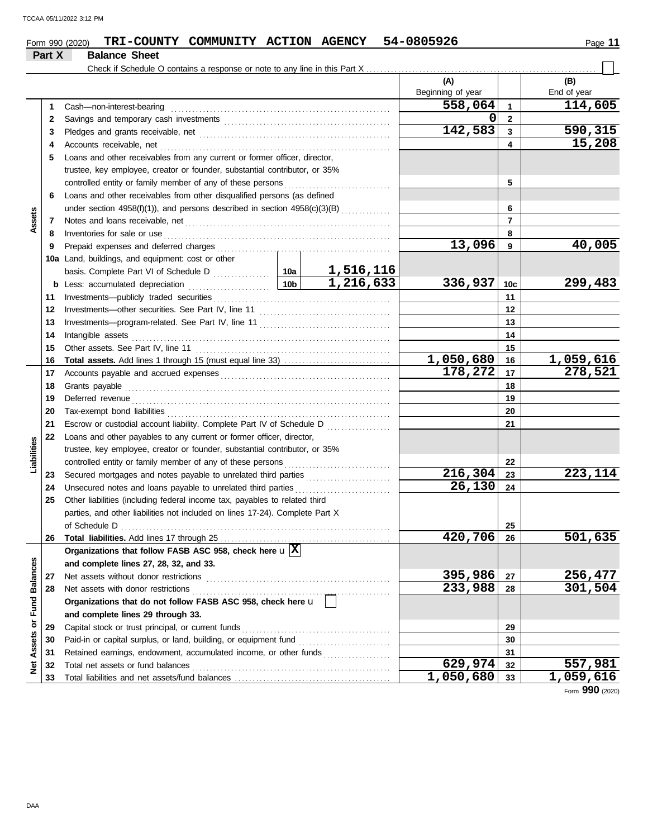|                         |        | TRI-COUNTY COMMUNITY ACTION AGENCY<br>Form 990 (2020)                                                                  |                                        | 54-0805926        |                 | Page 11     |
|-------------------------|--------|------------------------------------------------------------------------------------------------------------------------|----------------------------------------|-------------------|-----------------|-------------|
|                         | Part X | <b>Balance Sheet</b>                                                                                                   |                                        |                   |                 |             |
|                         |        |                                                                                                                        |                                        |                   |                 |             |
|                         |        |                                                                                                                        |                                        | (A)               |                 | (B)         |
|                         |        |                                                                                                                        |                                        | Beginning of year |                 | End of year |
|                         | 1      | Cash-non-interest-bearing                                                                                              |                                        | 558,064           | $\mathbf{1}$    | 114,605     |
|                         | 2      |                                                                                                                        |                                        | 0                 | $\mathbf{2}$    |             |
|                         | 3      |                                                                                                                        |                                        | 142,583           | 3               | 590,315     |
|                         | 4      | Accounts receivable, net                                                                                               |                                        |                   | 4               | 15,208      |
|                         | 5      | Loans and other receivables from any current or former officer, director,                                              |                                        |                   |                 |             |
|                         |        | trustee, key employee, creator or founder, substantial contributor, or 35%                                             |                                        |                   |                 |             |
|                         |        | controlled entity or family member of any of these persons                                                             |                                        | 5                 |                 |             |
|                         | 6      | Loans and other receivables from other disqualified persons (as defined                                                |                                        |                   |                 |             |
|                         |        | under section 4958(f)(1)), and persons described in section 4958(c)(3)(B)                                              |                                        |                   | 6               |             |
| Assets                  | 7      |                                                                                                                        |                                        |                   | $\overline{7}$  |             |
|                         | 8      | Inventories for sale or use                                                                                            |                                        |                   | 8               |             |
|                         | 9      |                                                                                                                        |                                        | 13,096            | 9               | 40,005      |
|                         |        | 10a Land, buildings, and equipment: cost or other                                                                      |                                        |                   |                 |             |
|                         |        |                                                                                                                        |                                        |                   |                 |             |
|                         | b      | Less: accumulated depreciation                                                                                         |                                        | 336,937           | 10 <sub>c</sub> | 299,483     |
|                         | 11     |                                                                                                                        |                                        |                   | 11              |             |
|                         | 12     |                                                                                                                        |                                        | 12                |                 |             |
|                         | 13     |                                                                                                                        |                                        | 13                |                 |             |
|                         | 14     | Intangible assets                                                                                                      |                                        | 14                |                 |             |
|                         | 15     | Other assets. See Part IV, line 11                                                                                     |                                        |                   | 15              |             |
|                         | 16     |                                                                                                                        |                                        | 1,050,680         | 16              | 1,059,616   |
|                         | 17     |                                                                                                                        |                                        | 178,272           | 17              | 278,521     |
|                         | 18     | Grants payable                                                                                                         |                                        | 18                |                 |             |
|                         | 19     | Deferred revenue                                                                                                       |                                        |                   | 19              |             |
|                         | 20     | Tax-exempt bond liabilities                                                                                            |                                        |                   | 20              |             |
|                         | 21     | Escrow or custodial account liability. Complete Part IV of Schedule D                                                  | <u> 1999 - Johann Stoff, ameri</u> kan |                   | 21              |             |
|                         | 22     | Loans and other payables to any current or former officer, director,                                                   |                                        |                   |                 |             |
| Liabilities             |        | trustee, key employee, creator or founder, substantial contributor, or 35%                                             |                                        |                   |                 |             |
|                         |        | controlled entity or family member of any of these persons                                                             |                                        |                   | 22              |             |
|                         | 23     | Secured mortgages and notes payable to unrelated third parties                                                         |                                        | 216,304           | 23              | 223,114     |
|                         | 24     | Unsecured notes and loans payable to unrelated third parties                                                           |                                        | 26,130            | 24              |             |
|                         | 25     | Other liabilities (including federal income tax, payables to related third                                             |                                        |                   |                 |             |
|                         |        | parties, and other liabilities not included on lines 17-24). Complete Part X                                           |                                        |                   |                 |             |
|                         |        | of Schedule D                                                                                                          |                                        | 420,706           | 25              | 501,635     |
|                         | 26     |                                                                                                                        |                                        |                   | 26              |             |
|                         |        | Organizations that follow FASB ASC 958, check here $\mathbf{u} \overline{X}$<br>and complete lines 27, 28, 32, and 33. |                                        |                   |                 |             |
|                         | 27     | Net assets without donor restrictions                                                                                  |                                        | 395,986           | 27              | 256,477     |
|                         | 28     | Net assets with donor restrictions                                                                                     |                                        | 233,988           | 28              | 301,504     |
|                         |        | Organizations that do not follow FASB ASC 958, check here u                                                            |                                        |                   |                 |             |
|                         |        | and complete lines 29 through 33.                                                                                      |                                        |                   |                 |             |
| Assets or Fund Balances | 29     | Capital stock or trust principal, or current funds                                                                     |                                        |                   | 29              |             |
|                         | 30     | Paid-in or capital surplus, or land, building, or equipment fund                                                       |                                        |                   | 30              |             |
|                         | 31     | Retained earnings, endowment, accumulated income, or other funds                                                       |                                        |                   | 31              |             |
| <b>Met</b>              | 32     | Total net assets or fund balances                                                                                      |                                        | 629,974           | 32              | 557,981     |
|                         | 33     |                                                                                                                        |                                        | 1,050,680         | 33              | 1,059,616   |
|                         |        |                                                                                                                        |                                        |                   |                 |             |

Form **990** (2020)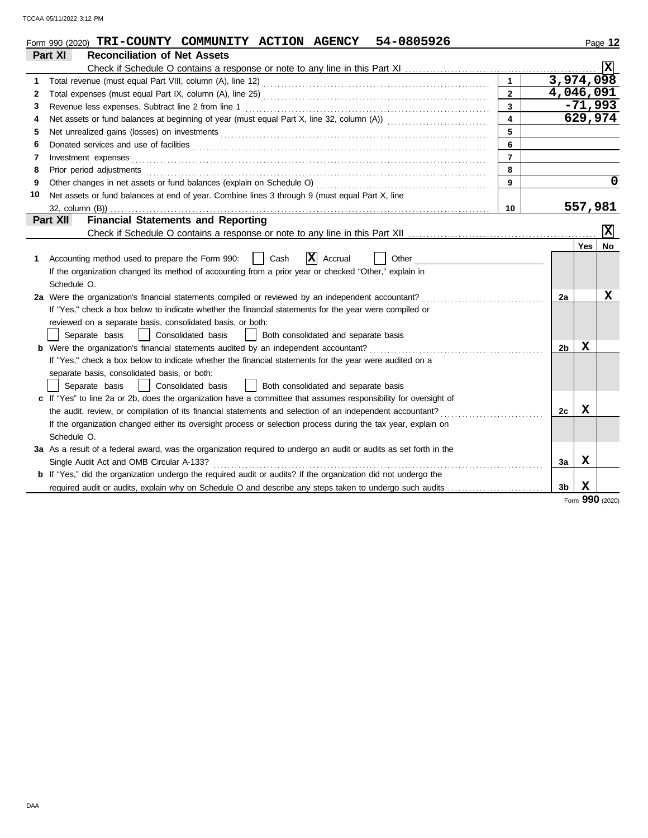|    | 54-0805926<br>Form 990 (2020) TRI-COUNTY COMMUNITY ACTION AGENCY                                                                                                                                                              |                |           |            | Page 12         |
|----|-------------------------------------------------------------------------------------------------------------------------------------------------------------------------------------------------------------------------------|----------------|-----------|------------|-----------------|
|    | <b>Reconciliation of Net Assets</b><br>Part XI                                                                                                                                                                                |                |           |            |                 |
|    |                                                                                                                                                                                                                               |                |           |            |                 |
| 1  |                                                                                                                                                                                                                               |                | 3,974,098 |            |                 |
| 2  |                                                                                                                                                                                                                               | $\mathbf{2}$   | 4,046,091 |            |                 |
| 3  | Revenue less expenses. Subtract line 2 from line 1                                                                                                                                                                            | 3              |           |            | $-71,993$       |
| 4  |                                                                                                                                                                                                                               | 4              |           |            | 629,974         |
| 5  | Net unrealized gains (losses) on investments [11] match and the control of the state of the state of the state of the state of the state of the state of the state of the state of the state of the state of the state of the | 5              |           |            |                 |
| 6  |                                                                                                                                                                                                                               | 6              |           |            |                 |
| 7  | Investment expenses                                                                                                                                                                                                           | $\overline{7}$ |           |            |                 |
| 8  | Prior period adjustments                                                                                                                                                                                                      | 8              |           |            |                 |
| 9  |                                                                                                                                                                                                                               | 9              |           |            | $\mathbf 0$     |
| 10 | Net assets or fund balances at end of year. Combine lines 3 through 9 (must equal Part X, line                                                                                                                                |                |           |            |                 |
|    |                                                                                                                                                                                                                               | 10             |           |            | 557,981         |
|    | <b>Financial Statements and Reporting</b><br>Part XII                                                                                                                                                                         |                |           |            |                 |
|    |                                                                                                                                                                                                                               |                |           |            | 冈               |
|    |                                                                                                                                                                                                                               |                |           | <b>Yes</b> | No.             |
| 1  | ΙXΙ<br>Accounting method used to prepare the Form 990:<br>Cash<br>Accrual<br>Other                                                                                                                                            |                |           |            |                 |
|    | If the organization changed its method of accounting from a prior year or checked "Other," explain in                                                                                                                         |                |           |            |                 |
|    | Schedule O.                                                                                                                                                                                                                   |                |           |            |                 |
|    | 2a Were the organization's financial statements compiled or reviewed by an independent accountant?                                                                                                                            |                | 2a        |            | X               |
|    | If "Yes," check a box below to indicate whether the financial statements for the year were compiled or                                                                                                                        |                |           |            |                 |
|    | reviewed on a separate basis, consolidated basis, or both:                                                                                                                                                                    |                |           |            |                 |
|    | Separate basis<br>Consolidated basis<br>Both consolidated and separate basis                                                                                                                                                  |                |           |            |                 |
|    | <b>b</b> Were the organization's financial statements audited by an independent accountant?                                                                                                                                   |                | 2b        | x          |                 |
|    | If "Yes," check a box below to indicate whether the financial statements for the year were audited on a                                                                                                                       |                |           |            |                 |
|    | separate basis, consolidated basis, or both:                                                                                                                                                                                  |                |           |            |                 |
|    | Both consolidated and separate basis<br>Separate basis<br>Consolidated basis                                                                                                                                                  |                |           |            |                 |
|    | c If "Yes" to line 2a or 2b, does the organization have a committee that assumes responsibility for oversight of                                                                                                              |                |           |            |                 |
|    | the audit, review, or compilation of its financial statements and selection of an independent accountant?                                                                                                                     |                | 2c        | x          |                 |
|    | If the organization changed either its oversight process or selection process during the tax year, explain on                                                                                                                 |                |           |            |                 |
|    | Schedule O.                                                                                                                                                                                                                   |                |           |            |                 |
|    | 3a As a result of a federal award, was the organization required to undergo an audit or audits as set forth in the                                                                                                            |                |           |            |                 |
|    | Single Audit Act and OMB Circular A-133?                                                                                                                                                                                      |                | 3a        | x          |                 |
|    | <b>b</b> If "Yes," did the organization undergo the required audit or audits? If the organization did not undergo the                                                                                                         |                |           |            |                 |
|    |                                                                                                                                                                                                                               |                | 3b        | х          |                 |
|    |                                                                                                                                                                                                                               |                |           |            | Form 990 (2020) |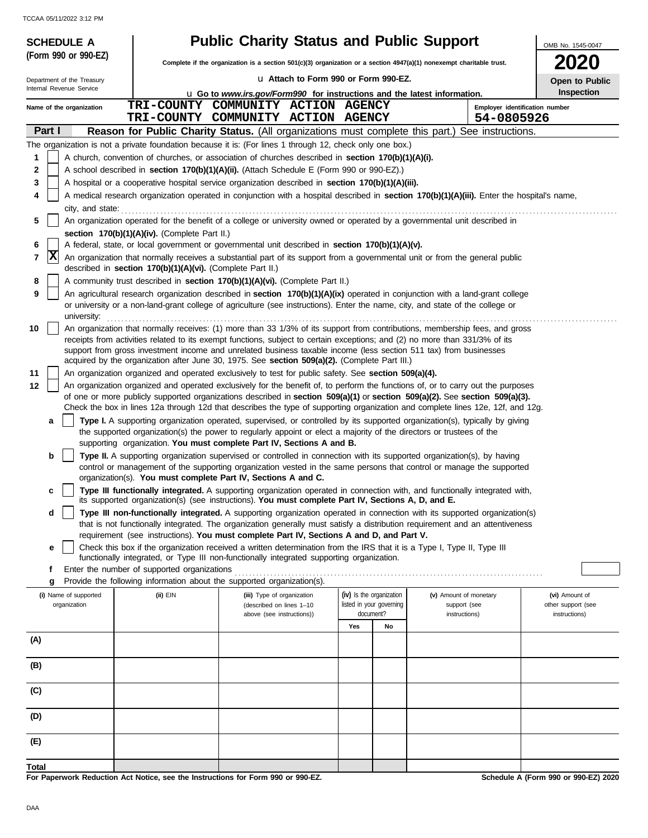| <b>SCHEDULE A</b>                                                                                         |                                                                                                                                                                                                                                                 | <b>Public Charity Status and Public Support</b>                                                                              |                                       |     |                          |                                                                                                                                                                                                                                                                 | OMB No. 1545-0047                    |  |  |  |  |
|-----------------------------------------------------------------------------------------------------------|-------------------------------------------------------------------------------------------------------------------------------------------------------------------------------------------------------------------------------------------------|------------------------------------------------------------------------------------------------------------------------------|---------------------------------------|-----|--------------------------|-----------------------------------------------------------------------------------------------------------------------------------------------------------------------------------------------------------------------------------------------------------------|--------------------------------------|--|--|--|--|
| (Form 990 or 990-EZ)                                                                                      |                                                                                                                                                                                                                                                 | 2020<br>Complete if the organization is a section 501(c)(3) organization or a section 4947(a)(1) nonexempt charitable trust. |                                       |     |                          |                                                                                                                                                                                                                                                                 |                                      |  |  |  |  |
| Department of the Treasury                                                                                |                                                                                                                                                                                                                                                 |                                                                                                                              | La Attach to Form 990 or Form 990-EZ. |     |                          |                                                                                                                                                                                                                                                                 | Open to Public                       |  |  |  |  |
| Internal Revenue Service                                                                                  |                                                                                                                                                                                                                                                 | <b>u</b> Go to www.irs.gov/Form990 for instructions and the latest information.                                              |                                       |     |                          |                                                                                                                                                                                                                                                                 | <b>Inspection</b>                    |  |  |  |  |
| Name of the organization                                                                                  | TRI-COUNTY COMMUNITY ACTION AGENCY<br>TRI-COUNTY COMMUNITY ACTION AGENCY                                                                                                                                                                        |                                                                                                                              |                                       |     |                          | Employer identification number<br>54-0805926                                                                                                                                                                                                                    |                                      |  |  |  |  |
| Part I                                                                                                    |                                                                                                                                                                                                                                                 |                                                                                                                              |                                       |     |                          | Reason for Public Charity Status. (All organizations must complete this part.) See instructions.                                                                                                                                                                |                                      |  |  |  |  |
| The organization is not a private foundation because it is: (For lines 1 through 12, check only one box.) |                                                                                                                                                                                                                                                 |                                                                                                                              |                                       |     |                          |                                                                                                                                                                                                                                                                 |                                      |  |  |  |  |
| 1                                                                                                         | A church, convention of churches, or association of churches described in section 170(b)(1)(A)(i).                                                                                                                                              |                                                                                                                              |                                       |     |                          |                                                                                                                                                                                                                                                                 |                                      |  |  |  |  |
| $\mathbf 2$                                                                                               | A school described in <b>section 170(b)(1)(A)(ii).</b> (Attach Schedule E (Form 990 or 990-EZ).)                                                                                                                                                |                                                                                                                              |                                       |     |                          |                                                                                                                                                                                                                                                                 |                                      |  |  |  |  |
| 3<br>4                                                                                                    | A hospital or a cooperative hospital service organization described in section 170(b)(1)(A)(iii).<br>A medical research organization operated in conjunction with a hospital described in section 170(b)(1)(A)(iii). Enter the hospital's name, |                                                                                                                              |                                       |     |                          |                                                                                                                                                                                                                                                                 |                                      |  |  |  |  |
| city, and state:                                                                                          |                                                                                                                                                                                                                                                 |                                                                                                                              |                                       |     |                          |                                                                                                                                                                                                                                                                 |                                      |  |  |  |  |
| 5                                                                                                         |                                                                                                                                                                                                                                                 |                                                                                                                              |                                       |     |                          | An organization operated for the benefit of a college or university owned or operated by a governmental unit described in                                                                                                                                       |                                      |  |  |  |  |
|                                                                                                           | section 170(b)(1)(A)(iv). (Complete Part II.)                                                                                                                                                                                                   |                                                                                                                              |                                       |     |                          |                                                                                                                                                                                                                                                                 |                                      |  |  |  |  |
| 6                                                                                                         | A federal, state, or local government or governmental unit described in section 170(b)(1)(A)(v).                                                                                                                                                |                                                                                                                              |                                       |     |                          |                                                                                                                                                                                                                                                                 |                                      |  |  |  |  |
| X<br>7                                                                                                    | described in section 170(b)(1)(A)(vi). (Complete Part II.)                                                                                                                                                                                      |                                                                                                                              |                                       |     |                          | An organization that normally receives a substantial part of its support from a governmental unit or from the general public                                                                                                                                    |                                      |  |  |  |  |
| 8                                                                                                         | A community trust described in section 170(b)(1)(A)(vi). (Complete Part II.)                                                                                                                                                                    |                                                                                                                              |                                       |     |                          |                                                                                                                                                                                                                                                                 |                                      |  |  |  |  |
| 9<br>university:                                                                                          |                                                                                                                                                                                                                                                 |                                                                                                                              |                                       |     |                          | An agricultural research organization described in section 170(b)(1)(A)(ix) operated in conjunction with a land-grant college<br>or university or a non-land-grant college of agriculture (see instructions). Enter the name, city, and state of the college or |                                      |  |  |  |  |
| 10                                                                                                        |                                                                                                                                                                                                                                                 |                                                                                                                              |                                       |     |                          | An organization that normally receives: (1) more than 33 1/3% of its support from contributions, membership fees, and gross                                                                                                                                     |                                      |  |  |  |  |
|                                                                                                           |                                                                                                                                                                                                                                                 |                                                                                                                              |                                       |     |                          | receipts from activities related to its exempt functions, subject to certain exceptions; and (2) no more than 331/3% of its                                                                                                                                     |                                      |  |  |  |  |
|                                                                                                           | acquired by the organization after June 30, 1975. See section 509(a)(2). (Complete Part III.)                                                                                                                                                   |                                                                                                                              |                                       |     |                          | support from gross investment income and unrelated business taxable income (less section 511 tax) from businesses                                                                                                                                               |                                      |  |  |  |  |
| 11                                                                                                        | An organization organized and operated exclusively to test for public safety. See section 509(a)(4).                                                                                                                                            |                                                                                                                              |                                       |     |                          |                                                                                                                                                                                                                                                                 |                                      |  |  |  |  |
| 12                                                                                                        |                                                                                                                                                                                                                                                 |                                                                                                                              |                                       |     |                          | An organization organized and operated exclusively for the benefit of, to perform the functions of, or to carry out the purposes                                                                                                                                |                                      |  |  |  |  |
|                                                                                                           |                                                                                                                                                                                                                                                 |                                                                                                                              |                                       |     |                          | of one or more publicly supported organizations described in section 509(a)(1) or section 509(a)(2). See section 509(a)(3).<br>Check the box in lines 12a through 12d that describes the type of supporting organization and complete lines 12e, 12f, and 12g.  |                                      |  |  |  |  |
| a                                                                                                         |                                                                                                                                                                                                                                                 |                                                                                                                              |                                       |     |                          | Type I. A supporting organization operated, supervised, or controlled by its supported organization(s), typically by giving                                                                                                                                     |                                      |  |  |  |  |
|                                                                                                           |                                                                                                                                                                                                                                                 |                                                                                                                              |                                       |     |                          | the supported organization(s) the power to regularly appoint or elect a majority of the directors or trustees of the                                                                                                                                            |                                      |  |  |  |  |
| b                                                                                                         | supporting organization. You must complete Part IV, Sections A and B.                                                                                                                                                                           |                                                                                                                              |                                       |     |                          | Type II. A supporting organization supervised or controlled in connection with its supported organization(s), by having                                                                                                                                         |                                      |  |  |  |  |
|                                                                                                           | organization(s). You must complete Part IV, Sections A and C.                                                                                                                                                                                   |                                                                                                                              |                                       |     |                          | control or management of the supporting organization vested in the same persons that control or manage the supported                                                                                                                                            |                                      |  |  |  |  |
| c                                                                                                         |                                                                                                                                                                                                                                                 |                                                                                                                              |                                       |     |                          | Type III functionally integrated. A supporting organization operated in connection with, and functionally integrated with,                                                                                                                                      |                                      |  |  |  |  |
| d                                                                                                         | its supported organization(s) (see instructions). You must complete Part IV, Sections A, D, and E.                                                                                                                                              |                                                                                                                              |                                       |     |                          | Type III non-functionally integrated. A supporting organization operated in connection with its supported organization(s)                                                                                                                                       |                                      |  |  |  |  |
|                                                                                                           |                                                                                                                                                                                                                                                 |                                                                                                                              |                                       |     |                          | that is not functionally integrated. The organization generally must satisfy a distribution requirement and an attentiveness                                                                                                                                    |                                      |  |  |  |  |
| е                                                                                                         | requirement (see instructions). You must complete Part IV, Sections A and D, and Part V.                                                                                                                                                        |                                                                                                                              |                                       |     |                          | Check this box if the organization received a written determination from the IRS that it is a Type I, Type II, Type III                                                                                                                                         |                                      |  |  |  |  |
|                                                                                                           | functionally integrated, or Type III non-functionally integrated supporting organization.                                                                                                                                                       |                                                                                                                              |                                       |     |                          |                                                                                                                                                                                                                                                                 |                                      |  |  |  |  |
| f                                                                                                         | Enter the number of supported organizations                                                                                                                                                                                                     |                                                                                                                              |                                       |     |                          |                                                                                                                                                                                                                                                                 |                                      |  |  |  |  |
| g<br>(i) Name of supported                                                                                | Provide the following information about the supported organization(s).<br>(ii) EIN                                                                                                                                                              |                                                                                                                              |                                       |     | (iv) Is the organization | (v) Amount of monetary                                                                                                                                                                                                                                          | (vi) Amount of                       |  |  |  |  |
| organization                                                                                              |                                                                                                                                                                                                                                                 | (iii) Type of organization<br>(described on lines 1-10                                                                       |                                       |     | listed in your governing | support (see                                                                                                                                                                                                                                                    | other support (see                   |  |  |  |  |
|                                                                                                           |                                                                                                                                                                                                                                                 | above (see instructions))                                                                                                    |                                       |     | document?                | instructions)                                                                                                                                                                                                                                                   | instructions)                        |  |  |  |  |
|                                                                                                           |                                                                                                                                                                                                                                                 |                                                                                                                              |                                       | Yes | No                       |                                                                                                                                                                                                                                                                 |                                      |  |  |  |  |
| (A)                                                                                                       |                                                                                                                                                                                                                                                 |                                                                                                                              |                                       |     |                          |                                                                                                                                                                                                                                                                 |                                      |  |  |  |  |
| (B)                                                                                                       |                                                                                                                                                                                                                                                 |                                                                                                                              |                                       |     |                          |                                                                                                                                                                                                                                                                 |                                      |  |  |  |  |
| (C)                                                                                                       |                                                                                                                                                                                                                                                 |                                                                                                                              |                                       |     |                          |                                                                                                                                                                                                                                                                 |                                      |  |  |  |  |
| (D)                                                                                                       |                                                                                                                                                                                                                                                 |                                                                                                                              |                                       |     |                          |                                                                                                                                                                                                                                                                 |                                      |  |  |  |  |
|                                                                                                           |                                                                                                                                                                                                                                                 |                                                                                                                              |                                       |     |                          |                                                                                                                                                                                                                                                                 |                                      |  |  |  |  |
| (E)                                                                                                       |                                                                                                                                                                                                                                                 |                                                                                                                              |                                       |     |                          |                                                                                                                                                                                                                                                                 |                                      |  |  |  |  |
| Total<br>For Paperwork Reduction Act Notice, see the Instructions for Form 990 or 990-EZ.                 |                                                                                                                                                                                                                                                 |                                                                                                                              |                                       |     |                          |                                                                                                                                                                                                                                                                 | Schedule A (Form 990 or 990-EZ) 2020 |  |  |  |  |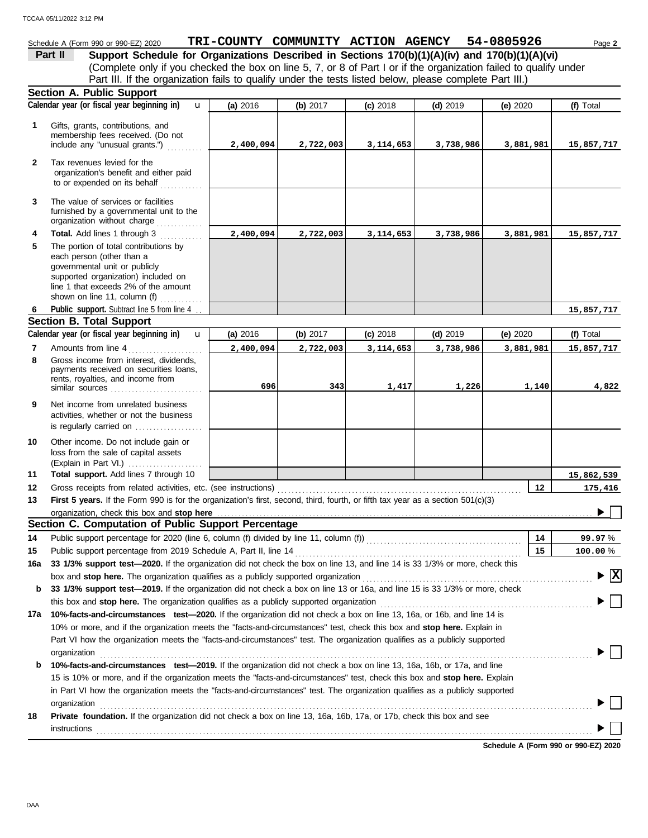### Schedule A (Form 990 or 990-EZ) 2020 **TRI-COUNTY COMMUNITY ACTION AGENCY 54-0805926** Page 2

(Complete only if you checked the box on line 5, 7, or 8 of Part I or if the organization failed to qualify under **Part II** Support Schedule for Organizations Described in Sections 170(b)(1)(A)(iv) and 170(b)(1)(A)(vi) Part III. If the organization fails to qualify under the tests listed below, please complete Part III.)

|              | <b>Section A. Public Support</b>                                                                                                                                                                                                                                                       |           |           |             |            |            |                         |
|--------------|----------------------------------------------------------------------------------------------------------------------------------------------------------------------------------------------------------------------------------------------------------------------------------------|-----------|-----------|-------------|------------|------------|-------------------------|
|              | Calendar year (or fiscal year beginning in)<br>$\mathbf{u}$                                                                                                                                                                                                                            | (a) 2016  | (b) 2017  | $(c)$ 2018  | $(d)$ 2019 | (e) 2020   | (f) Total               |
| 1            | Gifts, grants, contributions, and<br>membership fees received. (Do not<br>include any "unusual grants.")                                                                                                                                                                               | 2,400,094 | 2,722,003 | 3,114,653   | 3,738,986  | 3,881,981  | 15,857,717              |
| $\mathbf{2}$ | Tax revenues levied for the<br>organization's benefit and either paid<br>to or expended on its behalf                                                                                                                                                                                  |           |           |             |            |            |                         |
| 3            | The value of services or facilities<br>furnished by a governmental unit to the<br>organization without charge                                                                                                                                                                          |           |           |             |            |            |                         |
| 4<br>5       | Total. Add lines 1 through 3<br>The portion of total contributions by<br>each person (other than a<br>governmental unit or publicly<br>supported organization) included on<br>line 1 that exceeds 2% of the amount<br>shown on line 11, column (f)                                     | 2,400,094 | 2,722,003 | 3, 114, 653 | 3,738,986  | 3,881,981  | 15,857,717              |
| 6            | Public support. Subtract line 5 from line 4                                                                                                                                                                                                                                            |           |           |             |            |            | 15,857,717              |
|              | <b>Section B. Total Support</b>                                                                                                                                                                                                                                                        |           |           |             |            |            |                         |
|              | Calendar year (or fiscal year beginning in)<br>u                                                                                                                                                                                                                                       | (a) 2016  | (b) 2017  | $(c)$ 2018  | $(d)$ 2019 | (e) $2020$ | (f) Total               |
| 7            | Amounts from line 4                                                                                                                                                                                                                                                                    | 2,400,094 | 2,722,003 | 3,114,653   | 3,738,986  | 3,881,981  | 15,857,717              |
| 8            | Gross income from interest, dividends,<br>payments received on securities loans,<br>rents, royalties, and income from<br>similar sources                                                                                                                                               | 696       | 343       | 1,417       | 1,226      | 1,140      | 4,822                   |
| 9            | Net income from unrelated business<br>activities, whether or not the business<br>is regularly carried on $\ldots$ , $\ldots$                                                                                                                                                           |           |           |             |            |            |                         |
| 10           | Other income. Do not include gain or<br>loss from the sale of capital assets<br>(Explain in Part VI.)                                                                                                                                                                                  |           |           |             |            |            |                         |
| 11           | Total support. Add lines 7 through 10                                                                                                                                                                                                                                                  |           |           |             |            |            | 15,862,539              |
| 12           | Gross receipts from related activities, etc. (see instructions)                                                                                                                                                                                                                        |           |           |             |            | 12         | 175,416                 |
| 13           | First 5 years. If the Form 990 is for the organization's first, second, third, fourth, or fifth tax year as a section 501(c)(3)                                                                                                                                                        |           |           |             |            |            |                         |
|              | organization, check this box and stop here                                                                                                                                                                                                                                             |           |           |             |            |            |                         |
|              | Section C. Computation of Public Support Percentage                                                                                                                                                                                                                                    |           |           |             |            |            |                         |
| 14           | Public support percentage for 2020 (line 6, column (f) divided by line 11, column (f)) [[[[[[[[[[[[[[[[[[[[[[                                                                                                                                                                          |           |           |             |            | 14         | 99.97%                  |
| 15           | Public support percentage from 2019 Schedule A, Part II, line 14<br>Public support percentage from 2019 Schedule A, Part II, line 14 <i>COMMA 14 COMMA 13</i> 1/3% support test—2020. If the organization did not check the box on line 13, and line 14 is 33 1/3% or more, check this |           |           |             |            | 15         | 100.00%                 |
| 16a          |                                                                                                                                                                                                                                                                                        |           |           |             |            |            |                         |
|              | box and stop here. The organization qualifies as a publicly supported organization                                                                                                                                                                                                     |           |           |             |            |            | $\overline{\mathbf{x}}$ |
|              | b 33 1/3% support test-2019. If the organization did not check a box on line 13 or 16a, and line 15 is 33 1/3% or more, check                                                                                                                                                          |           |           |             |            |            |                         |
|              | this box and stop here. The organization qualifies as a publicly supported organization                                                                                                                                                                                                |           |           |             |            |            |                         |
|              | 17a 10%-facts-and-circumstances test-2020. If the organization did not check a box on line 13, 16a, or 16b, and line 14 is                                                                                                                                                             |           |           |             |            |            |                         |
|              | 10% or more, and if the organization meets the "facts-and-circumstances" test, check this box and stop here. Explain in                                                                                                                                                                |           |           |             |            |            |                         |
|              | Part VI how the organization meets the "facts-and-circumstances" test. The organization qualifies as a publicly supported                                                                                                                                                              |           |           |             |            |            |                         |
|              | organization                                                                                                                                                                                                                                                                           |           |           |             |            |            |                         |
| b            | 10%-facts-and-circumstances test-2019. If the organization did not check a box on line 13, 16a, 16b, or 17a, and line                                                                                                                                                                  |           |           |             |            |            |                         |
|              | 15 is 10% or more, and if the organization meets the "facts-and-circumstances" test, check this box and stop here. Explain                                                                                                                                                             |           |           |             |            |            |                         |
|              | in Part VI how the organization meets the "facts-and-circumstances" test. The organization qualifies as a publicly supported                                                                                                                                                           |           |           |             |            |            |                         |
|              | organization                                                                                                                                                                                                                                                                           |           |           |             |            |            |                         |
| 18           | Private foundation. If the organization did not check a box on line 13, 16a, 16b, 17a, or 17b, check this box and see                                                                                                                                                                  |           |           |             |            |            |                         |
|              | instructions                                                                                                                                                                                                                                                                           |           |           |             |            |            |                         |
|              |                                                                                                                                                                                                                                                                                        |           |           |             |            |            |                         |

**Schedule A (Form 990 or 990-EZ) 2020**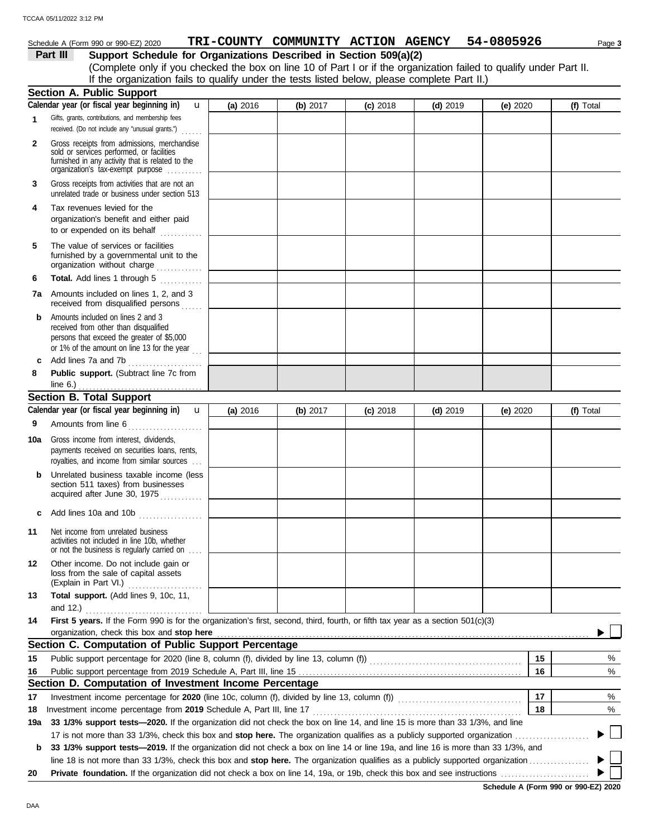## Schedule A (Form 990 or 990-EZ) 2020 Page **3 TRI-COUNTY COMMUNITY ACTION AGENCY 54-0805926**

**Part III** Support Schedule for Organizations Described in Section 509(a)(2) (Complete only if you checked the box on line 10 of Part I or if the organization failed to qualify under Part II.

If the organization fails to qualify under the tests listed below, please complete Part II.)

|     | <b>Section A. Public Support</b>                                                                                                                                                                                                                                                                                                          |          |            |            |            |          |           |
|-----|-------------------------------------------------------------------------------------------------------------------------------------------------------------------------------------------------------------------------------------------------------------------------------------------------------------------------------------------|----------|------------|------------|------------|----------|-----------|
|     | Calendar year (or fiscal year beginning in)<br>u                                                                                                                                                                                                                                                                                          | (a) 2016 | (b) $2017$ | $(c)$ 2018 | $(d)$ 2019 | (e) 2020 | (f) Total |
| 1   | Gifts, grants, contributions, and membership fees<br>received. (Do not include any "unusual grants.")                                                                                                                                                                                                                                     |          |            |            |            |          |           |
| 2   | Gross receipts from admissions, merchandise<br>sold or services performed, or facilities<br>furnished in any activity that is related to the<br>organization's tax-exempt purpose                                                                                                                                                         |          |            |            |            |          |           |
| 3   | Gross receipts from activities that are not an<br>unrelated trade or business under section 513                                                                                                                                                                                                                                           |          |            |            |            |          |           |
| 4   | Tax revenues levied for the<br>organization's benefit and either paid<br>to or expended on its behalf<br>an de la concerta de la concerta de la concerta de la concerta de la concerta de la concerta de la concerta de<br>La concerta de la concerta de la concerta de la concerta de la concerta de la concerta de la concerta de la co |          |            |            |            |          |           |
| 5   | The value of services or facilities<br>furnished by a governmental unit to the<br>organization without charge                                                                                                                                                                                                                             |          |            |            |            |          |           |
| 6   | Total. Add lines 1 through 5<br>.                                                                                                                                                                                                                                                                                                         |          |            |            |            |          |           |
|     | 7a Amounts included on lines 1, 2, and 3<br>received from disqualified persons                                                                                                                                                                                                                                                            |          |            |            |            |          |           |
| b   | Amounts included on lines 2 and 3<br>received from other than disqualified<br>persons that exceed the greater of \$5,000<br>or 1% of the amount on line 13 for the year $\ldots$                                                                                                                                                          |          |            |            |            |          |           |
| c   | Add lines 7a and 7b                                                                                                                                                                                                                                                                                                                       |          |            |            |            |          |           |
| 8   | Public support. (Subtract line 7c from<br>line $6.$ )                                                                                                                                                                                                                                                                                     |          |            |            |            |          |           |
|     | <b>Section B. Total Support</b>                                                                                                                                                                                                                                                                                                           |          |            |            |            |          |           |
|     | Calendar year (or fiscal year beginning in)<br>$\mathbf{u}$                                                                                                                                                                                                                                                                               | (a) 2016 | (b) 2017   | $(c)$ 2018 | $(d)$ 2019 | (e) 2020 | (f) Total |
| 9   | Amounts from line 6                                                                                                                                                                                                                                                                                                                       |          |            |            |            |          |           |
| 10a | Gross income from interest, dividends,<br>payments received on securities loans, rents,<br>royalties, and income from similar sources                                                                                                                                                                                                     |          |            |            |            |          |           |
| b   | Unrelated business taxable income (less<br>section 511 taxes) from businesses<br>acquired after June 30, 1975                                                                                                                                                                                                                             |          |            |            |            |          |           |
| c   | Add lines 10a and 10b                                                                                                                                                                                                                                                                                                                     |          |            |            |            |          |           |
| 11  | Net income from unrelated business<br>activities not included in line 10b, whether<br>or not the business is regularly carried on                                                                                                                                                                                                         |          |            |            |            |          |           |
| 12  | Other income. Do not include gain or<br>loss from the sale of capital assets<br>(Explain in Part VI.)<br>.                                                                                                                                                                                                                                |          |            |            |            |          |           |
| 13  | Total support. (Add lines 9, 10c, 11,<br>and 12.) $\qquad \qquad$                                                                                                                                                                                                                                                                         |          |            |            |            |          |           |
| 14  | First 5 years. If the Form 990 is for the organization's first, second, third, fourth, or fifth tax year as a section 501(c)(3)                                                                                                                                                                                                           |          |            |            |            |          |           |
|     | organization, check this box and stop here<br>Section C. Computation of Public Support Percentage                                                                                                                                                                                                                                         |          |            |            |            |          |           |
| 15  |                                                                                                                                                                                                                                                                                                                                           |          |            |            |            | 15       | %         |
| 16  |                                                                                                                                                                                                                                                                                                                                           |          |            |            |            | 16       | %         |
|     | Section D. Computation of Investment Income Percentage                                                                                                                                                                                                                                                                                    |          |            |            |            |          |           |
| 17  | Investment income percentage for 2020 (line 10c, column (f), divided by line 13, column (f)) [[[[[[[[[[[[[[[[[                                                                                                                                                                                                                            |          |            |            |            | 17       | %         |
| 18  | Investment income percentage from 2019 Schedule A, Part III, line 17                                                                                                                                                                                                                                                                      |          |            |            |            | 18       | %         |
| 19a | 33 1/3% support tests-2020. If the organization did not check the box on line 14, and line 15 is more than 33 1/3%, and line                                                                                                                                                                                                              |          |            |            |            |          |           |
|     |                                                                                                                                                                                                                                                                                                                                           |          |            |            |            |          | $\Box$    |
| b   | 33 1/3% support tests—2019. If the organization did not check a box on line 14 or line 19a, and line 16 is more than 33 1/3%, and                                                                                                                                                                                                         |          |            |            |            |          |           |
|     |                                                                                                                                                                                                                                                                                                                                           |          |            |            |            |          |           |
| 20  |                                                                                                                                                                                                                                                                                                                                           |          |            |            |            |          |           |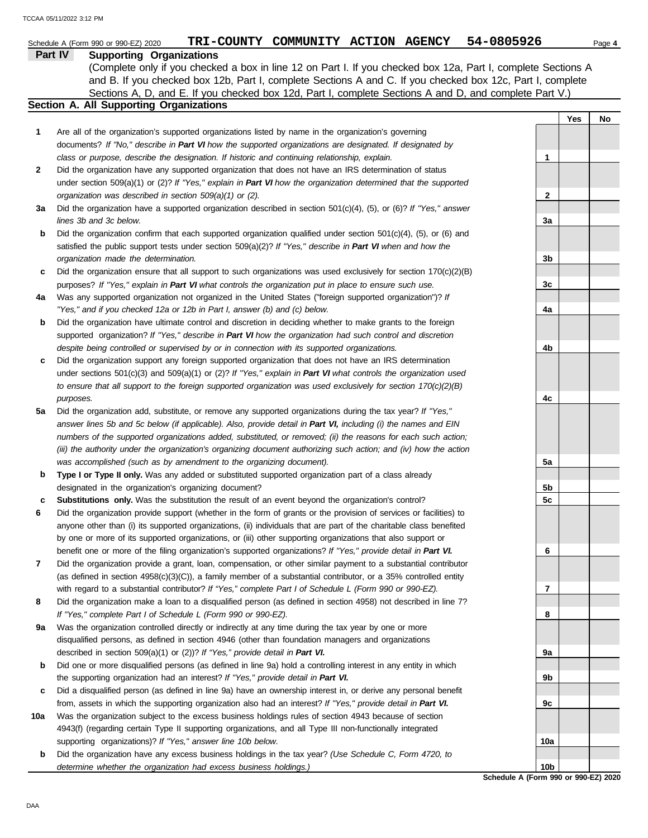|     | TRI-COUNTY COMMUNITY ACTION AGENCY 54-0805926<br>Schedule A (Form 990 or 990-EZ) 2020                                                                                                                |                 |     | Page 4 |
|-----|------------------------------------------------------------------------------------------------------------------------------------------------------------------------------------------------------|-----------------|-----|--------|
|     | Part IV<br><b>Supporting Organizations</b>                                                                                                                                                           |                 |     |        |
|     | (Complete only if you checked a box in line 12 on Part I. If you checked box 12a, Part I, complete Sections A                                                                                        |                 |     |        |
|     | and B. If you checked box 12b, Part I, complete Sections A and C. If you checked box 12c, Part I, complete                                                                                           |                 |     |        |
|     | Sections A, D, and E. If you checked box 12d, Part I, complete Sections A and D, and complete Part V.)                                                                                               |                 |     |        |
|     | Section A. All Supporting Organizations                                                                                                                                                              |                 |     |        |
|     |                                                                                                                                                                                                      |                 | Yes | No     |
| 1   | Are all of the organization's supported organizations listed by name in the organization's governing                                                                                                 |                 |     |        |
|     | documents? If "No," describe in Part VI how the supported organizations are designated. If designated by                                                                                             |                 |     |        |
|     | class or purpose, describe the designation. If historic and continuing relationship, explain.                                                                                                        | 1               |     |        |
| 2   | Did the organization have any supported organization that does not have an IRS determination of status                                                                                               |                 |     |        |
|     | under section 509(a)(1) or (2)? If "Yes," explain in Part VI how the organization determined that the supported                                                                                      |                 |     |        |
|     | organization was described in section $509(a)(1)$ or (2).                                                                                                                                            | $\mathbf{2}$    |     |        |
| За  | Did the organization have a supported organization described in section $501(c)(4)$ , (5), or (6)? If "Yes," answer<br>lines 3b and 3c below.                                                        | За              |     |        |
| b   | Did the organization confirm that each supported organization qualified under section $501(c)(4)$ , (5), or (6) and                                                                                  |                 |     |        |
|     | satisfied the public support tests under section 509(a)(2)? If "Yes," describe in Part VI when and how the                                                                                           |                 |     |        |
|     | organization made the determination.                                                                                                                                                                 | 3b              |     |        |
| c   | Did the organization ensure that all support to such organizations was used exclusively for section $170(c)(2)(B)$                                                                                   |                 |     |        |
|     | purposes? If "Yes," explain in Part VI what controls the organization put in place to ensure such use.                                                                                               | 3c              |     |        |
| 4a  | Was any supported organization not organized in the United States ("foreign supported organization")? If                                                                                             |                 |     |        |
|     | "Yes," and if you checked 12a or 12b in Part I, answer (b) and (c) below.                                                                                                                            | 4a              |     |        |
| b   | Did the organization have ultimate control and discretion in deciding whether to make grants to the foreign                                                                                          |                 |     |        |
|     | supported organization? If "Yes," describe in Part VI how the organization had such control and discretion                                                                                           |                 |     |        |
|     | despite being controlled or supervised by or in connection with its supported organizations.                                                                                                         | 4b              |     |        |
| c   | Did the organization support any foreign supported organization that does not have an IRS determination                                                                                              |                 |     |        |
|     | under sections $501(c)(3)$ and $509(a)(1)$ or (2)? If "Yes," explain in Part VI what controls the organization used                                                                                  |                 |     |        |
|     | to ensure that all support to the foreign supported organization was used exclusively for section $170(c)(2)(B)$                                                                                     |                 |     |        |
|     | purposes.                                                                                                                                                                                            | 4c              |     |        |
| 5a  | Did the organization add, substitute, or remove any supported organizations during the tax year? If "Yes,"                                                                                           |                 |     |        |
|     | answer lines 5b and 5c below (if applicable). Also, provide detail in Part VI, including (i) the names and EIN                                                                                       |                 |     |        |
|     | numbers of the supported organizations added, substituted, or removed; (ii) the reasons for each such action;                                                                                        |                 |     |        |
|     | (iii) the authority under the organization's organizing document authorizing such action; and (iv) how the action<br>was accomplished (such as by amendment to the organizing document).             | 5a              |     |        |
| b   | Type I or Type II only. Was any added or substituted supported organization part of a class already                                                                                                  |                 |     |        |
|     | designated in the organization's organizing document?                                                                                                                                                | 5b              |     |        |
| c   | <b>Substitutions only.</b> Was the substitution the result of an event beyond the organization's control?                                                                                            | 5c              |     |        |
| 6   | Did the organization provide support (whether in the form of grants or the provision of services or facilities) to                                                                                   |                 |     |        |
|     | anyone other than (i) its supported organizations, (ii) individuals that are part of the charitable class benefited                                                                                  |                 |     |        |
|     | by one or more of its supported organizations, or (iii) other supporting organizations that also support or                                                                                          |                 |     |        |
|     | benefit one or more of the filing organization's supported organizations? If "Yes," provide detail in Part VI.                                                                                       | 6               |     |        |
| 7   | Did the organization provide a grant, loan, compensation, or other similar payment to a substantial contributor                                                                                      |                 |     |        |
|     | (as defined in section $4958(c)(3)(C)$ ), a family member of a substantial contributor, or a 35% controlled entity                                                                                   |                 |     |        |
|     | with regard to a substantial contributor? If "Yes," complete Part I of Schedule L (Form 990 or 990-EZ).                                                                                              | 7               |     |        |
| 8   | Did the organization make a loan to a disqualified person (as defined in section 4958) not described in line 7?                                                                                      |                 |     |        |
|     | If "Yes," complete Part I of Schedule L (Form 990 or 990-EZ).                                                                                                                                        | 8               |     |        |
| 9a  | Was the organization controlled directly or indirectly at any time during the tax year by one or more                                                                                                |                 |     |        |
|     | disqualified persons, as defined in section 4946 (other than foundation managers and organizations                                                                                                   |                 |     |        |
|     | described in section 509(a)(1) or (2))? If "Yes," provide detail in Part VI.                                                                                                                         | 9а              |     |        |
| b   | Did one or more disqualified persons (as defined in line 9a) hold a controlling interest in any entity in which<br>the supporting organization had an interest? If "Yes," provide detail in Part VI. | 9b              |     |        |
| c   | Did a disqualified person (as defined in line 9a) have an ownership interest in, or derive any personal benefit                                                                                      |                 |     |        |
|     | from, assets in which the supporting organization also had an interest? If "Yes," provide detail in Part VI.                                                                                         | 9c              |     |        |
| 10a | Was the organization subject to the excess business holdings rules of section 4943 because of section                                                                                                |                 |     |        |
|     | 4943(f) (regarding certain Type II supporting organizations, and all Type III non-functionally integrated                                                                                            |                 |     |        |
|     | supporting organizations)? If "Yes," answer line 10b below.                                                                                                                                          | 10a             |     |        |
| b   | Did the organization have any excess business holdings in the tax year? (Use Schedule C, Form 4720, to                                                                                               |                 |     |        |
|     | determine whether the organization had excess business holdings.)                                                                                                                                    | 10 <sub>b</sub> |     |        |

**Schedule A (Form 990 or 990-EZ) 2020**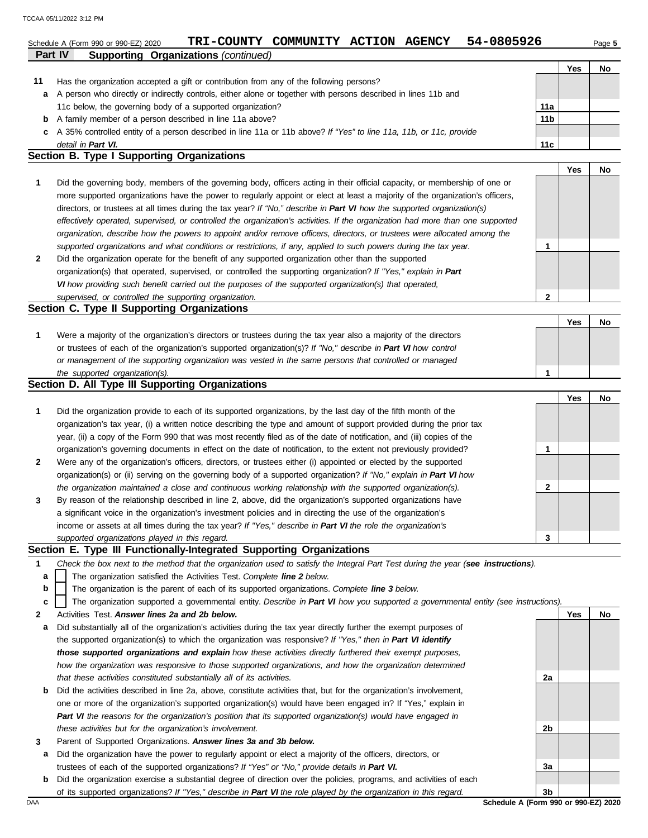|                | 54-0805926<br><b>AGENCY</b><br><b>TRI-COUNTY</b><br>COMMUNITY<br><b>ACTION</b><br>Schedule A (Form 990 or 990-EZ) 2020     |                 |     | Page 5    |
|----------------|----------------------------------------------------------------------------------------------------------------------------|-----------------|-----|-----------|
| <b>Part IV</b> | <b>Supporting Organizations (continued)</b>                                                                                |                 |     |           |
|                |                                                                                                                            |                 | Yes | <b>No</b> |
| 11             | Has the organization accepted a gift or contribution from any of the following persons?                                    |                 |     |           |
| a              | A person who directly or indirectly controls, either alone or together with persons described in lines 11b and             |                 |     |           |
|                | 11c below, the governing body of a supported organization?                                                                 | 11a             |     |           |
| b              | A family member of a person described in line 11a above?                                                                   | 11 <sub>b</sub> |     |           |
| c              | A 35% controlled entity of a person described in line 11a or 11b above? If "Yes" to line 11a, 11b, or 11c, provide         |                 |     |           |
|                | detail in Part VI.                                                                                                         | 11c             |     |           |
|                | Section B. Type I Supporting Organizations                                                                                 |                 |     |           |
|                |                                                                                                                            |                 | Yes | No        |
|                | Did the governing body, members of the governing body, officers acting in their official capacity, or membership of one or |                 |     |           |

- **2** *supported organizations and what conditions or restrictions, if any, applied to such powers during the tax year. organization, describe how the powers to appoint and/or remove officers, directors, or trustees were allocated among the effectively operated, supervised, or controlled the organization's activities. If the organization had more than one supported* directors, or trustees at all times during the tax year? *If "No," describe in Part VI how the supported organization(s)* more supported organizations have the power to regularly appoint or elect at least a majority of the organization's officers, ng body, officers acting in their official capacity, or membership of one or Did the organization operate for the benefit of any supported organization other than the supported **1**
- organization(s) that operated, supervised, or controlled the supporting organization? *If "Yes," explain in Part VI how providing such benefit carried out the purposes of the supported organization(s) that operated, supervised, or controlled the supporting organization.*

#### **Section C. Type II Supporting Organizations** Were a majority of the organization's directors or trustees during the tax year also a majority of the directors or trustees of each of the organization's supported organization(s)? *If "No," describe in Part VI how control* **1** *or management of the supporting organization was vested in the same persons that controlled or managed the supported organization(s).* **Yes No 1**

### **Section D. All Type III Supporting Organizations**

|                |                                                                                                                        | Yes | No |
|----------------|------------------------------------------------------------------------------------------------------------------------|-----|----|
| 1              | Did the organization provide to each of its supported organizations, by the last day of the fifth month of the         |     |    |
|                | organization's tax year, (i) a written notice describing the type and amount of support provided during the prior tax  |     |    |
|                | year, (ii) a copy of the Form 990 that was most recently filed as of the date of notification, and (iii) copies of the |     |    |
|                | organization's governing documents in effect on the date of notification, to the extent not previously provided?       |     |    |
| $\overline{2}$ | Were any of the organization's officers, directors, or trustees either (i) appointed or elected by the supported       |     |    |
|                | organization(s) or (ii) serving on the governing body of a supported organization? If "No," explain in Part VI how     |     |    |
|                | the organization maintained a close and continuous working relationship with the supported organization(s).            |     |    |
| $\mathbf{3}$   | By reason of the relationship described in line 2, above, did the organization's supported organizations have          |     |    |
|                | a significant voice in the organization's investment policies and in directing the use of the organization's           |     |    |
|                | income or assets at all times during the tax year? If "Yes," describe in Part VI the role the organization's           |     |    |
|                | supported organizations played in this regard.                                                                         |     |    |

#### **Section E. Type III Functionally-Integrated Supporting Organizations**

- **1** *Check the box next to the method that the organization used to satisfy the Integral Part Test during the year (see instructions).*
	- The organization satisfied the Activities Test. *Complete line 2 below.* **a**
	- The organization is the parent of each of its supported organizations. *Complete line 3 below.* **b**

|  |  | c   The organization supported a governmental entity. Describe in Part VI how you supported a governmental entity (see instructions) |  |  |  |  |  |  |  |  |  |  |  |  |
|--|--|--------------------------------------------------------------------------------------------------------------------------------------|--|--|--|--|--|--|--|--|--|--|--|--|
|--|--|--------------------------------------------------------------------------------------------------------------------------------------|--|--|--|--|--|--|--|--|--|--|--|--|

- **2** Activities Test. *Answer lines 2a and 2b below.*
- **a** Did substantially all of the organization's activities during the tax year directly further the exempt purposes of the supported organization(s) to which the organization was responsive? *If "Yes," then in Part VI identify those supported organizations and explain how these activities directly furthered their exempt purposes,*  how the organization was responsive to those supported organizations, and how the organization determined *that these activities constituted substantially all of its activities.*
- **b** Did the activities described in line 2a, above, constitute activities that, but for the organization's involvement, one or more of the organization's supported organization(s) would have been engaged in? If "Yes," explain in *Part VI the reasons for the organization's position that its supported organization(s) would have engaged in these activities but for the organization's involvement.*
- **3** Parent of Supported Organizations. *Answer lines 3a and 3b below.*
- **a** Did the organization have the power to regularly appoint or elect a majority of the officers, directors, or trustees of each of the supported organizations? *If "Yes" or "No," provide details in Part VI.*
- **b** Did the organization exercise a substantial degree of direction over the policies, programs, and activities of each of its supported organizations? *If "Yes," describe in Part VI the role played by the organization in this regard.*

**2a 2b 3a 3b**

**Yes No**

**2**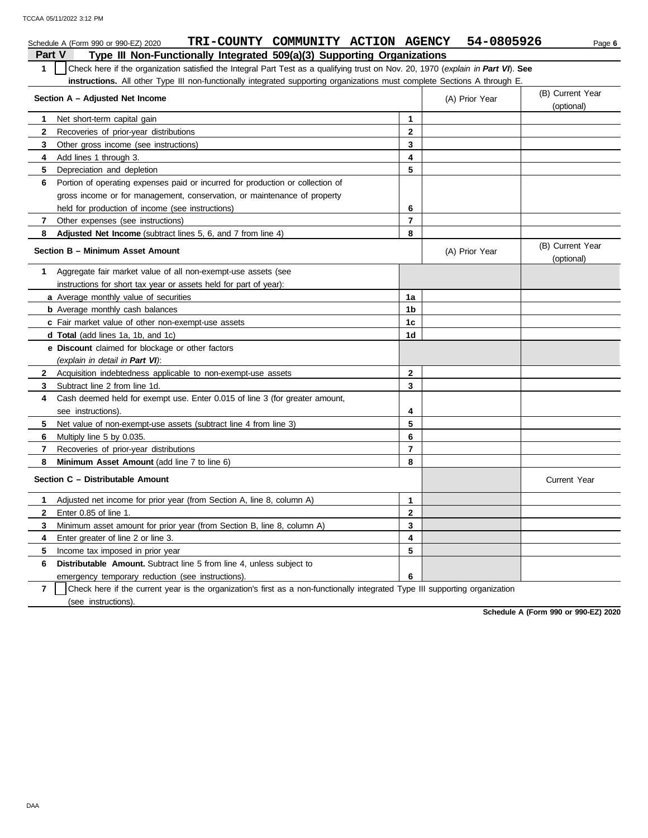|                | TRI-COUNTY COMMUNITY ACTION AGENCY<br>Schedule A (Form 990 or 990-EZ) 2020                                                       |                | 54-0805926     | Page 6                         |
|----------------|----------------------------------------------------------------------------------------------------------------------------------|----------------|----------------|--------------------------------|
| <b>Part V</b>  | Type III Non-Functionally Integrated 509(a)(3) Supporting Organizations                                                          |                |                |                                |
| 1              | Check here if the organization satisfied the Integral Part Test as a qualifying trust on Nov. 20, 1970 (explain in Part VI). See |                |                |                                |
|                | instructions. All other Type III non-functionally integrated supporting organizations must complete Sections A through E.        |                |                |                                |
|                | Section A - Adjusted Net Income                                                                                                  |                | (A) Prior Year | (B) Current Year<br>(optional) |
| 1              | Net short-term capital gain                                                                                                      | $\mathbf{1}$   |                |                                |
| $\mathbf{2}$   | Recoveries of prior-year distributions                                                                                           | $\mathbf{2}$   |                |                                |
| 3              | Other gross income (see instructions)                                                                                            | 3              |                |                                |
| 4              | Add lines 1 through 3.                                                                                                           | 4              |                |                                |
| 5.             | Depreciation and depletion                                                                                                       | 5              |                |                                |
| 6              | Portion of operating expenses paid or incurred for production or collection of                                                   |                |                |                                |
|                | gross income or for management, conservation, or maintenance of property                                                         |                |                |                                |
|                | held for production of income (see instructions)                                                                                 | 6              |                |                                |
| 7              | Other expenses (see instructions)                                                                                                | 7              |                |                                |
| 8              | Adjusted Net Income (subtract lines 5, 6, and 7 from line 4)                                                                     | 8              |                |                                |
|                | Section B - Minimum Asset Amount                                                                                                 |                | (A) Prior Year | (B) Current Year<br>(optional) |
| 1              | Aggregate fair market value of all non-exempt-use assets (see                                                                    |                |                |                                |
|                | instructions for short tax year or assets held for part of year):                                                                |                |                |                                |
|                | a Average monthly value of securities                                                                                            | 1a             |                |                                |
|                | <b>b</b> Average monthly cash balances                                                                                           | 1b             |                |                                |
|                | c Fair market value of other non-exempt-use assets                                                                               | 1c             |                |                                |
|                | d Total (add lines 1a, 1b, and 1c)                                                                                               | 1d             |                |                                |
|                | e Discount claimed for blockage or other factors                                                                                 |                |                |                                |
|                | (explain in detail in Part VI):                                                                                                  |                |                |                                |
| $\mathbf{2}$   | Acquisition indebtedness applicable to non-exempt-use assets                                                                     | $\mathbf{2}$   |                |                                |
| 3              | Subtract line 2 from line 1d.                                                                                                    | 3              |                |                                |
| 4              | Cash deemed held for exempt use. Enter 0.015 of line 3 (for greater amount,                                                      |                |                |                                |
|                | see instructions).                                                                                                               | 4              |                |                                |
| 5.             | Net value of non-exempt-use assets (subtract line 4 from line 3)                                                                 | 5              |                |                                |
| 6              | Multiply line 5 by 0.035.                                                                                                        | 6              |                |                                |
| 7              | Recoveries of prior-year distributions                                                                                           | $\overline{7}$ |                |                                |
| 8              | Minimum Asset Amount (add line 7 to line 6)                                                                                      | 8              |                |                                |
|                | Section C - Distributable Amount                                                                                                 |                |                | <b>Current Year</b>            |
| 1              | Adjusted net income for prior year (from Section A, line 8, column A)                                                            | 1              |                |                                |
| 2              | Enter 0.85 of line 1.                                                                                                            | $\mathbf 2$    |                |                                |
| 3              | Minimum asset amount for prior year (from Section B, line 8, column A)                                                           | 3              |                |                                |
| 4              | Enter greater of line 2 or line 3.                                                                                               | 4              |                |                                |
| 5.             | Income tax imposed in prior year                                                                                                 | 5              |                |                                |
| 6              | Distributable Amount. Subtract line 5 from line 4, unless subject to                                                             |                |                |                                |
|                | emergency temporary reduction (see instructions).                                                                                | 6              |                |                                |
| $\overline{7}$ | Check here if the current year is the organization's first as a non-functionally integrated Type III supporting organization     |                |                |                                |

(see instructions).

**Schedule A (Form 990 or 990-EZ) 2020**

DAA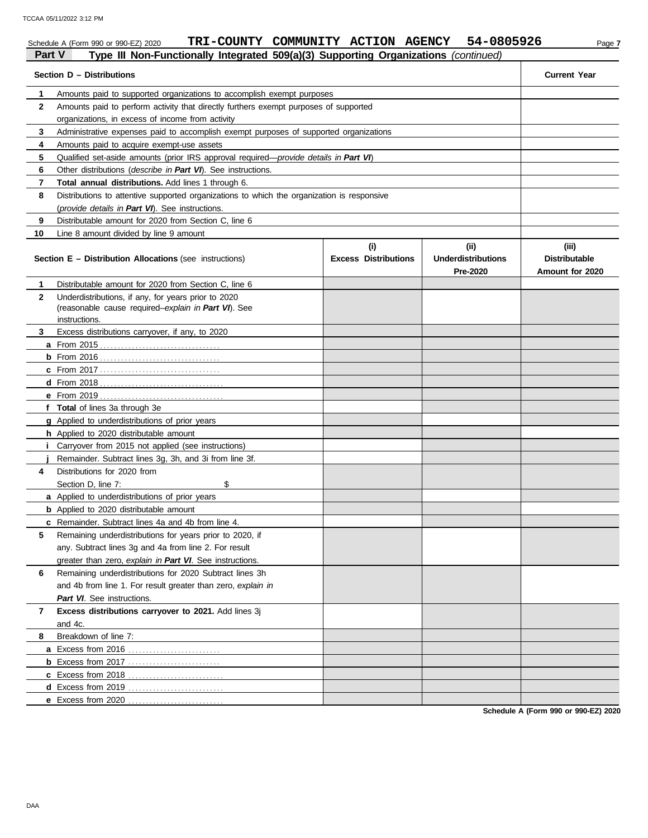|                                                | TRI-COUNTY COMMUNITY ACTION AGENCY<br>Schedule A (Form 990 or 990-EZ) 2020                                                                           |                             | 54-0805926                            | Page 7                                  |  |  |  |  |  |  |  |  |
|------------------------------------------------|------------------------------------------------------------------------------------------------------------------------------------------------------|-----------------------------|---------------------------------------|-----------------------------------------|--|--|--|--|--|--|--|--|
| Part V                                         | Type III Non-Functionally Integrated 509(a)(3) Supporting Organizations (continued)                                                                  |                             |                                       |                                         |  |  |  |  |  |  |  |  |
|                                                | Section D - Distributions                                                                                                                            |                             |                                       | <b>Current Year</b>                     |  |  |  |  |  |  |  |  |
| 1                                              | Amounts paid to supported organizations to accomplish exempt purposes                                                                                |                             |                                       |                                         |  |  |  |  |  |  |  |  |
| $\mathbf{2}$                                   | Amounts paid to perform activity that directly furthers exempt purposes of supported                                                                 |                             |                                       |                                         |  |  |  |  |  |  |  |  |
|                                                | organizations, in excess of income from activity                                                                                                     |                             |                                       |                                         |  |  |  |  |  |  |  |  |
| 3                                              | Administrative expenses paid to accomplish exempt purposes of supported organizations                                                                |                             |                                       |                                         |  |  |  |  |  |  |  |  |
| 4<br>Amounts paid to acquire exempt-use assets |                                                                                                                                                      |                             |                                       |                                         |  |  |  |  |  |  |  |  |
| 5                                              |                                                                                                                                                      |                             |                                       |                                         |  |  |  |  |  |  |  |  |
| 6                                              | Qualified set-aside amounts (prior IRS approval required—provide details in Part VI)<br>Other distributions (describe in Part VI). See instructions. |                             |                                       |                                         |  |  |  |  |  |  |  |  |
| 7                                              | Total annual distributions. Add lines 1 through 6.                                                                                                   |                             |                                       |                                         |  |  |  |  |  |  |  |  |
| 8                                              | Distributions to attentive supported organizations to which the organization is responsive                                                           |                             |                                       |                                         |  |  |  |  |  |  |  |  |
|                                                | (provide details in Part VI). See instructions.                                                                                                      |                             |                                       |                                         |  |  |  |  |  |  |  |  |
| 9                                              | Distributable amount for 2020 from Section C, line 6                                                                                                 |                             |                                       |                                         |  |  |  |  |  |  |  |  |
| 10                                             | Line 8 amount divided by line 9 amount                                                                                                               |                             |                                       |                                         |  |  |  |  |  |  |  |  |
|                                                |                                                                                                                                                      | (i)                         | (ii)                                  | (iii)                                   |  |  |  |  |  |  |  |  |
|                                                | <b>Section E - Distribution Allocations (see instructions)</b>                                                                                       | <b>Excess Distributions</b> | <b>Underdistributions</b><br>Pre-2020 | <b>Distributable</b><br>Amount for 2020 |  |  |  |  |  |  |  |  |
| 1                                              | Distributable amount for 2020 from Section C, line 6                                                                                                 |                             |                                       |                                         |  |  |  |  |  |  |  |  |
| $\mathbf{2}$                                   | Underdistributions, if any, for years prior to 2020                                                                                                  |                             |                                       |                                         |  |  |  |  |  |  |  |  |
|                                                | (reasonable cause required-explain in Part VI). See                                                                                                  |                             |                                       |                                         |  |  |  |  |  |  |  |  |
|                                                | instructions.                                                                                                                                        |                             |                                       |                                         |  |  |  |  |  |  |  |  |
| 3                                              | Excess distributions carryover, if any, to 2020                                                                                                      |                             |                                       |                                         |  |  |  |  |  |  |  |  |
|                                                |                                                                                                                                                      |                             |                                       |                                         |  |  |  |  |  |  |  |  |
|                                                |                                                                                                                                                      |                             |                                       |                                         |  |  |  |  |  |  |  |  |
|                                                |                                                                                                                                                      |                             |                                       |                                         |  |  |  |  |  |  |  |  |
|                                                |                                                                                                                                                      |                             |                                       |                                         |  |  |  |  |  |  |  |  |
|                                                |                                                                                                                                                      |                             |                                       |                                         |  |  |  |  |  |  |  |  |
|                                                | f Total of lines 3a through 3e                                                                                                                       |                             |                                       |                                         |  |  |  |  |  |  |  |  |
|                                                | g Applied to underdistributions of prior years                                                                                                       |                             |                                       |                                         |  |  |  |  |  |  |  |  |
|                                                | h Applied to 2020 distributable amount                                                                                                               |                             |                                       |                                         |  |  |  |  |  |  |  |  |
|                                                | <i>i</i> Carryover from 2015 not applied (see instructions)                                                                                          |                             |                                       |                                         |  |  |  |  |  |  |  |  |
|                                                | Remainder. Subtract lines 3g, 3h, and 3i from line 3f.                                                                                               |                             |                                       |                                         |  |  |  |  |  |  |  |  |
| 4                                              | Distributions for 2020 from                                                                                                                          |                             |                                       |                                         |  |  |  |  |  |  |  |  |
|                                                | Section D, line 7:<br>\$                                                                                                                             |                             |                                       |                                         |  |  |  |  |  |  |  |  |
|                                                | a Applied to underdistributions of prior years                                                                                                       |                             |                                       |                                         |  |  |  |  |  |  |  |  |
|                                                | <b>b</b> Applied to 2020 distributable amount                                                                                                        |                             |                                       |                                         |  |  |  |  |  |  |  |  |
|                                                | c Remainder. Subtract lines 4a and 4b from line 4.                                                                                                   |                             |                                       |                                         |  |  |  |  |  |  |  |  |
| 5                                              | Remaining underdistributions for years prior to 2020, if                                                                                             |                             |                                       |                                         |  |  |  |  |  |  |  |  |
|                                                | any. Subtract lines 3g and 4a from line 2. For result                                                                                                |                             |                                       |                                         |  |  |  |  |  |  |  |  |
|                                                | greater than zero, explain in Part VI. See instructions.                                                                                             |                             |                                       |                                         |  |  |  |  |  |  |  |  |
| 6                                              | Remaining underdistributions for 2020 Subtract lines 3h                                                                                              |                             |                                       |                                         |  |  |  |  |  |  |  |  |
|                                                | and 4b from line 1. For result greater than zero, explain in                                                                                         |                             |                                       |                                         |  |  |  |  |  |  |  |  |
|                                                | Part VI. See instructions.                                                                                                                           |                             |                                       |                                         |  |  |  |  |  |  |  |  |
| 7                                              | Excess distributions carryover to 2021. Add lines 3j                                                                                                 |                             |                                       |                                         |  |  |  |  |  |  |  |  |
|                                                | and 4c.                                                                                                                                              |                             |                                       |                                         |  |  |  |  |  |  |  |  |
| 8                                              | Breakdown of line 7:                                                                                                                                 |                             |                                       |                                         |  |  |  |  |  |  |  |  |
|                                                |                                                                                                                                                      |                             |                                       |                                         |  |  |  |  |  |  |  |  |
|                                                |                                                                                                                                                      |                             |                                       |                                         |  |  |  |  |  |  |  |  |
|                                                |                                                                                                                                                      |                             |                                       |                                         |  |  |  |  |  |  |  |  |
|                                                |                                                                                                                                                      |                             |                                       |                                         |  |  |  |  |  |  |  |  |
|                                                | e Excess from 2020                                                                                                                                   |                             |                                       |                                         |  |  |  |  |  |  |  |  |
|                                                |                                                                                                                                                      |                             |                                       |                                         |  |  |  |  |  |  |  |  |

**Schedule A (Form 990 or 990-EZ) 2020**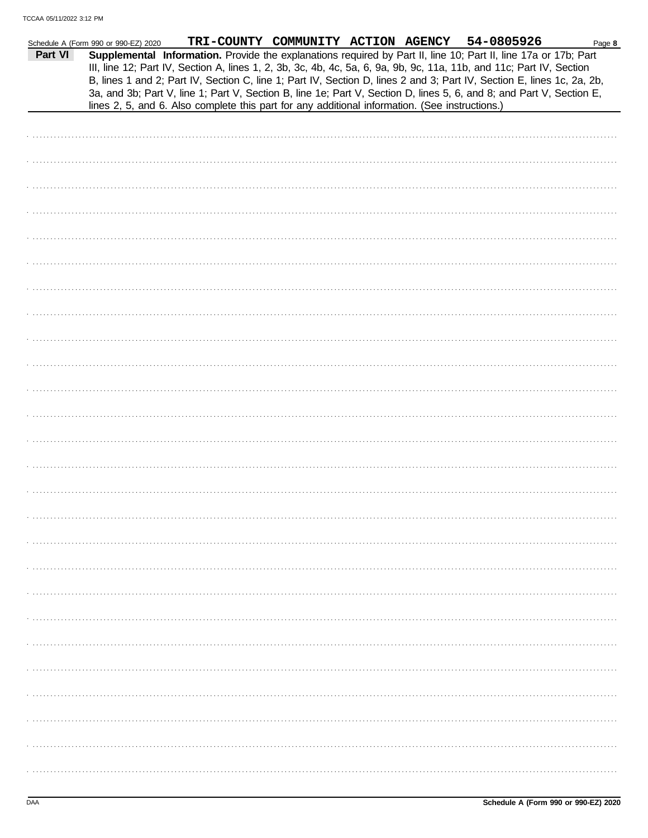|         | Schedule A (Form 990 or 990-EZ) 2020 |  | TRI-COUNTY COMMUNITY ACTION AGENCY                                                             |  | 54-0805926                                                                                                                                                                                                                              | Page 8 |
|---------|--------------------------------------|--|------------------------------------------------------------------------------------------------|--|-----------------------------------------------------------------------------------------------------------------------------------------------------------------------------------------------------------------------------------------|--------|
| Part VI |                                      |  |                                                                                                |  | Supplemental Information. Provide the explanations required by Part II, line 10; Part II, line 17a or 17b; Part<br>III, line 12; Part IV, Section A, lines 1, 2, 3b, 3c, 4b, 4c, 5a, 6, 9a, 9b, 9c, 11a, 11b, and 11c; Part IV, Section |        |
|         |                                      |  |                                                                                                |  | B, lines 1 and 2; Part IV, Section C, line 1; Part IV, Section D, lines 2 and 3; Part IV, Section E, lines 1c, 2a, 2b,                                                                                                                  |        |
|         |                                      |  |                                                                                                |  | 3a, and 3b; Part V, line 1; Part V, Section B, line 1e; Part V, Section D, lines 5, 6, and 8; and Part V, Section E,                                                                                                                    |        |
|         |                                      |  | lines 2, 5, and 6. Also complete this part for any additional information. (See instructions.) |  |                                                                                                                                                                                                                                         |        |
|         |                                      |  |                                                                                                |  |                                                                                                                                                                                                                                         |        |
|         |                                      |  |                                                                                                |  |                                                                                                                                                                                                                                         |        |
|         |                                      |  |                                                                                                |  |                                                                                                                                                                                                                                         |        |
|         |                                      |  |                                                                                                |  |                                                                                                                                                                                                                                         |        |
|         |                                      |  |                                                                                                |  |                                                                                                                                                                                                                                         |        |
|         |                                      |  |                                                                                                |  |                                                                                                                                                                                                                                         |        |
|         |                                      |  |                                                                                                |  |                                                                                                                                                                                                                                         |        |
|         |                                      |  |                                                                                                |  |                                                                                                                                                                                                                                         |        |
|         |                                      |  |                                                                                                |  |                                                                                                                                                                                                                                         |        |
|         |                                      |  |                                                                                                |  |                                                                                                                                                                                                                                         |        |
|         |                                      |  |                                                                                                |  |                                                                                                                                                                                                                                         |        |
|         |                                      |  |                                                                                                |  |                                                                                                                                                                                                                                         |        |
|         |                                      |  |                                                                                                |  |                                                                                                                                                                                                                                         |        |
|         |                                      |  |                                                                                                |  |                                                                                                                                                                                                                                         |        |
|         |                                      |  |                                                                                                |  |                                                                                                                                                                                                                                         |        |
|         |                                      |  |                                                                                                |  |                                                                                                                                                                                                                                         |        |
|         |                                      |  |                                                                                                |  |                                                                                                                                                                                                                                         |        |
|         |                                      |  |                                                                                                |  |                                                                                                                                                                                                                                         |        |
|         |                                      |  |                                                                                                |  |                                                                                                                                                                                                                                         |        |
|         |                                      |  |                                                                                                |  |                                                                                                                                                                                                                                         |        |
|         |                                      |  |                                                                                                |  |                                                                                                                                                                                                                                         |        |
|         |                                      |  |                                                                                                |  |                                                                                                                                                                                                                                         |        |
|         |                                      |  |                                                                                                |  |                                                                                                                                                                                                                                         |        |
|         |                                      |  |                                                                                                |  |                                                                                                                                                                                                                                         |        |
|         |                                      |  |                                                                                                |  |                                                                                                                                                                                                                                         |        |
|         |                                      |  |                                                                                                |  |                                                                                                                                                                                                                                         |        |
|         |                                      |  |                                                                                                |  |                                                                                                                                                                                                                                         |        |
|         |                                      |  |                                                                                                |  |                                                                                                                                                                                                                                         |        |
|         |                                      |  |                                                                                                |  |                                                                                                                                                                                                                                         |        |
|         |                                      |  |                                                                                                |  |                                                                                                                                                                                                                                         |        |
|         |                                      |  |                                                                                                |  |                                                                                                                                                                                                                                         |        |
|         |                                      |  |                                                                                                |  |                                                                                                                                                                                                                                         |        |
|         |                                      |  |                                                                                                |  |                                                                                                                                                                                                                                         |        |
|         |                                      |  |                                                                                                |  |                                                                                                                                                                                                                                         |        |
|         |                                      |  |                                                                                                |  |                                                                                                                                                                                                                                         |        |
|         |                                      |  |                                                                                                |  |                                                                                                                                                                                                                                         |        |
|         |                                      |  |                                                                                                |  |                                                                                                                                                                                                                                         |        |
|         |                                      |  |                                                                                                |  |                                                                                                                                                                                                                                         |        |
|         |                                      |  |                                                                                                |  |                                                                                                                                                                                                                                         |        |
|         |                                      |  |                                                                                                |  |                                                                                                                                                                                                                                         |        |
|         |                                      |  |                                                                                                |  |                                                                                                                                                                                                                                         |        |
|         |                                      |  |                                                                                                |  |                                                                                                                                                                                                                                         |        |
|         |                                      |  |                                                                                                |  |                                                                                                                                                                                                                                         |        |
|         |                                      |  |                                                                                                |  |                                                                                                                                                                                                                                         |        |
|         |                                      |  |                                                                                                |  |                                                                                                                                                                                                                                         |        |
|         |                                      |  |                                                                                                |  |                                                                                                                                                                                                                                         |        |
|         |                                      |  |                                                                                                |  |                                                                                                                                                                                                                                         |        |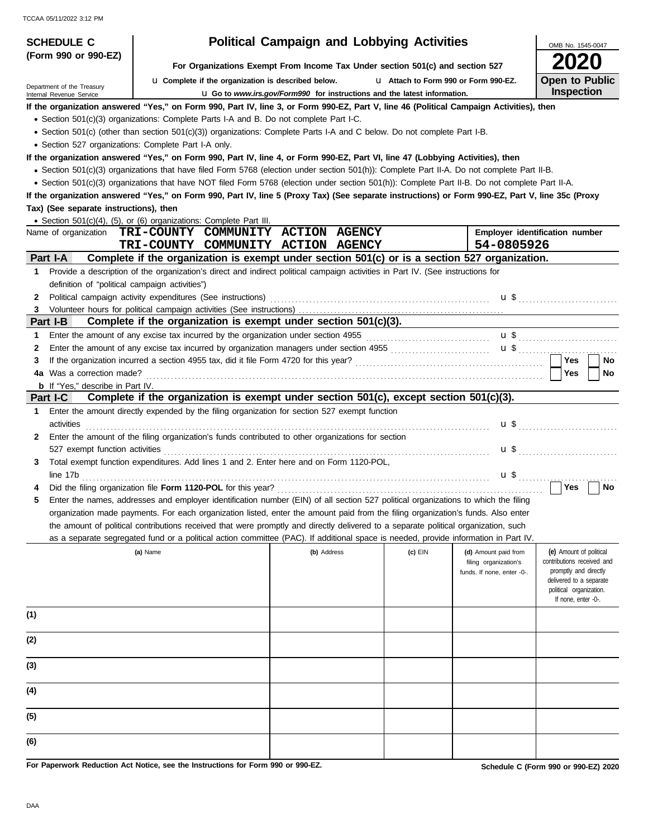| (Form 990 or 990-EZ)<br>For Organizations Exempt From Income Tax Under section 501(c) and section 527<br><b>Open to Public</b><br>La Complete if the organization is described below.<br>L1 Attach to Form 990 or Form 990-EZ.<br>Department of the Treasury<br><b>Inspection</b><br><b>u</b> Go to www.irs.gov/Form990 for instructions and the latest information.<br>Internal Revenue Service<br>If the organization answered "Yes," on Form 990, Part IV, line 3, or Form 990-EZ, Part V, line 46 (Political Campaign Activities), then<br>• Section 501(c)(3) organizations: Complete Parts I-A and B. Do not complete Part I-C.<br>• Section 501(c) (other than section 501(c)(3)) organizations: Complete Parts I-A and C below. Do not complete Part I-B.<br>• Section 527 organizations: Complete Part I-A only.<br>If the organization answered "Yes," on Form 990, Part IV, line 4, or Form 990-EZ, Part VI, line 47 (Lobbying Activities), then<br>• Section 501(c)(3) organizations that have filed Form 5768 (election under section 501(h)): Complete Part II-A. Do not complete Part II-B.<br>• Section 501(c)(3) organizations that have NOT filed Form 5768 (election under section 501(h)): Complete Part II-B. Do not complete Part II-A.<br>If the organization answered "Yes," on Form 990, Part IV, line 5 (Proxy Tax) (See separate instructions) or Form 990-EZ, Part V, line 35c (Proxy<br>Tax) (See separate instructions), then<br>• Section 501(c)(4), (5), or (6) organizations: Complete Part III.<br>TRI-COUNTY COMMUNITY ACTION AGENCY<br>Employer identification number<br>Name of organization<br>54-0805926<br>TRI-COUNTY COMMUNITY ACTION AGENCY<br>Complete if the organization is exempt under section 501(c) or is a section 527 organization.<br>Part I-A<br>Provide a description of the organization's direct and indirect political campaign activities in Part IV. (See instructions for<br>1<br>definition of "political campaign activities")<br>$\mathbf{u}$ \$<br>2<br>3<br>Complete if the organization is exempt under section 501(c)(3).<br>Part I-B<br>1.<br>2<br>Yes<br>No<br>3<br>4a Was a correction made?<br>  Yes<br>No<br><b>b</b> If "Yes," describe in Part IV.<br>Complete if the organization is exempt under section 501(c), except section 501(c)(3).<br>Part I-C<br>Enter the amount directly expended by the filing organization for section 527 exempt function<br>1<br>activities<br>$\mathbf{u}$ \$<br>Enter the amount of the filing organization's funds contributed to other organizations for section<br>$\mathbf{2}$<br><b>u</b> \$ <u></u><br>527 exempt function activities <i>construction activities</i><br>Total exempt function expenditures. Add lines 1 and 2. Enter here and on Form 1120-POL,<br>3<br>Yes<br><b>No</b><br>4<br>Enter the names, addresses and employer identification number (EIN) of all section 527 political organizations to which the filing<br>5<br>organization made payments. For each organization listed, enter the amount paid from the filing organization's funds. Also enter<br>the amount of political contributions received that were promptly and directly delivered to a separate political organization, such<br>as a separate segregated fund or a political action committee (PAC). If additional space is needed, provide information in Part IV.<br>(e) Amount of political<br>(a) Name<br>$(c)$ EIN<br>(b) Address<br>(d) Amount paid from<br>contributions received and<br>filing organization's<br>promptly and directly<br>funds. If none, enter -0-.<br>delivered to a separate<br>political organization.<br>If none, enter -0-.<br>(1)<br>(2)<br>(3)<br>(4)<br>(5)<br>(6) | <b>SCHEDULE C</b> | <b>Political Campaign and Lobbying Activities</b> |  | OMB No. 1545-0047 |
|---------------------------------------------------------------------------------------------------------------------------------------------------------------------------------------------------------------------------------------------------------------------------------------------------------------------------------------------------------------------------------------------------------------------------------------------------------------------------------------------------------------------------------------------------------------------------------------------------------------------------------------------------------------------------------------------------------------------------------------------------------------------------------------------------------------------------------------------------------------------------------------------------------------------------------------------------------------------------------------------------------------------------------------------------------------------------------------------------------------------------------------------------------------------------------------------------------------------------------------------------------------------------------------------------------------------------------------------------------------------------------------------------------------------------------------------------------------------------------------------------------------------------------------------------------------------------------------------------------------------------------------------------------------------------------------------------------------------------------------------------------------------------------------------------------------------------------------------------------------------------------------------------------------------------------------------------------------------------------------------------------------------------------------------------------------------------------------------------------------------------------------------------------------------------------------------------------------------------------------------------------------------------------------------------------------------------------------------------------------------------------------------------------------------------------------------------------------------------------------------------------------------------------------------------------------------------------------------------------------------------------------------------------------------------------------------------------------------------------------------------------------------------------------------------------------------------------------------------------------------------------------------------------------------------------------------------------------------------------------------------------------------------------------------------------------------------------------------------------------------------------------------------------------------------------------------------------------------------------------------------------------------------------------------------------------------------------------------------------------------------------------------------------------------------------------------------------------------------------------------------------------------------------------------------------------------------------------------------------------------------------------------------------------------------------------------------------------|-------------------|---------------------------------------------------|--|-------------------|
|                                                                                                                                                                                                                                                                                                                                                                                                                                                                                                                                                                                                                                                                                                                                                                                                                                                                                                                                                                                                                                                                                                                                                                                                                                                                                                                                                                                                                                                                                                                                                                                                                                                                                                                                                                                                                                                                                                                                                                                                                                                                                                                                                                                                                                                                                                                                                                                                                                                                                                                                                                                                                                                                                                                                                                                                                                                                                                                                                                                                                                                                                                                                                                                                                                                                                                                                                                                                                                                                                                                                                                                                                                                                                                               |                   |                                                   |  |                   |
|                                                                                                                                                                                                                                                                                                                                                                                                                                                                                                                                                                                                                                                                                                                                                                                                                                                                                                                                                                                                                                                                                                                                                                                                                                                                                                                                                                                                                                                                                                                                                                                                                                                                                                                                                                                                                                                                                                                                                                                                                                                                                                                                                                                                                                                                                                                                                                                                                                                                                                                                                                                                                                                                                                                                                                                                                                                                                                                                                                                                                                                                                                                                                                                                                                                                                                                                                                                                                                                                                                                                                                                                                                                                                                               |                   |                                                   |  |                   |
|                                                                                                                                                                                                                                                                                                                                                                                                                                                                                                                                                                                                                                                                                                                                                                                                                                                                                                                                                                                                                                                                                                                                                                                                                                                                                                                                                                                                                                                                                                                                                                                                                                                                                                                                                                                                                                                                                                                                                                                                                                                                                                                                                                                                                                                                                                                                                                                                                                                                                                                                                                                                                                                                                                                                                                                                                                                                                                                                                                                                                                                                                                                                                                                                                                                                                                                                                                                                                                                                                                                                                                                                                                                                                                               |                   |                                                   |  |                   |
|                                                                                                                                                                                                                                                                                                                                                                                                                                                                                                                                                                                                                                                                                                                                                                                                                                                                                                                                                                                                                                                                                                                                                                                                                                                                                                                                                                                                                                                                                                                                                                                                                                                                                                                                                                                                                                                                                                                                                                                                                                                                                                                                                                                                                                                                                                                                                                                                                                                                                                                                                                                                                                                                                                                                                                                                                                                                                                                                                                                                                                                                                                                                                                                                                                                                                                                                                                                                                                                                                                                                                                                                                                                                                                               |                   |                                                   |  |                   |
|                                                                                                                                                                                                                                                                                                                                                                                                                                                                                                                                                                                                                                                                                                                                                                                                                                                                                                                                                                                                                                                                                                                                                                                                                                                                                                                                                                                                                                                                                                                                                                                                                                                                                                                                                                                                                                                                                                                                                                                                                                                                                                                                                                                                                                                                                                                                                                                                                                                                                                                                                                                                                                                                                                                                                                                                                                                                                                                                                                                                                                                                                                                                                                                                                                                                                                                                                                                                                                                                                                                                                                                                                                                                                                               |                   |                                                   |  |                   |
|                                                                                                                                                                                                                                                                                                                                                                                                                                                                                                                                                                                                                                                                                                                                                                                                                                                                                                                                                                                                                                                                                                                                                                                                                                                                                                                                                                                                                                                                                                                                                                                                                                                                                                                                                                                                                                                                                                                                                                                                                                                                                                                                                                                                                                                                                                                                                                                                                                                                                                                                                                                                                                                                                                                                                                                                                                                                                                                                                                                                                                                                                                                                                                                                                                                                                                                                                                                                                                                                                                                                                                                                                                                                                                               |                   |                                                   |  |                   |
|                                                                                                                                                                                                                                                                                                                                                                                                                                                                                                                                                                                                                                                                                                                                                                                                                                                                                                                                                                                                                                                                                                                                                                                                                                                                                                                                                                                                                                                                                                                                                                                                                                                                                                                                                                                                                                                                                                                                                                                                                                                                                                                                                                                                                                                                                                                                                                                                                                                                                                                                                                                                                                                                                                                                                                                                                                                                                                                                                                                                                                                                                                                                                                                                                                                                                                                                                                                                                                                                                                                                                                                                                                                                                                               |                   |                                                   |  |                   |
|                                                                                                                                                                                                                                                                                                                                                                                                                                                                                                                                                                                                                                                                                                                                                                                                                                                                                                                                                                                                                                                                                                                                                                                                                                                                                                                                                                                                                                                                                                                                                                                                                                                                                                                                                                                                                                                                                                                                                                                                                                                                                                                                                                                                                                                                                                                                                                                                                                                                                                                                                                                                                                                                                                                                                                                                                                                                                                                                                                                                                                                                                                                                                                                                                                                                                                                                                                                                                                                                                                                                                                                                                                                                                                               |                   |                                                   |  |                   |
|                                                                                                                                                                                                                                                                                                                                                                                                                                                                                                                                                                                                                                                                                                                                                                                                                                                                                                                                                                                                                                                                                                                                                                                                                                                                                                                                                                                                                                                                                                                                                                                                                                                                                                                                                                                                                                                                                                                                                                                                                                                                                                                                                                                                                                                                                                                                                                                                                                                                                                                                                                                                                                                                                                                                                                                                                                                                                                                                                                                                                                                                                                                                                                                                                                                                                                                                                                                                                                                                                                                                                                                                                                                                                                               |                   |                                                   |  |                   |
|                                                                                                                                                                                                                                                                                                                                                                                                                                                                                                                                                                                                                                                                                                                                                                                                                                                                                                                                                                                                                                                                                                                                                                                                                                                                                                                                                                                                                                                                                                                                                                                                                                                                                                                                                                                                                                                                                                                                                                                                                                                                                                                                                                                                                                                                                                                                                                                                                                                                                                                                                                                                                                                                                                                                                                                                                                                                                                                                                                                                                                                                                                                                                                                                                                                                                                                                                                                                                                                                                                                                                                                                                                                                                                               |                   |                                                   |  |                   |
|                                                                                                                                                                                                                                                                                                                                                                                                                                                                                                                                                                                                                                                                                                                                                                                                                                                                                                                                                                                                                                                                                                                                                                                                                                                                                                                                                                                                                                                                                                                                                                                                                                                                                                                                                                                                                                                                                                                                                                                                                                                                                                                                                                                                                                                                                                                                                                                                                                                                                                                                                                                                                                                                                                                                                                                                                                                                                                                                                                                                                                                                                                                                                                                                                                                                                                                                                                                                                                                                                                                                                                                                                                                                                                               |                   |                                                   |  |                   |
|                                                                                                                                                                                                                                                                                                                                                                                                                                                                                                                                                                                                                                                                                                                                                                                                                                                                                                                                                                                                                                                                                                                                                                                                                                                                                                                                                                                                                                                                                                                                                                                                                                                                                                                                                                                                                                                                                                                                                                                                                                                                                                                                                                                                                                                                                                                                                                                                                                                                                                                                                                                                                                                                                                                                                                                                                                                                                                                                                                                                                                                                                                                                                                                                                                                                                                                                                                                                                                                                                                                                                                                                                                                                                                               |                   |                                                   |  |                   |
|                                                                                                                                                                                                                                                                                                                                                                                                                                                                                                                                                                                                                                                                                                                                                                                                                                                                                                                                                                                                                                                                                                                                                                                                                                                                                                                                                                                                                                                                                                                                                                                                                                                                                                                                                                                                                                                                                                                                                                                                                                                                                                                                                                                                                                                                                                                                                                                                                                                                                                                                                                                                                                                                                                                                                                                                                                                                                                                                                                                                                                                                                                                                                                                                                                                                                                                                                                                                                                                                                                                                                                                                                                                                                                               |                   |                                                   |  |                   |
|                                                                                                                                                                                                                                                                                                                                                                                                                                                                                                                                                                                                                                                                                                                                                                                                                                                                                                                                                                                                                                                                                                                                                                                                                                                                                                                                                                                                                                                                                                                                                                                                                                                                                                                                                                                                                                                                                                                                                                                                                                                                                                                                                                                                                                                                                                                                                                                                                                                                                                                                                                                                                                                                                                                                                                                                                                                                                                                                                                                                                                                                                                                                                                                                                                                                                                                                                                                                                                                                                                                                                                                                                                                                                                               |                   |                                                   |  |                   |
|                                                                                                                                                                                                                                                                                                                                                                                                                                                                                                                                                                                                                                                                                                                                                                                                                                                                                                                                                                                                                                                                                                                                                                                                                                                                                                                                                                                                                                                                                                                                                                                                                                                                                                                                                                                                                                                                                                                                                                                                                                                                                                                                                                                                                                                                                                                                                                                                                                                                                                                                                                                                                                                                                                                                                                                                                                                                                                                                                                                                                                                                                                                                                                                                                                                                                                                                                                                                                                                                                                                                                                                                                                                                                                               |                   |                                                   |  |                   |
|                                                                                                                                                                                                                                                                                                                                                                                                                                                                                                                                                                                                                                                                                                                                                                                                                                                                                                                                                                                                                                                                                                                                                                                                                                                                                                                                                                                                                                                                                                                                                                                                                                                                                                                                                                                                                                                                                                                                                                                                                                                                                                                                                                                                                                                                                                                                                                                                                                                                                                                                                                                                                                                                                                                                                                                                                                                                                                                                                                                                                                                                                                                                                                                                                                                                                                                                                                                                                                                                                                                                                                                                                                                                                                               |                   |                                                   |  |                   |
|                                                                                                                                                                                                                                                                                                                                                                                                                                                                                                                                                                                                                                                                                                                                                                                                                                                                                                                                                                                                                                                                                                                                                                                                                                                                                                                                                                                                                                                                                                                                                                                                                                                                                                                                                                                                                                                                                                                                                                                                                                                                                                                                                                                                                                                                                                                                                                                                                                                                                                                                                                                                                                                                                                                                                                                                                                                                                                                                                                                                                                                                                                                                                                                                                                                                                                                                                                                                                                                                                                                                                                                                                                                                                                               |                   |                                                   |  |                   |
|                                                                                                                                                                                                                                                                                                                                                                                                                                                                                                                                                                                                                                                                                                                                                                                                                                                                                                                                                                                                                                                                                                                                                                                                                                                                                                                                                                                                                                                                                                                                                                                                                                                                                                                                                                                                                                                                                                                                                                                                                                                                                                                                                                                                                                                                                                                                                                                                                                                                                                                                                                                                                                                                                                                                                                                                                                                                                                                                                                                                                                                                                                                                                                                                                                                                                                                                                                                                                                                                                                                                                                                                                                                                                                               |                   |                                                   |  |                   |
|                                                                                                                                                                                                                                                                                                                                                                                                                                                                                                                                                                                                                                                                                                                                                                                                                                                                                                                                                                                                                                                                                                                                                                                                                                                                                                                                                                                                                                                                                                                                                                                                                                                                                                                                                                                                                                                                                                                                                                                                                                                                                                                                                                                                                                                                                                                                                                                                                                                                                                                                                                                                                                                                                                                                                                                                                                                                                                                                                                                                                                                                                                                                                                                                                                                                                                                                                                                                                                                                                                                                                                                                                                                                                                               |                   |                                                   |  |                   |
|                                                                                                                                                                                                                                                                                                                                                                                                                                                                                                                                                                                                                                                                                                                                                                                                                                                                                                                                                                                                                                                                                                                                                                                                                                                                                                                                                                                                                                                                                                                                                                                                                                                                                                                                                                                                                                                                                                                                                                                                                                                                                                                                                                                                                                                                                                                                                                                                                                                                                                                                                                                                                                                                                                                                                                                                                                                                                                                                                                                                                                                                                                                                                                                                                                                                                                                                                                                                                                                                                                                                                                                                                                                                                                               |                   |                                                   |  |                   |
|                                                                                                                                                                                                                                                                                                                                                                                                                                                                                                                                                                                                                                                                                                                                                                                                                                                                                                                                                                                                                                                                                                                                                                                                                                                                                                                                                                                                                                                                                                                                                                                                                                                                                                                                                                                                                                                                                                                                                                                                                                                                                                                                                                                                                                                                                                                                                                                                                                                                                                                                                                                                                                                                                                                                                                                                                                                                                                                                                                                                                                                                                                                                                                                                                                                                                                                                                                                                                                                                                                                                                                                                                                                                                                               |                   |                                                   |  |                   |
|                                                                                                                                                                                                                                                                                                                                                                                                                                                                                                                                                                                                                                                                                                                                                                                                                                                                                                                                                                                                                                                                                                                                                                                                                                                                                                                                                                                                                                                                                                                                                                                                                                                                                                                                                                                                                                                                                                                                                                                                                                                                                                                                                                                                                                                                                                                                                                                                                                                                                                                                                                                                                                                                                                                                                                                                                                                                                                                                                                                                                                                                                                                                                                                                                                                                                                                                                                                                                                                                                                                                                                                                                                                                                                               |                   |                                                   |  |                   |
|                                                                                                                                                                                                                                                                                                                                                                                                                                                                                                                                                                                                                                                                                                                                                                                                                                                                                                                                                                                                                                                                                                                                                                                                                                                                                                                                                                                                                                                                                                                                                                                                                                                                                                                                                                                                                                                                                                                                                                                                                                                                                                                                                                                                                                                                                                                                                                                                                                                                                                                                                                                                                                                                                                                                                                                                                                                                                                                                                                                                                                                                                                                                                                                                                                                                                                                                                                                                                                                                                                                                                                                                                                                                                                               |                   |                                                   |  |                   |
|                                                                                                                                                                                                                                                                                                                                                                                                                                                                                                                                                                                                                                                                                                                                                                                                                                                                                                                                                                                                                                                                                                                                                                                                                                                                                                                                                                                                                                                                                                                                                                                                                                                                                                                                                                                                                                                                                                                                                                                                                                                                                                                                                                                                                                                                                                                                                                                                                                                                                                                                                                                                                                                                                                                                                                                                                                                                                                                                                                                                                                                                                                                                                                                                                                                                                                                                                                                                                                                                                                                                                                                                                                                                                                               |                   |                                                   |  |                   |
|                                                                                                                                                                                                                                                                                                                                                                                                                                                                                                                                                                                                                                                                                                                                                                                                                                                                                                                                                                                                                                                                                                                                                                                                                                                                                                                                                                                                                                                                                                                                                                                                                                                                                                                                                                                                                                                                                                                                                                                                                                                                                                                                                                                                                                                                                                                                                                                                                                                                                                                                                                                                                                                                                                                                                                                                                                                                                                                                                                                                                                                                                                                                                                                                                                                                                                                                                                                                                                                                                                                                                                                                                                                                                                               |                   |                                                   |  |                   |
|                                                                                                                                                                                                                                                                                                                                                                                                                                                                                                                                                                                                                                                                                                                                                                                                                                                                                                                                                                                                                                                                                                                                                                                                                                                                                                                                                                                                                                                                                                                                                                                                                                                                                                                                                                                                                                                                                                                                                                                                                                                                                                                                                                                                                                                                                                                                                                                                                                                                                                                                                                                                                                                                                                                                                                                                                                                                                                                                                                                                                                                                                                                                                                                                                                                                                                                                                                                                                                                                                                                                                                                                                                                                                                               |                   |                                                   |  |                   |
|                                                                                                                                                                                                                                                                                                                                                                                                                                                                                                                                                                                                                                                                                                                                                                                                                                                                                                                                                                                                                                                                                                                                                                                                                                                                                                                                                                                                                                                                                                                                                                                                                                                                                                                                                                                                                                                                                                                                                                                                                                                                                                                                                                                                                                                                                                                                                                                                                                                                                                                                                                                                                                                                                                                                                                                                                                                                                                                                                                                                                                                                                                                                                                                                                                                                                                                                                                                                                                                                                                                                                                                                                                                                                                               |                   |                                                   |  |                   |
|                                                                                                                                                                                                                                                                                                                                                                                                                                                                                                                                                                                                                                                                                                                                                                                                                                                                                                                                                                                                                                                                                                                                                                                                                                                                                                                                                                                                                                                                                                                                                                                                                                                                                                                                                                                                                                                                                                                                                                                                                                                                                                                                                                                                                                                                                                                                                                                                                                                                                                                                                                                                                                                                                                                                                                                                                                                                                                                                                                                                                                                                                                                                                                                                                                                                                                                                                                                                                                                                                                                                                                                                                                                                                                               |                   |                                                   |  |                   |
|                                                                                                                                                                                                                                                                                                                                                                                                                                                                                                                                                                                                                                                                                                                                                                                                                                                                                                                                                                                                                                                                                                                                                                                                                                                                                                                                                                                                                                                                                                                                                                                                                                                                                                                                                                                                                                                                                                                                                                                                                                                                                                                                                                                                                                                                                                                                                                                                                                                                                                                                                                                                                                                                                                                                                                                                                                                                                                                                                                                                                                                                                                                                                                                                                                                                                                                                                                                                                                                                                                                                                                                                                                                                                                               |                   |                                                   |  |                   |
|                                                                                                                                                                                                                                                                                                                                                                                                                                                                                                                                                                                                                                                                                                                                                                                                                                                                                                                                                                                                                                                                                                                                                                                                                                                                                                                                                                                                                                                                                                                                                                                                                                                                                                                                                                                                                                                                                                                                                                                                                                                                                                                                                                                                                                                                                                                                                                                                                                                                                                                                                                                                                                                                                                                                                                                                                                                                                                                                                                                                                                                                                                                                                                                                                                                                                                                                                                                                                                                                                                                                                                                                                                                                                                               |                   |                                                   |  |                   |
|                                                                                                                                                                                                                                                                                                                                                                                                                                                                                                                                                                                                                                                                                                                                                                                                                                                                                                                                                                                                                                                                                                                                                                                                                                                                                                                                                                                                                                                                                                                                                                                                                                                                                                                                                                                                                                                                                                                                                                                                                                                                                                                                                                                                                                                                                                                                                                                                                                                                                                                                                                                                                                                                                                                                                                                                                                                                                                                                                                                                                                                                                                                                                                                                                                                                                                                                                                                                                                                                                                                                                                                                                                                                                                               |                   |                                                   |  |                   |
|                                                                                                                                                                                                                                                                                                                                                                                                                                                                                                                                                                                                                                                                                                                                                                                                                                                                                                                                                                                                                                                                                                                                                                                                                                                                                                                                                                                                                                                                                                                                                                                                                                                                                                                                                                                                                                                                                                                                                                                                                                                                                                                                                                                                                                                                                                                                                                                                                                                                                                                                                                                                                                                                                                                                                                                                                                                                                                                                                                                                                                                                                                                                                                                                                                                                                                                                                                                                                                                                                                                                                                                                                                                                                                               |                   |                                                   |  |                   |
|                                                                                                                                                                                                                                                                                                                                                                                                                                                                                                                                                                                                                                                                                                                                                                                                                                                                                                                                                                                                                                                                                                                                                                                                                                                                                                                                                                                                                                                                                                                                                                                                                                                                                                                                                                                                                                                                                                                                                                                                                                                                                                                                                                                                                                                                                                                                                                                                                                                                                                                                                                                                                                                                                                                                                                                                                                                                                                                                                                                                                                                                                                                                                                                                                                                                                                                                                                                                                                                                                                                                                                                                                                                                                                               |                   |                                                   |  |                   |
|                                                                                                                                                                                                                                                                                                                                                                                                                                                                                                                                                                                                                                                                                                                                                                                                                                                                                                                                                                                                                                                                                                                                                                                                                                                                                                                                                                                                                                                                                                                                                                                                                                                                                                                                                                                                                                                                                                                                                                                                                                                                                                                                                                                                                                                                                                                                                                                                                                                                                                                                                                                                                                                                                                                                                                                                                                                                                                                                                                                                                                                                                                                                                                                                                                                                                                                                                                                                                                                                                                                                                                                                                                                                                                               |                   |                                                   |  |                   |
|                                                                                                                                                                                                                                                                                                                                                                                                                                                                                                                                                                                                                                                                                                                                                                                                                                                                                                                                                                                                                                                                                                                                                                                                                                                                                                                                                                                                                                                                                                                                                                                                                                                                                                                                                                                                                                                                                                                                                                                                                                                                                                                                                                                                                                                                                                                                                                                                                                                                                                                                                                                                                                                                                                                                                                                                                                                                                                                                                                                                                                                                                                                                                                                                                                                                                                                                                                                                                                                                                                                                                                                                                                                                                                               |                   |                                                   |  |                   |
|                                                                                                                                                                                                                                                                                                                                                                                                                                                                                                                                                                                                                                                                                                                                                                                                                                                                                                                                                                                                                                                                                                                                                                                                                                                                                                                                                                                                                                                                                                                                                                                                                                                                                                                                                                                                                                                                                                                                                                                                                                                                                                                                                                                                                                                                                                                                                                                                                                                                                                                                                                                                                                                                                                                                                                                                                                                                                                                                                                                                                                                                                                                                                                                                                                                                                                                                                                                                                                                                                                                                                                                                                                                                                                               |                   |                                                   |  |                   |
|                                                                                                                                                                                                                                                                                                                                                                                                                                                                                                                                                                                                                                                                                                                                                                                                                                                                                                                                                                                                                                                                                                                                                                                                                                                                                                                                                                                                                                                                                                                                                                                                                                                                                                                                                                                                                                                                                                                                                                                                                                                                                                                                                                                                                                                                                                                                                                                                                                                                                                                                                                                                                                                                                                                                                                                                                                                                                                                                                                                                                                                                                                                                                                                                                                                                                                                                                                                                                                                                                                                                                                                                                                                                                                               |                   |                                                   |  |                   |
|                                                                                                                                                                                                                                                                                                                                                                                                                                                                                                                                                                                                                                                                                                                                                                                                                                                                                                                                                                                                                                                                                                                                                                                                                                                                                                                                                                                                                                                                                                                                                                                                                                                                                                                                                                                                                                                                                                                                                                                                                                                                                                                                                                                                                                                                                                                                                                                                                                                                                                                                                                                                                                                                                                                                                                                                                                                                                                                                                                                                                                                                                                                                                                                                                                                                                                                                                                                                                                                                                                                                                                                                                                                                                                               |                   |                                                   |  |                   |
|                                                                                                                                                                                                                                                                                                                                                                                                                                                                                                                                                                                                                                                                                                                                                                                                                                                                                                                                                                                                                                                                                                                                                                                                                                                                                                                                                                                                                                                                                                                                                                                                                                                                                                                                                                                                                                                                                                                                                                                                                                                                                                                                                                                                                                                                                                                                                                                                                                                                                                                                                                                                                                                                                                                                                                                                                                                                                                                                                                                                                                                                                                                                                                                                                                                                                                                                                                                                                                                                                                                                                                                                                                                                                                               |                   |                                                   |  |                   |
|                                                                                                                                                                                                                                                                                                                                                                                                                                                                                                                                                                                                                                                                                                                                                                                                                                                                                                                                                                                                                                                                                                                                                                                                                                                                                                                                                                                                                                                                                                                                                                                                                                                                                                                                                                                                                                                                                                                                                                                                                                                                                                                                                                                                                                                                                                                                                                                                                                                                                                                                                                                                                                                                                                                                                                                                                                                                                                                                                                                                                                                                                                                                                                                                                                                                                                                                                                                                                                                                                                                                                                                                                                                                                                               |                   |                                                   |  |                   |
|                                                                                                                                                                                                                                                                                                                                                                                                                                                                                                                                                                                                                                                                                                                                                                                                                                                                                                                                                                                                                                                                                                                                                                                                                                                                                                                                                                                                                                                                                                                                                                                                                                                                                                                                                                                                                                                                                                                                                                                                                                                                                                                                                                                                                                                                                                                                                                                                                                                                                                                                                                                                                                                                                                                                                                                                                                                                                                                                                                                                                                                                                                                                                                                                                                                                                                                                                                                                                                                                                                                                                                                                                                                                                                               |                   |                                                   |  |                   |
|                                                                                                                                                                                                                                                                                                                                                                                                                                                                                                                                                                                                                                                                                                                                                                                                                                                                                                                                                                                                                                                                                                                                                                                                                                                                                                                                                                                                                                                                                                                                                                                                                                                                                                                                                                                                                                                                                                                                                                                                                                                                                                                                                                                                                                                                                                                                                                                                                                                                                                                                                                                                                                                                                                                                                                                                                                                                                                                                                                                                                                                                                                                                                                                                                                                                                                                                                                                                                                                                                                                                                                                                                                                                                                               |                   |                                                   |  |                   |
|                                                                                                                                                                                                                                                                                                                                                                                                                                                                                                                                                                                                                                                                                                                                                                                                                                                                                                                                                                                                                                                                                                                                                                                                                                                                                                                                                                                                                                                                                                                                                                                                                                                                                                                                                                                                                                                                                                                                                                                                                                                                                                                                                                                                                                                                                                                                                                                                                                                                                                                                                                                                                                                                                                                                                                                                                                                                                                                                                                                                                                                                                                                                                                                                                                                                                                                                                                                                                                                                                                                                                                                                                                                                                                               |                   |                                                   |  |                   |
|                                                                                                                                                                                                                                                                                                                                                                                                                                                                                                                                                                                                                                                                                                                                                                                                                                                                                                                                                                                                                                                                                                                                                                                                                                                                                                                                                                                                                                                                                                                                                                                                                                                                                                                                                                                                                                                                                                                                                                                                                                                                                                                                                                                                                                                                                                                                                                                                                                                                                                                                                                                                                                                                                                                                                                                                                                                                                                                                                                                                                                                                                                                                                                                                                                                                                                                                                                                                                                                                                                                                                                                                                                                                                                               |                   |                                                   |  |                   |
|                                                                                                                                                                                                                                                                                                                                                                                                                                                                                                                                                                                                                                                                                                                                                                                                                                                                                                                                                                                                                                                                                                                                                                                                                                                                                                                                                                                                                                                                                                                                                                                                                                                                                                                                                                                                                                                                                                                                                                                                                                                                                                                                                                                                                                                                                                                                                                                                                                                                                                                                                                                                                                                                                                                                                                                                                                                                                                                                                                                                                                                                                                                                                                                                                                                                                                                                                                                                                                                                                                                                                                                                                                                                                                               |                   |                                                   |  |                   |
|                                                                                                                                                                                                                                                                                                                                                                                                                                                                                                                                                                                                                                                                                                                                                                                                                                                                                                                                                                                                                                                                                                                                                                                                                                                                                                                                                                                                                                                                                                                                                                                                                                                                                                                                                                                                                                                                                                                                                                                                                                                                                                                                                                                                                                                                                                                                                                                                                                                                                                                                                                                                                                                                                                                                                                                                                                                                                                                                                                                                                                                                                                                                                                                                                                                                                                                                                                                                                                                                                                                                                                                                                                                                                                               |                   |                                                   |  |                   |
|                                                                                                                                                                                                                                                                                                                                                                                                                                                                                                                                                                                                                                                                                                                                                                                                                                                                                                                                                                                                                                                                                                                                                                                                                                                                                                                                                                                                                                                                                                                                                                                                                                                                                                                                                                                                                                                                                                                                                                                                                                                                                                                                                                                                                                                                                                                                                                                                                                                                                                                                                                                                                                                                                                                                                                                                                                                                                                                                                                                                                                                                                                                                                                                                                                                                                                                                                                                                                                                                                                                                                                                                                                                                                                               |                   |                                                   |  |                   |
|                                                                                                                                                                                                                                                                                                                                                                                                                                                                                                                                                                                                                                                                                                                                                                                                                                                                                                                                                                                                                                                                                                                                                                                                                                                                                                                                                                                                                                                                                                                                                                                                                                                                                                                                                                                                                                                                                                                                                                                                                                                                                                                                                                                                                                                                                                                                                                                                                                                                                                                                                                                                                                                                                                                                                                                                                                                                                                                                                                                                                                                                                                                                                                                                                                                                                                                                                                                                                                                                                                                                                                                                                                                                                                               |                   |                                                   |  |                   |
|                                                                                                                                                                                                                                                                                                                                                                                                                                                                                                                                                                                                                                                                                                                                                                                                                                                                                                                                                                                                                                                                                                                                                                                                                                                                                                                                                                                                                                                                                                                                                                                                                                                                                                                                                                                                                                                                                                                                                                                                                                                                                                                                                                                                                                                                                                                                                                                                                                                                                                                                                                                                                                                                                                                                                                                                                                                                                                                                                                                                                                                                                                                                                                                                                                                                                                                                                                                                                                                                                                                                                                                                                                                                                                               |                   |                                                   |  |                   |
|                                                                                                                                                                                                                                                                                                                                                                                                                                                                                                                                                                                                                                                                                                                                                                                                                                                                                                                                                                                                                                                                                                                                                                                                                                                                                                                                                                                                                                                                                                                                                                                                                                                                                                                                                                                                                                                                                                                                                                                                                                                                                                                                                                                                                                                                                                                                                                                                                                                                                                                                                                                                                                                                                                                                                                                                                                                                                                                                                                                                                                                                                                                                                                                                                                                                                                                                                                                                                                                                                                                                                                                                                                                                                                               |                   |                                                   |  |                   |
|                                                                                                                                                                                                                                                                                                                                                                                                                                                                                                                                                                                                                                                                                                                                                                                                                                                                                                                                                                                                                                                                                                                                                                                                                                                                                                                                                                                                                                                                                                                                                                                                                                                                                                                                                                                                                                                                                                                                                                                                                                                                                                                                                                                                                                                                                                                                                                                                                                                                                                                                                                                                                                                                                                                                                                                                                                                                                                                                                                                                                                                                                                                                                                                                                                                                                                                                                                                                                                                                                                                                                                                                                                                                                                               |                   |                                                   |  |                   |
|                                                                                                                                                                                                                                                                                                                                                                                                                                                                                                                                                                                                                                                                                                                                                                                                                                                                                                                                                                                                                                                                                                                                                                                                                                                                                                                                                                                                                                                                                                                                                                                                                                                                                                                                                                                                                                                                                                                                                                                                                                                                                                                                                                                                                                                                                                                                                                                                                                                                                                                                                                                                                                                                                                                                                                                                                                                                                                                                                                                                                                                                                                                                                                                                                                                                                                                                                                                                                                                                                                                                                                                                                                                                                                               |                   |                                                   |  |                   |
|                                                                                                                                                                                                                                                                                                                                                                                                                                                                                                                                                                                                                                                                                                                                                                                                                                                                                                                                                                                                                                                                                                                                                                                                                                                                                                                                                                                                                                                                                                                                                                                                                                                                                                                                                                                                                                                                                                                                                                                                                                                                                                                                                                                                                                                                                                                                                                                                                                                                                                                                                                                                                                                                                                                                                                                                                                                                                                                                                                                                                                                                                                                                                                                                                                                                                                                                                                                                                                                                                                                                                                                                                                                                                                               |                   |                                                   |  |                   |

**For Paperwork Reduction Act Notice, see the Instructions for Form 990 or 990-EZ.**

**Schedule C (Form 990 or 990-EZ) 2020**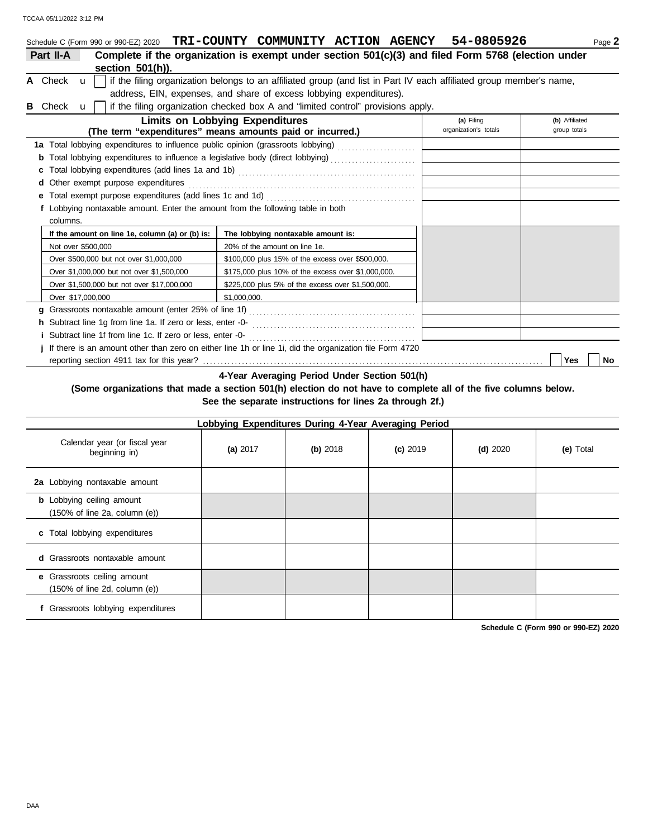|   |                                            | Schedule C (Form 990 or 990-EZ) 2020 TRI-COUNTY COMMUNITY ACTION AGENCY                                             |                                        |                                                                                  |  |  | 54-0805926                                                                                                          | Page 2         |  |
|---|--------------------------------------------|---------------------------------------------------------------------------------------------------------------------|----------------------------------------|----------------------------------------------------------------------------------|--|--|---------------------------------------------------------------------------------------------------------------------|----------------|--|
|   | Part II-A                                  |                                                                                                                     |                                        |                                                                                  |  |  | Complete if the organization is exempt under section 501(c)(3) and filed Form 5768 (election under                  |                |  |
|   |                                            | section 501(h)).                                                                                                    |                                        |                                                                                  |  |  |                                                                                                                     |                |  |
|   | A Check                                    | $\mathbf{u}$                                                                                                        |                                        |                                                                                  |  |  | if the filing organization belongs to an affiliated group (and list in Part IV each affiliated group member's name, |                |  |
|   |                                            |                                                                                                                     |                                        | address, EIN, expenses, and share of excess lobbying expenditures).              |  |  |                                                                                                                     |                |  |
| в | Check                                      | $\mathbf{u}$                                                                                                        |                                        | if the filing organization checked box A and "limited control" provisions apply. |  |  |                                                                                                                     |                |  |
|   |                                            |                                                                                                                     | <b>Limits on Lobbying Expenditures</b> |                                                                                  |  |  | (a) Filing                                                                                                          | (b) Affiliated |  |
|   |                                            | (The term "expenditures" means amounts paid or incurred.)                                                           |                                        |                                                                                  |  |  | organization's totals                                                                                               | group totals   |  |
|   |                                            | 1a Total lobbying expenditures to influence public opinion (grassroots lobbying) [[[[[[[[[[[[[[[[[[[[[[[[[[[]]]]]]] |                                        |                                                                                  |  |  |                                                                                                                     |                |  |
|   |                                            |                                                                                                                     |                                        |                                                                                  |  |  |                                                                                                                     |                |  |
|   |                                            |                                                                                                                     |                                        |                                                                                  |  |  |                                                                                                                     |                |  |
|   | <b>d</b> Other exempt purpose expenditures |                                                                                                                     |                                        |                                                                                  |  |  |                                                                                                                     |                |  |
|   |                                            | e Total exempt purpose expenditures (add lines 1c and 1d)                                                           |                                        |                                                                                  |  |  |                                                                                                                     |                |  |
|   |                                            | f Lobbying nontaxable amount. Enter the amount from the following table in both                                     |                                        |                                                                                  |  |  |                                                                                                                     |                |  |
|   | columns.                                   |                                                                                                                     |                                        |                                                                                  |  |  |                                                                                                                     |                |  |
|   |                                            | If the amount on line 1e, column (a) or (b) is:                                                                     |                                        | The lobbying nontaxable amount is:                                               |  |  |                                                                                                                     |                |  |
|   |                                            | Not over \$500,000                                                                                                  |                                        | 20% of the amount on line 1e.                                                    |  |  |                                                                                                                     |                |  |
|   |                                            | Over \$500,000 but not over \$1,000,000                                                                             |                                        | \$100,000 plus 15% of the excess over \$500,000.                                 |  |  |                                                                                                                     |                |  |
|   |                                            | Over \$1,000,000 but not over \$1,500,000                                                                           |                                        | \$175,000 plus 10% of the excess over \$1,000,000.                               |  |  |                                                                                                                     |                |  |
|   |                                            | Over \$1,500,000 but not over \$17,000,000                                                                          |                                        | \$225,000 plus 5% of the excess over \$1,500,000.                                |  |  |                                                                                                                     |                |  |
|   |                                            | Over \$17,000,000                                                                                                   | \$1,000,000.                           |                                                                                  |  |  |                                                                                                                     |                |  |
|   |                                            |                                                                                                                     |                                        |                                                                                  |  |  |                                                                                                                     |                |  |
|   |                                            |                                                                                                                     |                                        |                                                                                  |  |  |                                                                                                                     |                |  |
|   |                                            |                                                                                                                     |                                        |                                                                                  |  |  |                                                                                                                     |                |  |
|   |                                            | j If there is an amount other than zero on either line 1h or line 1i, did the organization file Form 4720           |                                        |                                                                                  |  |  |                                                                                                                     |                |  |
|   |                                            |                                                                                                                     |                                        |                                                                                  |  |  |                                                                                                                     | Yes<br>No      |  |

**4-Year Averaging Period Under Section 501(h)**

**(Some organizations that made a section 501(h) election do not have to complete all of the five columns below. See the separate instructions for lines 2a through 2f.)**

|                                                                                        | Lobbying Expenditures During 4-Year Averaging Period |          |            |            |           |
|----------------------------------------------------------------------------------------|------------------------------------------------------|----------|------------|------------|-----------|
| Calendar year (or fiscal year<br>beginning in)                                         | (a) 2017                                             | (b) 2018 | $(c)$ 2019 | $(d)$ 2020 | (e) Total |
| 2a Lobbying nontaxable amount                                                          |                                                      |          |            |            |           |
| <b>b</b> Lobbying ceiling amount<br>$(150\% \text{ of line } 2a, \text{ column } (e))$ |                                                      |          |            |            |           |
| c Total lobbying expenditures                                                          |                                                      |          |            |            |           |
| <b>d</b> Grassroots nontaxable amount                                                  |                                                      |          |            |            |           |
| e Grassroots ceiling amount<br>$(150\% \text{ of line } 2d, \text{ column } (e))$      |                                                      |          |            |            |           |
| Grassroots lobbying expenditures                                                       |                                                      |          |            |            |           |

**Schedule C (Form 990 or 990-EZ) 2020**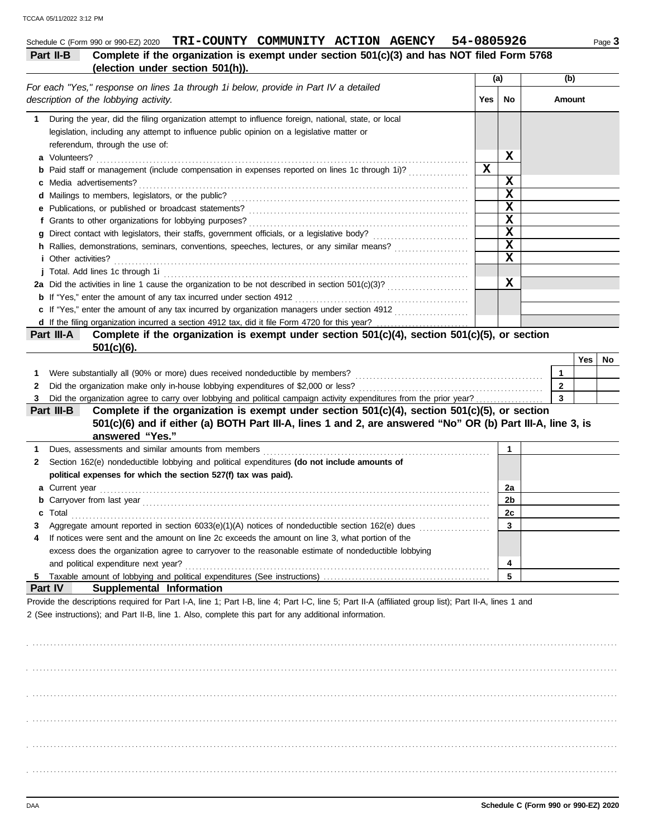# Schedule C (Form 990 or 990-EZ) 2020 **PRI-COUNTY COMMUNITY ACTION AGENCY** 54-0805926 Page 3 **Part II-B Complete if the organization is exempt under section 501(c)(3) and has NOT filed Form 5768**

|                                                                                                                                                                                                        | (a) |                         | (b)          |     |     |
|--------------------------------------------------------------------------------------------------------------------------------------------------------------------------------------------------------|-----|-------------------------|--------------|-----|-----|
| For each "Yes," response on lines 1a through 1i below, provide in Part IV a detailed<br>description of the lobbying activity.                                                                          | Yes | No                      | Amount       |     |     |
| During the year, did the filing organization attempt to influence foreign, national, state, or local<br>1<br>legislation, including any attempt to influence public opinion on a legislative matter or |     |                         |              |     |     |
| referendum, through the use of:                                                                                                                                                                        |     |                         |              |     |     |
| a Volunteers?                                                                                                                                                                                          |     | x                       |              |     |     |
| Paid staff or management (include compensation in expenses reported on lines 1c through 1i)?                                                                                                           | X   |                         |              |     |     |
| Media advertisements?                                                                                                                                                                                  |     | X                       |              |     |     |
|                                                                                                                                                                                                        |     | X                       |              |     |     |
|                                                                                                                                                                                                        |     | $\mathbf x$             |              |     |     |
| f Grants to other organizations for lobbying purposes?                                                                                                                                                 |     | $\mathbf x$             |              |     |     |
|                                                                                                                                                                                                        |     | $\mathbf x$             |              |     |     |
| h Rallies, demonstrations, seminars, conventions, speeches, lectures, or any similar means?                                                                                                            |     | $\overline{\mathbf{x}}$ |              |     |     |
| <i>i</i> Other activities?                                                                                                                                                                             |     | $\mathbf x$             |              |     |     |
| j Total. Add lines 1c through 1i                                                                                                                                                                       |     |                         |              |     |     |
|                                                                                                                                                                                                        |     | X                       |              |     |     |
|                                                                                                                                                                                                        |     |                         |              |     |     |
| c If "Yes," enter the amount of any tax incurred by organization managers under section 4912                                                                                                           |     |                         |              |     |     |
| d If the filing organization incurred a section 4912 tax, did it file Form 4720 for this year?                                                                                                         |     |                         |              |     |     |
| Complete if the organization is exempt under section 501(c)(4), section 501(c)(5), or section<br>Part III-A<br>$501(c)(6)$ .                                                                           |     |                         |              |     |     |
|                                                                                                                                                                                                        |     |                         |              | Yes | No. |
| Were substantially all (90% or more) dues received nondeductible by members?<br>1                                                                                                                      |     |                         | 1            |     |     |
| Did the organization make only in-house lobbying expenditures of \$2,000 or less?<br>2                                                                                                                 |     |                         | $\mathbf{2}$ |     |     |
| Did the organization agree to carry over lobbying and political campaign activity expenditures from the prior year?<br>3                                                                               |     |                         | 3            |     |     |
| Complete if the organization is exempt under section $501(c)(4)$ , section $501(c)(5)$ , or section<br>Part III-B                                                                                      |     |                         |              |     |     |
| 501(c)(6) and if either (a) BOTH Part III-A, lines 1 and 2, are answered "No" OR (b) Part III-A, line 3, is<br>answered "Yes."                                                                         |     |                         |              |     |     |
| Dues, assessments and similar amounts from members<br>1                                                                                                                                                |     | $\mathbf{1}$            |              |     |     |
| Section 162(e) nondeductible lobbying and political expenditures (do not include amounts of<br>2                                                                                                       |     |                         |              |     |     |
| political expenses for which the section 527(f) tax was paid).                                                                                                                                         |     |                         |              |     |     |
|                                                                                                                                                                                                        |     | 2a                      |              |     |     |
| b                                                                                                                                                                                                      |     | 2b                      |              |     |     |
| Total                                                                                                                                                                                                  |     | 2c                      |              |     |     |
|                                                                                                                                                                                                        |     | $\mathbf{3}$            |              |     |     |
| Aggregate amount reported in section 6033(e)(1)(A) notices of nondeductible section 162(e) dues                                                                                                        |     |                         |              |     |     |
| If notices were sent and the amount on line 2c exceeds the amount on line 3, what portion of the                                                                                                       |     |                         |              |     |     |
| excess does the organization agree to carryover to the reasonable estimate of nondeductible lobbying                                                                                                   |     |                         |              |     |     |
| and political expenditure next year?                                                                                                                                                                   |     | 4                       |              |     |     |
| 5                                                                                                                                                                                                      |     | 5                       |              |     |     |
| Part IV<br>Supplemental Information                                                                                                                                                                    |     |                         |              |     |     |
| Provide the descriptions required for Part I-A, line 1; Part I-B, line 4; Part I-C, line 5; Part II-A (affiliated group list); Part II-A, lines 1 and                                                  |     |                         |              |     |     |
| 2 (See instructions); and Part II-B, line 1. Also, complete this part for any additional information.                                                                                                  |     |                         |              |     |     |

. . . . . . . . . . . . . . . . . . . . . . . . . . . . . . . . . . . . . . . . . . . . . . . . . . . . . . . . . . . . . . . . . . . . . . . . . . . . . . . . . . . . . . . . . . . . . . . . . . . . . . . . . . . . . . . . . . . . . . . . . . . . . . . . . . . . . . . . . . . . . . . . . . . . . . . . . . . . . . . . . . . . . .

. . . . . . . . . . . . . . . . . . . . . . . . . . . . . . . . . . . . . . . . . . . . . . . . . . . . . . . . . . . . . . . . . . . . . . . . . . . . . . . . . . . . . . . . . . . . . . . . . . . . . . . . . . . . . . . . . . . . . . . . . . . . . . . . . . . . . . . . . . . . . . . . . . . . . . . . . . . . . . . . . . . . . .

. . . . . . . . . . . . . . . . . . . . . . . . . . . . . . . . . . . . . . . . . . . . . . . . . . . . . . . . . . . . . . . . . . . . . . . . . . . . . . . . . . . . . . . . . . . . . . . . . . . . . . . . . . . . . . . . . . . . . . . . . . . . . . . . . . . . . . . . . . . . . . . . . . . . . . . . . . . . . . . . . . . . . .

. . . . . . . . . . . . . . . . . . . . . . . . . . . . . . . . . . . . . . . . . . . . . . . . . . . . . . . . . . . . . . . . . . . . . . . . . . . . . . . . . . . . . . . . . . . . . . . . . . . . . . . . . . . . . . . . . . . . . . . . . . . . . . . . . . . . . . . . . . . . . . . . . . . . . . . . . . . . . . . . . . . . . .

. . . . . . . . . . . . . . . . . . . . . . . . . . . . . . . . . . . . . . . . . . . . . . . . . . . . . . . . . . . . . . . . . . . . . . . . . . . . . . . . . . . . . . . . . . . . . . . . . . . . . . . . . . . . . . . . . . . . . . . . . . . . . . . . . . . . . . . . . . . . . . . . . . . . . . . . . . . . . . . . . . . . . .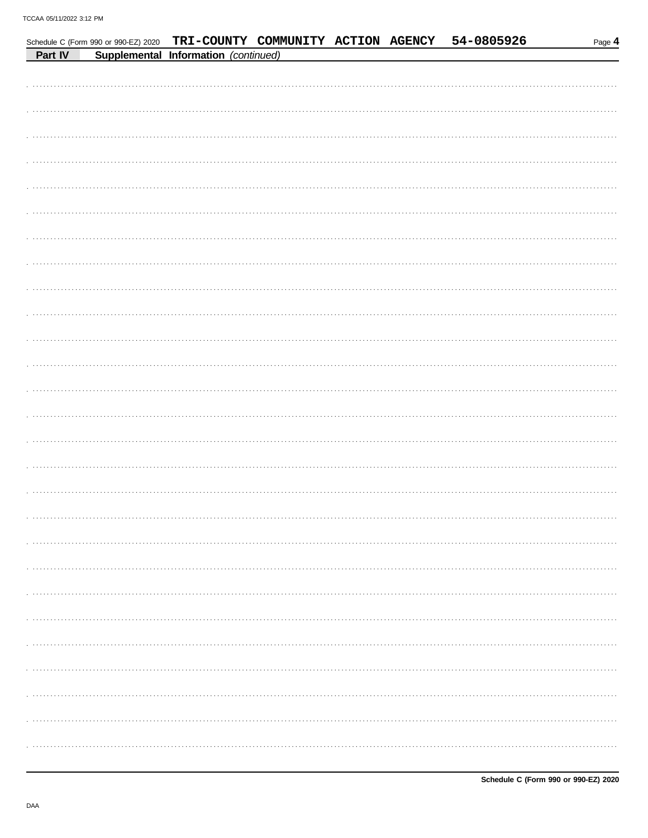|         | Schedule C (Form 990 or 990-EZ) 2020 TRI-COUNTY COMMUNITY ACTION AGENCY |  | 54-0805926 | Page 4 |
|---------|-------------------------------------------------------------------------|--|------------|--------|
| Part IV | Supplemental Information (continued)                                    |  |            |        |
|         |                                                                         |  |            |        |
|         |                                                                         |  |            |        |
|         |                                                                         |  |            |        |
|         |                                                                         |  |            |        |
|         |                                                                         |  |            |        |
|         |                                                                         |  |            |        |
|         |                                                                         |  |            |        |
|         |                                                                         |  |            |        |
|         |                                                                         |  |            |        |
|         |                                                                         |  |            |        |
|         |                                                                         |  |            |        |
|         |                                                                         |  |            |        |
|         |                                                                         |  |            |        |
|         |                                                                         |  |            |        |
|         |                                                                         |  |            |        |
|         |                                                                         |  |            |        |
|         |                                                                         |  |            |        |
|         |                                                                         |  |            |        |
|         |                                                                         |  |            |        |
|         |                                                                         |  |            |        |
|         |                                                                         |  |            |        |
|         |                                                                         |  |            |        |
|         |                                                                         |  |            |        |
|         |                                                                         |  |            |        |
|         |                                                                         |  |            |        |
|         |                                                                         |  |            |        |
|         |                                                                         |  |            |        |
|         |                                                                         |  |            |        |
|         |                                                                         |  |            |        |
|         |                                                                         |  |            |        |
|         |                                                                         |  |            |        |
|         |                                                                         |  |            |        |
|         |                                                                         |  |            |        |
|         |                                                                         |  |            |        |
|         |                                                                         |  |            |        |
|         |                                                                         |  |            |        |
|         |                                                                         |  |            |        |
|         |                                                                         |  |            |        |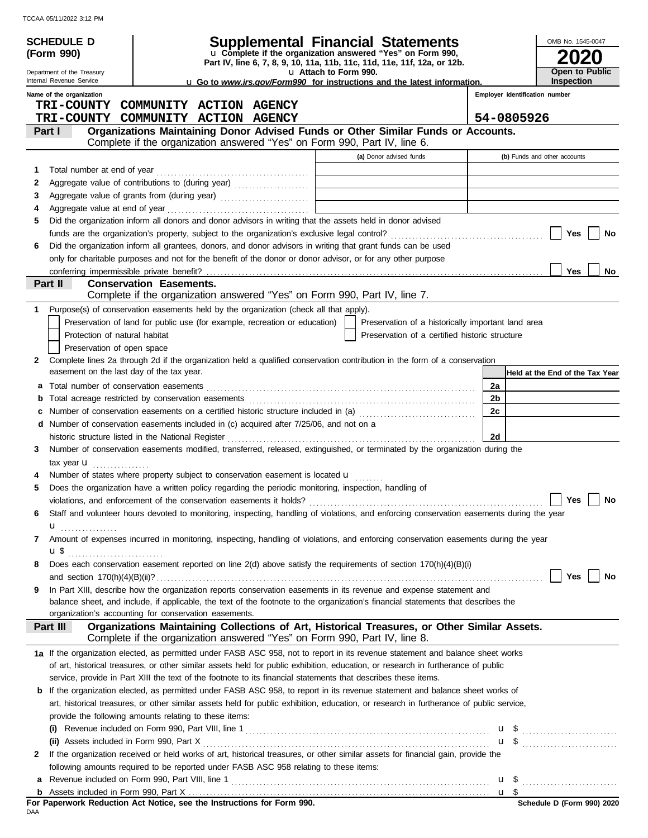|   | <b>SCHEDULE D</b>                                                                                      |                                |  |                                                                            |                       | <b>Supplemental Financial Statements</b>                                                                                                                                  |            |  | OMB No. 1545-0047                   |
|---|--------------------------------------------------------------------------------------------------------|--------------------------------|--|----------------------------------------------------------------------------|-----------------------|---------------------------------------------------------------------------------------------------------------------------------------------------------------------------|------------|--|-------------------------------------|
|   | (Form 990)                                                                                             |                                |  |                                                                            |                       | u Complete if the organization answered "Yes" on Form 990,<br>Part IV, line 6, 7, 8, 9, 10, 11a, 11b, 11c, 11d, 11e, 11f, 12a, or 12b.                                    |            |  |                                     |
|   | Department of the Treasury<br>Internal Revenue Service                                                 |                                |  |                                                                            | u Attach to Form 990. |                                                                                                                                                                           |            |  | Open to Public<br><b>Inspection</b> |
|   | Name of the organization                                                                               |                                |  |                                                                            |                       | <b>u</b> Go to <i>www.irs.gov/Form990</i> for instructions and the latest information.                                                                                    |            |  | Employer identification number      |
|   | <b>TRI-COUNTY</b>                                                                                      | COMMUNITY ACTION AGENCY        |  |                                                                            |                       |                                                                                                                                                                           |            |  |                                     |
|   | TRI-COUNTY COMMUNITY ACTION AGENCY                                                                     |                                |  |                                                                            |                       |                                                                                                                                                                           | 54-0805926 |  |                                     |
|   | Part I                                                                                                 |                                |  |                                                                            |                       | Organizations Maintaining Donor Advised Funds or Other Similar Funds or Accounts.<br>Complete if the organization answered "Yes" on Form 990, Part IV, line 6.            |            |  |                                     |
|   |                                                                                                        |                                |  |                                                                            |                       | (a) Donor advised funds                                                                                                                                                   |            |  | (b) Funds and other accounts        |
| 1 | Total number at end of year                                                                            |                                |  |                                                                            |                       |                                                                                                                                                                           |            |  |                                     |
| 2 |                                                                                                        |                                |  |                                                                            |                       |                                                                                                                                                                           |            |  |                                     |
| 3 |                                                                                                        |                                |  |                                                                            |                       | Aggregate value of grants from (during year) Mathematical Languary Mathematical Community Community Community                                                             |            |  |                                     |
| 4 |                                                                                                        |                                |  |                                                                            |                       |                                                                                                                                                                           |            |  |                                     |
| 5 |                                                                                                        |                                |  |                                                                            |                       | Did the organization inform all donors and donor advisors in writing that the assets held in donor advised                                                                |            |  |                                     |
|   | Yes<br>No                                                                                              |                                |  |                                                                            |                       |                                                                                                                                                                           |            |  |                                     |
| 6 |                                                                                                        |                                |  |                                                                            |                       | Did the organization inform all grantees, donors, and donor advisors in writing that grant funds can be used                                                              |            |  |                                     |
|   |                                                                                                        |                                |  |                                                                            |                       | only for charitable purposes and not for the benefit of the donor or donor advisor, or for any other purpose                                                              |            |  |                                     |
|   |                                                                                                        | <b>Conservation Easements.</b> |  |                                                                            |                       |                                                                                                                                                                           |            |  | Yes<br>No                           |
|   | Part II                                                                                                |                                |  |                                                                            |                       | Complete if the organization answered "Yes" on Form 990, Part IV, line 7.                                                                                                 |            |  |                                     |
| 1 | Purpose(s) of conservation easements held by the organization (check all that apply).                  |                                |  |                                                                            |                       |                                                                                                                                                                           |            |  |                                     |
|   |                                                                                                        |                                |  | Preservation of land for public use (for example, recreation or education) |                       | Preservation of a historically important land area                                                                                                                        |            |  |                                     |
|   | Protection of natural habitat                                                                          |                                |  |                                                                            |                       | Preservation of a certified historic structure                                                                                                                            |            |  |                                     |
|   | Preservation of open space                                                                             |                                |  |                                                                            |                       |                                                                                                                                                                           |            |  |                                     |
| 2 |                                                                                                        |                                |  |                                                                            |                       | Complete lines 2a through 2d if the organization held a qualified conservation contribution in the form of a conservation                                                 |            |  |                                     |
|   | easement on the last day of the tax year.                                                              |                                |  |                                                                            |                       |                                                                                                                                                                           |            |  | Held at the End of the Tax Year     |
| а |                                                                                                        |                                |  |                                                                            |                       |                                                                                                                                                                           | 2a         |  |                                     |
| b |                                                                                                        |                                |  |                                                                            |                       |                                                                                                                                                                           | 2b         |  |                                     |
| с |                                                                                                        |                                |  |                                                                            |                       | Number of conservation easements on a certified historic structure included in (a) [[[[[ [ [ ]]]                                                                          | 2c         |  |                                     |
|   | d Number of conservation easements included in (c) acquired after 7/25/06, and not on a                |                                |  |                                                                            |                       |                                                                                                                                                                           |            |  |                                     |
|   | historic structure listed in the National Register                                                     |                                |  |                                                                            |                       |                                                                                                                                                                           | 2d         |  |                                     |
| 3 |                                                                                                        |                                |  |                                                                            |                       | Number of conservation easements modified, transferred, released, extinguished, or terminated by the organization during the                                              |            |  |                                     |
|   | tax year $\mathbf u$                                                                                   |                                |  |                                                                            |                       |                                                                                                                                                                           |            |  |                                     |
|   | Number of states where property subject to conservation easement is located u                          |                                |  |                                                                            |                       |                                                                                                                                                                           |            |  |                                     |
| 5 | Does the organization have a written policy regarding the periodic monitoring, inspection, handling of |                                |  |                                                                            |                       |                                                                                                                                                                           |            |  |                                     |
|   |                                                                                                        |                                |  |                                                                            |                       | Staff and volunteer hours devoted to monitoring, inspecting, handling of violations, and enforcing conservation easements during the year                                 |            |  |                                     |
| 6 |                                                                                                        |                                |  |                                                                            |                       |                                                                                                                                                                           |            |  |                                     |
| 7 | $\mathbf{u}$                                                                                           |                                |  |                                                                            |                       | Amount of expenses incurred in monitoring, inspecting, handling of violations, and enforcing conservation easements during the year                                       |            |  |                                     |
|   | <b>u</b> \$                                                                                            |                                |  |                                                                            |                       |                                                                                                                                                                           |            |  |                                     |
| 8 |                                                                                                        |                                |  |                                                                            |                       | Does each conservation easement reported on line 2(d) above satisfy the requirements of section 170(h)(4)(B)(i)                                                           |            |  |                                     |
|   |                                                                                                        |                                |  |                                                                            |                       |                                                                                                                                                                           |            |  | Yes<br>No                           |
| 9 |                                                                                                        |                                |  |                                                                            |                       | In Part XIII, describe how the organization reports conservation easements in its revenue and expense statement and                                                       |            |  |                                     |
|   |                                                                                                        |                                |  |                                                                            |                       | balance sheet, and include, if applicable, the text of the footnote to the organization's financial statements that describes the                                         |            |  |                                     |
|   | organization's accounting for conservation easements.                                                  |                                |  |                                                                            |                       |                                                                                                                                                                           |            |  |                                     |
|   | Part III                                                                                               |                                |  |                                                                            |                       | Organizations Maintaining Collections of Art, Historical Treasures, or Other Similar Assets.<br>Complete if the organization answered "Yes" on Form 990, Part IV, line 8. |            |  |                                     |
|   |                                                                                                        |                                |  |                                                                            |                       | 1a If the organization elected, as permitted under FASB ASC 958, not to report in its revenue statement and balance sheet works                                           |            |  |                                     |
|   |                                                                                                        |                                |  |                                                                            |                       | of art, historical treasures, or other similar assets held for public exhibition, education, or research in furtherance of public                                         |            |  |                                     |
|   |                                                                                                        |                                |  |                                                                            |                       | service, provide in Part XIII the text of the footnote to its financial statements that describes these items.                                                            |            |  |                                     |
| b |                                                                                                        |                                |  |                                                                            |                       | If the organization elected, as permitted under FASB ASC 958, to report in its revenue statement and balance sheet works of                                               |            |  |                                     |
|   |                                                                                                        |                                |  |                                                                            |                       | art, historical treasures, or other similar assets held for public exhibition, education, or research in furtherance of public service,                                   |            |  |                                     |
|   | provide the following amounts relating to these items:                                                 |                                |  |                                                                            |                       |                                                                                                                                                                           |            |  |                                     |
|   |                                                                                                        |                                |  |                                                                            |                       |                                                                                                                                                                           |            |  |                                     |
|   | $\mathbf{u}$ \$ $\ldots$<br>(ii) Assets included in Form 990, Part X                                   |                                |  |                                                                            |                       |                                                                                                                                                                           |            |  |                                     |
| 2 |                                                                                                        |                                |  |                                                                            |                       | If the organization received or held works of art, historical treasures, or other similar assets for financial gain, provide the                                          |            |  |                                     |
|   | following amounts required to be reported under FASB ASC 958 relating to these items:                  |                                |  |                                                                            |                       |                                                                                                                                                                           |            |  |                                     |
| a |                                                                                                        |                                |  |                                                                            |                       |                                                                                                                                                                           |            |  |                                     |
|   |                                                                                                        |                                |  |                                                                            |                       | Assets included in Form 990, Part X<br>Personals Reduction Act Nation ace the Instructions for Form 000                                                                   |            |  |                                     |

For Paperwork Reduction Act Notice, see the Instructions for Form 990.<br><sub>DAA</sub>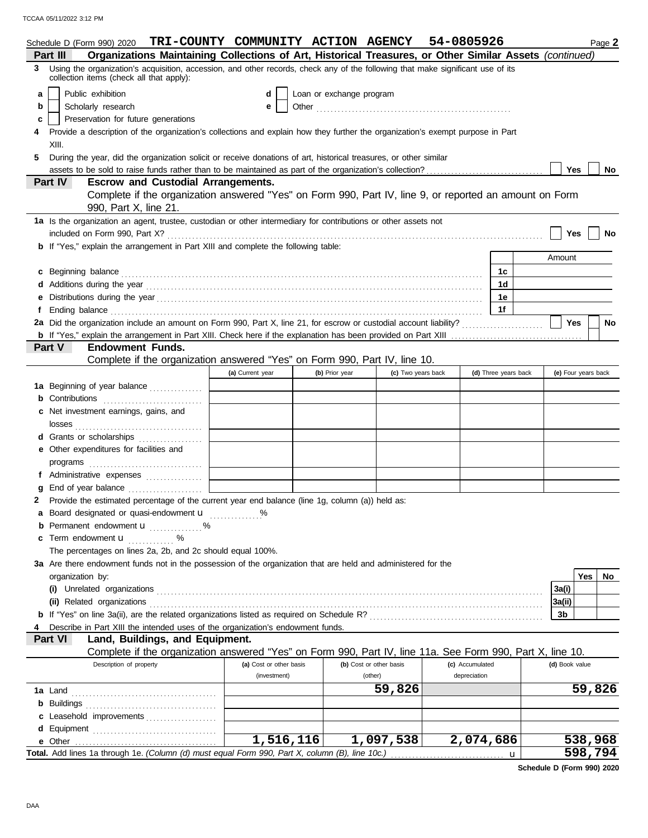|   | Schedule D (Form 990) 2020                                                                                                                                                                                                           | TRI-COUNTY COMMUNITY ACTION AGENCY 54-0805926 |                          |                         |                 |                      |                     |         | Page 2 |
|---|--------------------------------------------------------------------------------------------------------------------------------------------------------------------------------------------------------------------------------------|-----------------------------------------------|--------------------------|-------------------------|-----------------|----------------------|---------------------|---------|--------|
|   | Organizations Maintaining Collections of Art, Historical Treasures, or Other Similar Assets (continued)<br>Part III                                                                                                                  |                                               |                          |                         |                 |                      |                     |         |        |
| 3 | Using the organization's acquisition, accession, and other records, check any of the following that make significant use of its<br>collection items (check all that apply):                                                          |                                               |                          |                         |                 |                      |                     |         |        |
| a | Public exhibition                                                                                                                                                                                                                    | d                                             | Loan or exchange program |                         |                 |                      |                     |         |        |
| b | Scholarly research                                                                                                                                                                                                                   | е                                             |                          |                         |                 |                      |                     |         |        |
| С | Preservation for future generations                                                                                                                                                                                                  |                                               |                          |                         |                 |                      |                     |         |        |
|   | Provide a description of the organization's collections and explain how they further the organization's exempt purpose in Part                                                                                                       |                                               |                          |                         |                 |                      |                     |         |        |
|   | XIII.                                                                                                                                                                                                                                |                                               |                          |                         |                 |                      |                     |         |        |
| 5 | During the year, did the organization solicit or receive donations of art, historical treasures, or other similar                                                                                                                    |                                               |                          |                         |                 |                      |                     |         |        |
|   |                                                                                                                                                                                                                                      |                                               |                          |                         |                 |                      | Yes                 |         | No     |
|   | <b>Escrow and Custodial Arrangements.</b><br><b>Part IV</b>                                                                                                                                                                          |                                               |                          |                         |                 |                      |                     |         |        |
|   | Complete if the organization answered "Yes" on Form 990, Part IV, line 9, or reported an amount on Form<br>990, Part X, line 21.                                                                                                     |                                               |                          |                         |                 |                      |                     |         |        |
|   | 1a Is the organization an agent, trustee, custodian or other intermediary for contributions or other assets not                                                                                                                      |                                               |                          |                         |                 |                      |                     |         |        |
|   |                                                                                                                                                                                                                                      |                                               |                          |                         |                 |                      | Yes                 |         | No     |
|   | <b>b</b> If "Yes," explain the arrangement in Part XIII and complete the following table:                                                                                                                                            |                                               |                          |                         |                 |                      |                     |         |        |
|   |                                                                                                                                                                                                                                      |                                               |                          |                         |                 |                      | Amount              |         |        |
|   | c Beginning balance <b>contract to the contract of the set of the contract of the contract of the contract of the contract of the contract of the contract of the contract of the contract of the contract of the contract of th</b> |                                               |                          |                         |                 | 1с                   |                     |         |        |
|   |                                                                                                                                                                                                                                      |                                               |                          |                         |                 | 1d                   |                     |         |        |
| е |                                                                                                                                                                                                                                      |                                               |                          |                         |                 | 1e                   |                     |         |        |
| f | Ending balance <i>communication</i> and the contract of the contract of the contract of the contract of the contract of the contract of the contract of the contract of the contract of the contract of the contract of the contrac  |                                               |                          |                         |                 | 1f                   |                     |         |        |
|   | 2a Did the organization include an amount on Form 990, Part X, line 21, for escrow or custodial account liability?                                                                                                                   |                                               |                          |                         |                 |                      | Yes                 |         | No     |
|   |                                                                                                                                                                                                                                      |                                               |                          |                         |                 |                      |                     |         |        |
|   | <b>Endowment Funds.</b><br><b>Part V</b>                                                                                                                                                                                             |                                               |                          |                         |                 |                      |                     |         |        |
|   | Complete if the organization answered "Yes" on Form 990, Part IV, line 10.                                                                                                                                                           |                                               |                          |                         |                 |                      |                     |         |        |
|   |                                                                                                                                                                                                                                      | (a) Current year                              | (b) Prior year           | (c) Two years back      |                 | (d) Three years back | (e) Four years back |         |        |
|   | 1a Beginning of year balance                                                                                                                                                                                                         |                                               |                          |                         |                 |                      |                     |         |        |
|   | <b>b</b> Contributions                                                                                                                                                                                                               |                                               |                          |                         |                 |                      |                     |         |        |
|   | c Net investment earnings, gains, and                                                                                                                                                                                                |                                               |                          |                         |                 |                      |                     |         |        |
|   |                                                                                                                                                                                                                                      |                                               |                          |                         |                 |                      |                     |         |        |
|   | d Grants or scholarships                                                                                                                                                                                                             |                                               |                          |                         |                 |                      |                     |         |        |
|   | e Other expenditures for facilities and                                                                                                                                                                                              |                                               |                          |                         |                 |                      |                     |         |        |
|   |                                                                                                                                                                                                                                      |                                               |                          |                         |                 |                      |                     |         |        |
|   | f Administrative expenses                                                                                                                                                                                                            |                                               |                          |                         |                 |                      |                     |         |        |
|   | End of year balance                                                                                                                                                                                                                  |                                               |                          |                         |                 |                      |                     |         |        |
|   | 2 Provide the estimated percentage of the current year end balance (line 1g, column (a)) held as:                                                                                                                                    |                                               |                          |                         |                 |                      |                     |         |        |
|   | a Board designated or quasi-endowment u                                                                                                                                                                                              |                                               |                          |                         |                 |                      |                     |         |        |
|   | <b>b</b> Permanent endowment <b>u</b> %                                                                                                                                                                                              |                                               |                          |                         |                 |                      |                     |         |        |
|   | c Term endowment <b>u</b> %                                                                                                                                                                                                          |                                               |                          |                         |                 |                      |                     |         |        |
|   | The percentages on lines 2a, 2b, and 2c should equal 100%.                                                                                                                                                                           |                                               |                          |                         |                 |                      |                     |         |        |
|   | 3a Are there endowment funds not in the possession of the organization that are held and administered for the                                                                                                                        |                                               |                          |                         |                 |                      |                     | Yes     | No     |
|   | organization by:                                                                                                                                                                                                                     |                                               |                          |                         |                 |                      |                     |         |        |
|   |                                                                                                                                                                                                                                      |                                               |                          |                         |                 |                      | 3a(i)               |         |        |
|   | (ii) Related organizations <b>constants</b> and constant of the constant of the constant of the constant of the constant of the constant of the constant of the constant of the constant of the constant of the constant of the con  |                                               |                          |                         |                 |                      | 3a(ii)              |         |        |
|   |                                                                                                                                                                                                                                      |                                               |                          |                         |                 |                      | 3b                  |         |        |
|   | Describe in Part XIII the intended uses of the organization's endowment funds.<br>Land, Buildings, and Equipment.<br>Part VI                                                                                                         |                                               |                          |                         |                 |                      |                     |         |        |
|   | Complete if the organization answered "Yes" on Form 990, Part IV, line 11a. See Form 990, Part X, line 10.                                                                                                                           |                                               |                          |                         |                 |                      |                     |         |        |
|   | Description of property                                                                                                                                                                                                              | (a) Cost or other basis                       |                          | (b) Cost or other basis | (c) Accumulated |                      | (d) Book value      |         |        |
|   |                                                                                                                                                                                                                                      | (investment)                                  |                          | (other)                 | depreciation    |                      |                     |         |        |
|   |                                                                                                                                                                                                                                      |                                               |                          | 59,826                  |                 |                      |                     | 59,826  |        |
|   |                                                                                                                                                                                                                                      |                                               |                          |                         |                 |                      |                     |         |        |
|   | c Leasehold improvements                                                                                                                                                                                                             |                                               |                          |                         |                 |                      |                     |         |        |
|   |                                                                                                                                                                                                                                      |                                               |                          |                         |                 |                      |                     |         |        |
| е |                                                                                                                                                                                                                                      | 1,516,116                                     |                          | 1,097,538               |                 | 2,074,686            |                     | 538,968 |        |
|   | Total. Add lines 1a through 1e. (Column (d) must equal Form 990, Part X, column (B), line 10c.)                                                                                                                                      |                                               |                          |                         |                 | u                    |                     | 598,794 |        |
|   |                                                                                                                                                                                                                                      |                                               |                          |                         |                 |                      |                     |         |        |

**Schedule D (Form 990) 2020**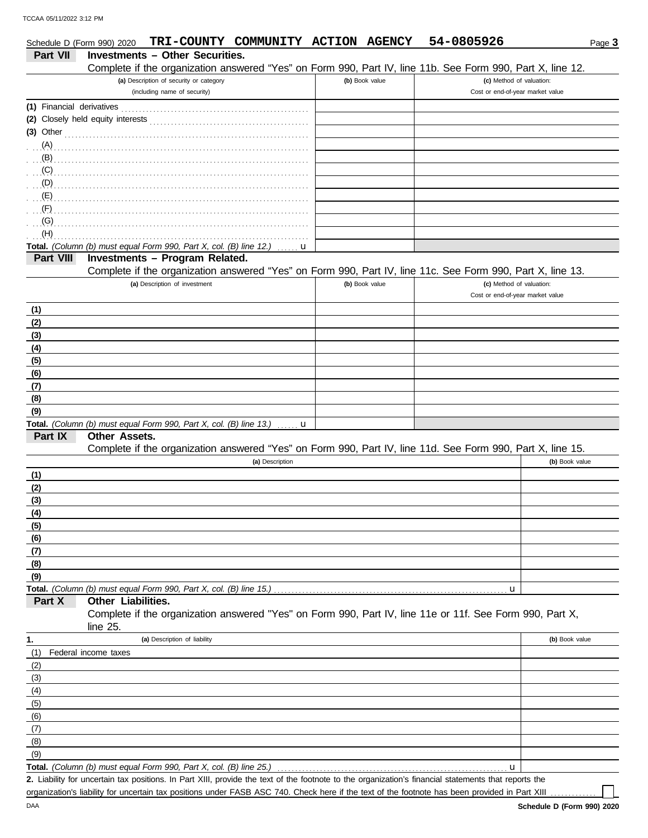|                           | Schedule D (Form 990) 2020 | TRI-COUNTY COMMUNITY ACTION AGENCY                                      |                 |                | 54-0805926                                                                                                 | Page 3         |
|---------------------------|----------------------------|-------------------------------------------------------------------------|-----------------|----------------|------------------------------------------------------------------------------------------------------------|----------------|
| <b>Part VII</b>           |                            | <b>Investments - Other Securities.</b>                                  |                 |                |                                                                                                            |                |
|                           |                            |                                                                         |                 |                | Complete if the organization answered "Yes" on Form 990, Part IV, line 11b. See Form 990, Part X, line 12. |                |
|                           |                            | (a) Description of security or category<br>(including name of security) |                 | (b) Book value | (c) Method of valuation:<br>Cost or end-of-year market value                                               |                |
| (1) Financial derivatives |                            |                                                                         |                 |                |                                                                                                            |                |
|                           |                            |                                                                         |                 |                |                                                                                                            |                |
| $(3)$ Other               |                            |                                                                         |                 |                |                                                                                                            |                |
| (A)                       |                            |                                                                         |                 |                |                                                                                                            |                |
| (B)                       |                            |                                                                         |                 |                |                                                                                                            |                |
| (C)                       |                            |                                                                         |                 |                |                                                                                                            |                |
| $\mathcal{L}(\mathsf{D})$ |                            |                                                                         |                 |                |                                                                                                            |                |
|                           |                            |                                                                         |                 |                |                                                                                                            |                |
| (F)                       |                            |                                                                         |                 |                |                                                                                                            |                |
| (G)                       |                            |                                                                         |                 |                |                                                                                                            |                |
| (H)                       |                            |                                                                         |                 |                |                                                                                                            |                |
| Part VIII                 |                            | Total. (Column (b) must equal Form 990, Part X, col. (B) line 12.)      | u               |                |                                                                                                            |                |
|                           |                            | <b>Investments - Program Related.</b>                                   |                 |                | Complete if the organization answered "Yes" on Form 990, Part IV, line 11c. See Form 990, Part X, line 13. |                |
|                           |                            | (a) Description of investment                                           |                 | (b) Book value | (c) Method of valuation:                                                                                   |                |
|                           |                            |                                                                         |                 |                | Cost or end-of-year market value                                                                           |                |
| (1)                       |                            |                                                                         |                 |                |                                                                                                            |                |
| (2)                       |                            |                                                                         |                 |                |                                                                                                            |                |
| (3)                       |                            |                                                                         |                 |                |                                                                                                            |                |
| (4)                       |                            |                                                                         |                 |                |                                                                                                            |                |
| (5)                       |                            |                                                                         |                 |                |                                                                                                            |                |
| (6)                       |                            |                                                                         |                 |                |                                                                                                            |                |
| (7)                       |                            |                                                                         |                 |                |                                                                                                            |                |
| (8)                       |                            |                                                                         |                 |                |                                                                                                            |                |
| (9)                       |                            |                                                                         |                 |                |                                                                                                            |                |
| Part IX                   | <b>Other Assets.</b>       | Total. (Column (b) must equal Form 990, Part X, col. (B) line 13.)      | $\ldots$ u      |                |                                                                                                            |                |
|                           |                            |                                                                         |                 |                | Complete if the organization answered "Yes" on Form 990, Part IV, line 11d. See Form 990, Part X, line 15. |                |
|                           |                            |                                                                         | (a) Description |                |                                                                                                            | (b) Book value |
| (1)                       |                            |                                                                         |                 |                |                                                                                                            |                |
| (2)                       |                            |                                                                         |                 |                |                                                                                                            |                |
| (3)                       |                            |                                                                         |                 |                |                                                                                                            |                |
| (4)                       |                            |                                                                         |                 |                |                                                                                                            |                |
| (5)                       |                            |                                                                         |                 |                |                                                                                                            |                |
| (6)                       |                            |                                                                         |                 |                |                                                                                                            |                |
| (7)                       |                            |                                                                         |                 |                |                                                                                                            |                |
| (8)                       |                            |                                                                         |                 |                |                                                                                                            |                |
| (9)                       |                            | Total. (Column (b) must equal Form 990, Part X, col. (B) line 15.)      |                 |                | u                                                                                                          |                |
| Part X                    | Other Liabilities.         |                                                                         |                 |                |                                                                                                            |                |
|                           |                            |                                                                         |                 |                | Complete if the organization answered "Yes" on Form 990, Part IV, line 11e or 11f. See Form 990, Part X,   |                |
|                           | line $25$ .                |                                                                         |                 |                |                                                                                                            |                |
| 1.                        |                            | (a) Description of liability                                            |                 |                |                                                                                                            | (b) Book value |
| (1)                       | Federal income taxes       |                                                                         |                 |                |                                                                                                            |                |
| (2)                       |                            |                                                                         |                 |                |                                                                                                            |                |
| (3)                       |                            |                                                                         |                 |                |                                                                                                            |                |
| (4)                       |                            |                                                                         |                 |                |                                                                                                            |                |
| (5)                       |                            |                                                                         |                 |                |                                                                                                            |                |
| (6)                       |                            |                                                                         |                 |                |                                                                                                            |                |
| (7)                       |                            |                                                                         |                 |                |                                                                                                            |                |
| (8)                       |                            |                                                                         |                 |                |                                                                                                            |                |
| (9)                       |                            |                                                                         |                 |                |                                                                                                            |                |
|                           |                            | Total. (Column (b) must equal Form 990, Part X, col. (B) line 25.)      |                 |                | u                                                                                                          |                |

Liability for uncertain tax positions. In Part XIII, provide the text of the footnote to the organization's financial statements that reports the **2.** organization's liability for uncertain tax positions under FASB ASC 740. Check here if the text of the footnote has been provided in Part XIII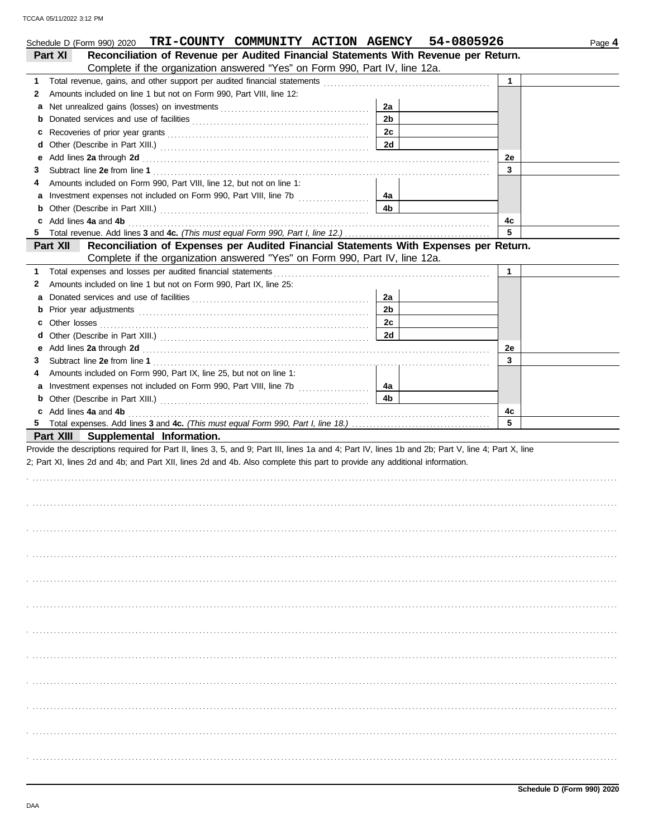| Schedule D (Form 990) 2020 TRI-COUNTY COMMUNITY ACTION AGENCY 54-0805926                                                                                                                                                                                                                              |                |  |              | Page 4 |  |  |  |
|-------------------------------------------------------------------------------------------------------------------------------------------------------------------------------------------------------------------------------------------------------------------------------------------------------|----------------|--|--------------|--------|--|--|--|
| Reconciliation of Revenue per Audited Financial Statements With Revenue per Return.<br>Part XI                                                                                                                                                                                                        |                |  |              |        |  |  |  |
| Complete if the organization answered "Yes" on Form 990, Part IV, line 12a.                                                                                                                                                                                                                           |                |  |              |        |  |  |  |
| 1                                                                                                                                                                                                                                                                                                     |                |  | $\mathbf{1}$ |        |  |  |  |
| Amounts included on line 1 but not on Form 990, Part VIII, line 12:<br>2                                                                                                                                                                                                                              |                |  |              |        |  |  |  |
| a                                                                                                                                                                                                                                                                                                     | 2a             |  |              |        |  |  |  |
|                                                                                                                                                                                                                                                                                                       | 2 <sub>b</sub> |  |              |        |  |  |  |
|                                                                                                                                                                                                                                                                                                       | 2c             |  |              |        |  |  |  |
| d                                                                                                                                                                                                                                                                                                     | 2d             |  |              |        |  |  |  |
| Add lines 2a through 2d [11] Additional Contract of the Additional Contract of the Additional Contract of the Additional Contract of the Additional Contract of the Additional Contract of the Additional Contract of the Addi<br>е                                                                   |                |  | 2e<br>3      |        |  |  |  |
| 3<br>Amounts included on Form 990, Part VIII, line 12, but not on line 1:                                                                                                                                                                                                                             |                |  |              |        |  |  |  |
|                                                                                                                                                                                                                                                                                                       | 4a             |  |              |        |  |  |  |
|                                                                                                                                                                                                                                                                                                       | 4b             |  |              |        |  |  |  |
|                                                                                                                                                                                                                                                                                                       |                |  | 4c           |        |  |  |  |
|                                                                                                                                                                                                                                                                                                       |                |  | 5            |        |  |  |  |
| Reconciliation of Expenses per Audited Financial Statements With Expenses per Return.<br>Part XII                                                                                                                                                                                                     |                |  |              |        |  |  |  |
| Complete if the organization answered "Yes" on Form 990, Part IV, line 12a.                                                                                                                                                                                                                           |                |  |              |        |  |  |  |
| Total expenses and losses per audited financial statements [11] contain the substitution of the statements and the statements and the statements and the statements and the statements of the statements and statements are st<br>1                                                                   |                |  | 1            |        |  |  |  |
| Amounts included on line 1 but not on Form 990, Part IX, line 25:<br>2                                                                                                                                                                                                                                |                |  |              |        |  |  |  |
| а                                                                                                                                                                                                                                                                                                     | 2a             |  |              |        |  |  |  |
|                                                                                                                                                                                                                                                                                                       | 2 <sub>b</sub> |  |              |        |  |  |  |
| Other losses <b>contracts</b> and <b>contracts</b> and <b>contracts</b> and <b>contracts</b> and <b>contracts</b> and <b>contracts</b> and <b>contracts</b> and <b>contracts</b> and <b>contracts</b> and <b>contracts</b> and <b>contracts</b> and <b>contracts</b> and <b>contracts</b> and <b></b> | 2c             |  |              |        |  |  |  |
| d                                                                                                                                                                                                                                                                                                     | 2d             |  |              |        |  |  |  |
| е                                                                                                                                                                                                                                                                                                     |                |  | 2e           |        |  |  |  |
| 3                                                                                                                                                                                                                                                                                                     |                |  | 3            |        |  |  |  |
| Amounts included on Form 990, Part IX, line 25, but not on line 1:                                                                                                                                                                                                                                    |                |  |              |        |  |  |  |
|                                                                                                                                                                                                                                                                                                       | 4a             |  |              |        |  |  |  |
|                                                                                                                                                                                                                                                                                                       | 4b             |  |              |        |  |  |  |
| c Add lines 4a and 4b (a) and the contract of the contract of the contract of the contract of the contract of the contract of the contract of the contract of the contract of the contract of the contract of the contract of                                                                         |                |  | 4c<br>5      |        |  |  |  |
| Part XIII Supplemental Information.                                                                                                                                                                                                                                                                   |                |  |              |        |  |  |  |
| Provide the descriptions required for Part II, lines 3, 5, and 9; Part III, lines 1a and 4; Part IV, lines 1b and 2b; Part V, line 4; Part X, line                                                                                                                                                    |                |  |              |        |  |  |  |
| 2; Part XI, lines 2d and 4b; and Part XII, lines 2d and 4b. Also complete this part to provide any additional information.                                                                                                                                                                            |                |  |              |        |  |  |  |
|                                                                                                                                                                                                                                                                                                       |                |  |              |        |  |  |  |
|                                                                                                                                                                                                                                                                                                       |                |  |              |        |  |  |  |
|                                                                                                                                                                                                                                                                                                       |                |  |              |        |  |  |  |
|                                                                                                                                                                                                                                                                                                       |                |  |              |        |  |  |  |
|                                                                                                                                                                                                                                                                                                       |                |  |              |        |  |  |  |
|                                                                                                                                                                                                                                                                                                       |                |  |              |        |  |  |  |
|                                                                                                                                                                                                                                                                                                       |                |  |              |        |  |  |  |
|                                                                                                                                                                                                                                                                                                       |                |  |              |        |  |  |  |
|                                                                                                                                                                                                                                                                                                       |                |  |              |        |  |  |  |
|                                                                                                                                                                                                                                                                                                       |                |  |              |        |  |  |  |
|                                                                                                                                                                                                                                                                                                       |                |  |              |        |  |  |  |
|                                                                                                                                                                                                                                                                                                       |                |  |              |        |  |  |  |
|                                                                                                                                                                                                                                                                                                       |                |  |              |        |  |  |  |
|                                                                                                                                                                                                                                                                                                       |                |  |              |        |  |  |  |
|                                                                                                                                                                                                                                                                                                       |                |  |              |        |  |  |  |
|                                                                                                                                                                                                                                                                                                       |                |  |              |        |  |  |  |
|                                                                                                                                                                                                                                                                                                       |                |  |              |        |  |  |  |
|                                                                                                                                                                                                                                                                                                       |                |  |              |        |  |  |  |
|                                                                                                                                                                                                                                                                                                       |                |  |              |        |  |  |  |
|                                                                                                                                                                                                                                                                                                       |                |  |              |        |  |  |  |
|                                                                                                                                                                                                                                                                                                       |                |  |              |        |  |  |  |
|                                                                                                                                                                                                                                                                                                       |                |  |              |        |  |  |  |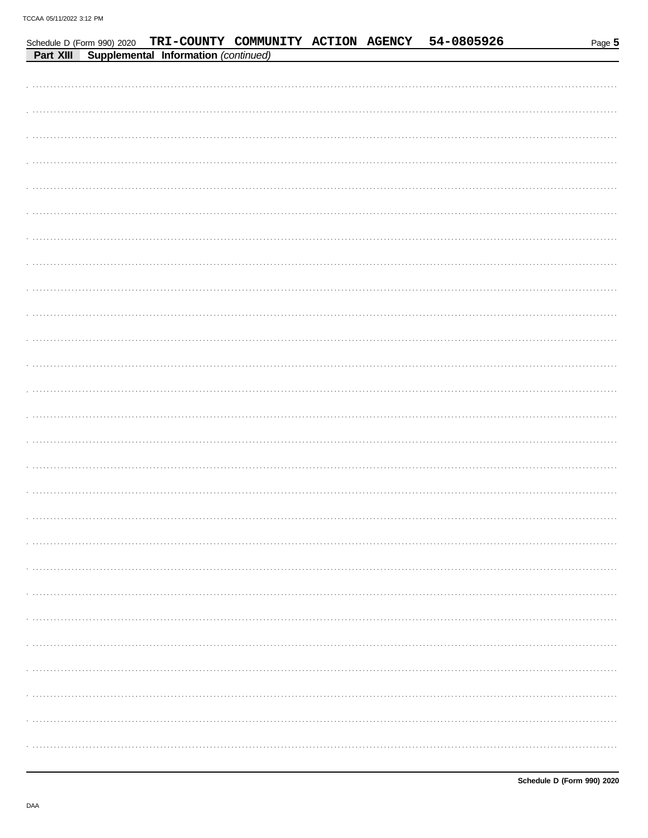|           | Schedule D (Form 990) 2020 TRI-COUNTY COMMUNITY ACTION AGENCY |  | 54-0805926 | Page 5 |
|-----------|---------------------------------------------------------------|--|------------|--------|
| Part XIII | Supplemental Information (continued)                          |  |            |        |
|           |                                                               |  |            |        |
|           |                                                               |  |            |        |
|           |                                                               |  |            |        |
|           |                                                               |  |            |        |
|           |                                                               |  |            |        |
|           |                                                               |  |            |        |
|           |                                                               |  |            |        |
|           |                                                               |  |            |        |
|           |                                                               |  |            |        |
|           |                                                               |  |            |        |
|           |                                                               |  |            |        |
|           |                                                               |  |            |        |
|           |                                                               |  |            |        |
|           |                                                               |  |            |        |
|           |                                                               |  |            |        |
|           |                                                               |  |            |        |
|           |                                                               |  |            |        |
|           |                                                               |  |            |        |
|           |                                                               |  |            |        |
|           |                                                               |  |            |        |
|           |                                                               |  |            |        |
|           |                                                               |  |            |        |
|           |                                                               |  |            |        |
|           |                                                               |  |            |        |
|           |                                                               |  |            |        |
|           |                                                               |  |            |        |
|           |                                                               |  |            |        |
|           |                                                               |  |            |        |
|           |                                                               |  |            |        |
|           |                                                               |  |            |        |
|           |                                                               |  |            |        |
|           |                                                               |  |            |        |
|           |                                                               |  |            |        |
|           |                                                               |  |            |        |
|           |                                                               |  |            |        |
|           |                                                               |  |            |        |
|           |                                                               |  |            |        |
|           |                                                               |  |            |        |
|           |                                                               |  |            |        |
|           |                                                               |  |            |        |
|           |                                                               |  |            |        |
|           |                                                               |  |            |        |
|           |                                                               |  |            |        |
|           |                                                               |  |            |        |
|           |                                                               |  |            |        |
|           |                                                               |  |            |        |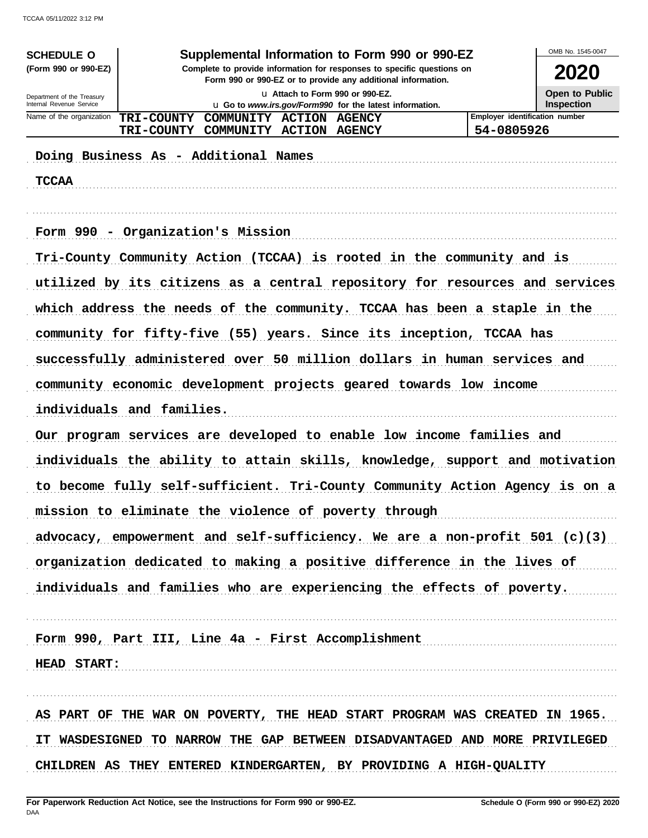| <b>SCHEDULE O</b>                                      |                                                                             |                         | Supplemental Information to Form 990 or 990-EZ                                              |                                | OMB No. 1545-0047                   |
|--------------------------------------------------------|-----------------------------------------------------------------------------|-------------------------|---------------------------------------------------------------------------------------------|--------------------------------|-------------------------------------|
| (Form 990 or 990-EZ)                                   |                                                                             |                         | Complete to provide information for responses to specific questions on                      |                                | <b>2020</b>                         |
|                                                        |                                                                             |                         | Form 990 or 990-EZ or to provide any additional information.                                |                                |                                     |
| Department of the Treasury<br>Internal Revenue Service |                                                                             |                         | La Attach to Form 990 or 990-EZ.<br>u Go to www.irs.gov/Form990 for the latest information. |                                | Open to Public<br><b>Inspection</b> |
| Name of the organization                               | <b>TRI-COUNTY</b>                                                           | COMMUNITY ACTION AGENCY |                                                                                             | Employer identification number |                                     |
|                                                        | <b>TRI-COUNTY</b>                                                           | COMMUNITY ACTION AGENCY |                                                                                             | 54-0805926                     |                                     |
| <b>TCCAA</b>                                           | Doing Business As - Additional Names                                        |                         |                                                                                             |                                |                                     |
|                                                        |                                                                             |                         |                                                                                             |                                |                                     |
|                                                        | Form 990 - Organization's Mission                                           |                         |                                                                                             |                                |                                     |
|                                                        | Tri-County Community Action (TCCAA) is rooted in the community and is       |                         |                                                                                             |                                |                                     |
|                                                        | utilized by its citizens as a central repository for resources and services |                         |                                                                                             |                                |                                     |
|                                                        | which address the needs of the community. TCCAA has been a staple in the    |                         |                                                                                             |                                |                                     |
|                                                        | community for fifty-five (55) years. Since its inception, TCCAA has         |                         |                                                                                             |                                |                                     |
|                                                        | successfully administered over 50 million dollars in human services and     |                         |                                                                                             |                                |                                     |
|                                                        | community economic development projects geared towards low income           |                         |                                                                                             |                                |                                     |
|                                                        | individuals and families.                                                   |                         |                                                                                             |                                |                                     |
|                                                        | Our program services are developed to enable low income families and        |                         |                                                                                             |                                |                                     |
|                                                        | individuals the ability to attain skills, knowledge, support and motivation |                         |                                                                                             |                                |                                     |
|                                                        | to become fully self-sufficient. Tri-County Community Action Agency is on a |                         |                                                                                             |                                |                                     |
|                                                        | mission to eliminate the violence of poverty through                        |                         |                                                                                             |                                |                                     |
|                                                        | advocacy, empowerment and self-sufficiency. We are a non-profit 501 (c)(3)  |                         |                                                                                             |                                |                                     |
|                                                        | organization dedicated to making a positive difference in the lives of      |                         |                                                                                             |                                |                                     |
|                                                        | individuals and families who are experiencing the effects of poverty.       |                         |                                                                                             |                                |                                     |
|                                                        | Form 990, Part III, Line 4a - First Accomplishment                          |                         |                                                                                             |                                |                                     |
| HEAD START:                                            |                                                                             |                         |                                                                                             |                                |                                     |
|                                                        | AS PART OF THE WAR ON POVERTY, THE HEAD START PROGRAM WAS CREATED IN 1965.  |                         |                                                                                             |                                |                                     |
|                                                        | IT WASDESIGNED TO NARROW THE GAP BETWEEN DISADVANTAGED AND MORE PRIVILEGED  |                         |                                                                                             |                                |                                     |
|                                                        | CHILDREN AS THEY ENTERED KINDERGARTEN, BY PROVIDING A HIGH-QUALITY          |                         |                                                                                             |                                |                                     |

For Paperwork Reduction Act Notice, see the Instructions for Form 990 or 990-EZ. DAA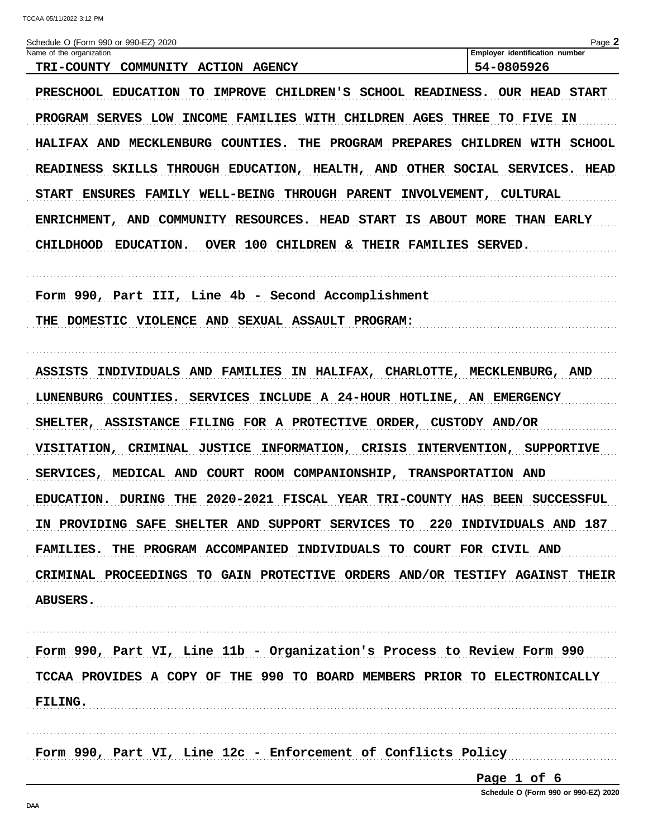| TCCAA 05/11/2022 3:12 PM                                                                 |                                                            |  |  |  |  |  |  |
|------------------------------------------------------------------------------------------|------------------------------------------------------------|--|--|--|--|--|--|
| Schedule O (Form 990 or 990-EZ) 2020<br>Name of the organization                         | Page 2<br>Employer identification number                   |  |  |  |  |  |  |
| COMMUNITY<br><b>ACTION AGENCY</b><br><b>TRI-COUNTY</b>                                   | 54-0805926                                                 |  |  |  |  |  |  |
| PRESCHOOL EDUCATION<br>TO.                                                               | IMPROVE CHILDREN'S SCHOOL READINESS. OUR HEAD START        |  |  |  |  |  |  |
| PROGRAM SERVES LOW INCOME FAMILIES WITH CHILDREN AGES THREE                              | TO FIVE<br>- IN                                            |  |  |  |  |  |  |
| HALIFAX AND MECKLENBURG COUNTIES. THE PROGRAM PREPARES CHILDREN WITH SCHOOL              |                                                            |  |  |  |  |  |  |
| <b>READINESS</b><br>SKILLS                                                               | THROUGH EDUCATION, HEALTH, AND OTHER SOCIAL SERVICES. HEAD |  |  |  |  |  |  |
| <b>ENSURES FAMILY WELL-BEING THROUGH PARENT</b><br><b>START</b><br>INVOLVEMENT, CULTURAL |                                                            |  |  |  |  |  |  |
| ENRICHMENT, AND COMMUNITY RESOURCES. HEAD START                                          | IS ABOUT MORE THAN EARLY                                   |  |  |  |  |  |  |
| <b>CHILDHOOD</b><br><b>EDUCATION.</b><br>OVER 100 CHILDREN & THEIR FAMILIES SERVED.      |                                                            |  |  |  |  |  |  |
| Form 990, Part III, Line 4b - Second Accomplishment                                      |                                                            |  |  |  |  |  |  |
| THE DOMESTIC VIOLENCE AND SEXUAL ASSAULT PROGRAM:                                        |                                                            |  |  |  |  |  |  |
| ASSISTS<br>INDIVIDUALS AND FAMILIES IN HALIFAX, CHARLOTTE, MECKLENBURG, AND              |                                                            |  |  |  |  |  |  |
| LUNENBURG COUNTIES.<br><b>SERVICES</b>                                                   | INCLUDE A 24-HOUR HOTLINE, AN EMERGENCY                    |  |  |  |  |  |  |
| SHELTER, ASSISTANCE FILING FOR A PROTECTIVE ORDER, CUSTODY AND/OR                        |                                                            |  |  |  |  |  |  |
| VISITATION, CRIMINAL JUSTICE<br><b>INFORMATION, CRISIS</b>                               | INTERVENTION, SUPPORTIVE                                   |  |  |  |  |  |  |
| SERVICES, MEDICAL AND COURT ROOM COMPANIONSHIP, TRANSPORTATION AND                       |                                                            |  |  |  |  |  |  |
| EDUCATION. DURING THE 2020-2021 FISCAL YEAR TRI-COUNTY HAS BEEN SUCCESSFUL               |                                                            |  |  |  |  |  |  |
| IN PROVIDING SAFE SHELTER AND SUPPORT SERVICES TO 220 INDIVIDUALS AND 187                |                                                            |  |  |  |  |  |  |
| FAMILIES. THE PROGRAM ACCOMPANIED INDIVIDUALS TO COURT FOR CIVIL AND                     |                                                            |  |  |  |  |  |  |
| CRIMINAL PROCEEDINGS TO GAIN PROTECTIVE ORDERS AND/OR TESTIFY AGAINST THEIR              |                                                            |  |  |  |  |  |  |
| <b>ABUSERS.</b>                                                                          |                                                            |  |  |  |  |  |  |
| Form 990, Part VI, Line 11b - Organization's Process to Review Form 990                  |                                                            |  |  |  |  |  |  |
| TCCAA PROVIDES A COPY OF THE 990 TO BOARD MEMBERS PRIOR TO ELECTRONICALLY                |                                                            |  |  |  |  |  |  |
| FILING.                                                                                  |                                                            |  |  |  |  |  |  |

Form 990, Part VI, Line 12c - Enforcement of Conflicts Policy

Page 1 of 6

Schedule O (Form 990 or 990-EZ) 2020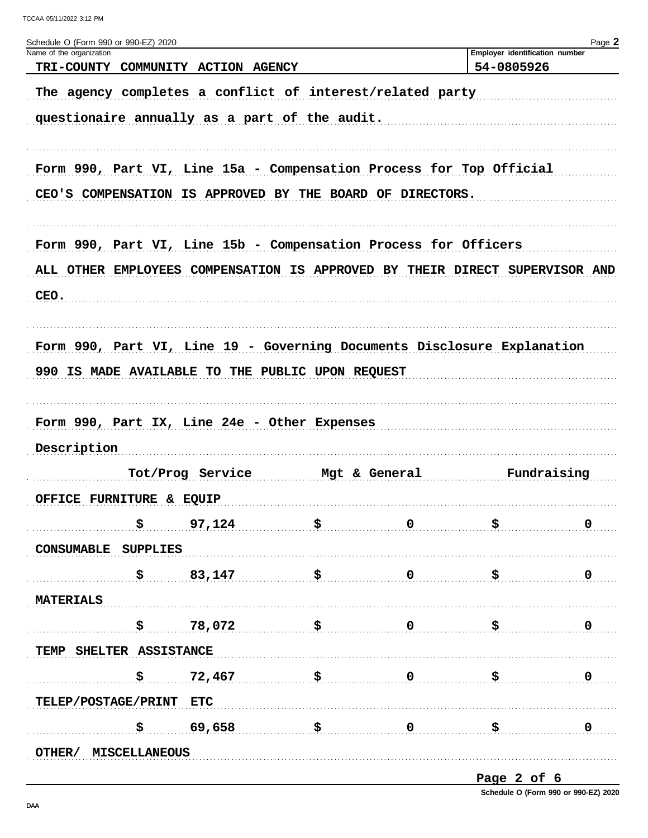| Name of the organization                                                    |                  |                                                                                                     |                            | Employer identification number | Page 2                  |
|-----------------------------------------------------------------------------|------------------|-----------------------------------------------------------------------------------------------------|----------------------------|--------------------------------|-------------------------|
| TRI-COUNTY COMMUNITY ACTION AGENCY                                          |                  |                                                                                                     |                            | 54-0805926                     |                         |
| The agency completes a conflict of interest/related party                   |                  |                                                                                                     |                            |                                |                         |
| questionaire annually as a part of the audit.                               |                  |                                                                                                     |                            |                                |                         |
|                                                                             |                  |                                                                                                     |                            |                                |                         |
| Form 990, Part VI, Line 15a - Compensation Process for Top Official         |                  |                                                                                                     |                            |                                |                         |
| CEO'S COMPENSATION IS APPROVED BY THE BOARD OF DIRECTORS.                   |                  |                                                                                                     |                            |                                |                         |
|                                                                             |                  |                                                                                                     |                            |                                |                         |
| Form 990, Part VI, Line 15b - Compensation Process for Officers             |                  |                                                                                                     |                            |                                |                         |
| ALL OTHER EMPLOYEES COMPENSATION IS APPROVED BY THEIR DIRECT SUPERVISOR AND |                  |                                                                                                     |                            |                                |                         |
| CEO.                                                                        |                  |                                                                                                     |                            |                                |                         |
| Form 990, Part VI, Line 19 - Governing Documents Disclosure Explanation     |                  |                                                                                                     |                            |                                |                         |
|                                                                             |                  |                                                                                                     |                            |                                |                         |
| 990 IS MADE AVAILABLE TO THE PUBLIC UPON REQUEST                            |                  |                                                                                                     |                            |                                |                         |
|                                                                             |                  |                                                                                                     |                            |                                |                         |
| Form 990, Part IX, Line 24e - Other Expenses                                |                  |                                                                                                     |                            |                                |                         |
| Description                                                                 |                  |                                                                                                     |                            |                                |                         |
|                                                                             | Tot/Prog Service | Mgt & General                                                                                       |                            |                                | Fundraising             |
| OFFICE FURNITURE & EQUIP                                                    |                  |                                                                                                     |                            |                                |                         |
| \$                                                                          | 97,124           | $\ddot{\mathbf{s}}$                                                                                 | $\overline{0}$             | \$                             | 0                       |
| CONSUMABLE SUPPLIES                                                         |                  |                                                                                                     |                            |                                |                         |
| $\boldsymbol{\mathsf{S}}$                                                   | 83,147           | $\ddot{\bm{S}}$ , and $\bm{S}$                                                                      |                            | - \$                           | $\overline{\mathbf{0}}$ |
| <b>MATERIALS</b>                                                            |                  |                                                                                                     |                            |                                |                         |
|                                                                             | \$78,072         | <b>ウェイス あいまく きょうしょう きょうしょう きょうしょう かいきょう</b>                                                         | $\overline{\mathbf{0}}$    | - \$                           | $\mathbf{0}$            |
| TEMP SHELTER ASSISTANCE                                                     |                  |                                                                                                     |                            |                                |                         |
| \$                                                                          | 72,467           | া যায় হয়। তেওঁ কৰি বিষয় কৰি যায় কৰি । তেওঁ কৰি বিষয় কৰি বিষয় কৰি । তেওঁ কৰি বিষয় কৰি বিষয় ক | $\overline{\phantom{a}}$ 0 | - \$                           | $\mathbf 0$             |
| TELEP/POSTAGE/PRINT                                                         | <b>ETC</b>       |                                                                                                     |                            |                                |                         |
| \$                                                                          | 69,658           | $\ddot{\mathbf{s}}$                                                                                 | $\overline{\mathbf{0}}$    | \$                             | $\mathbf 0$             |

Page 2 of 6 Schedule O (Form 990 or 990-EZ) 2020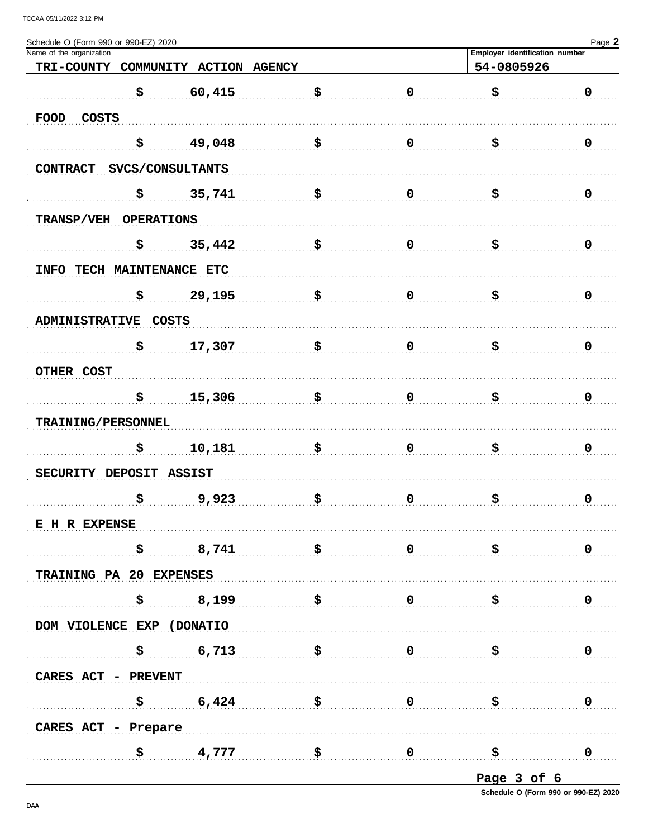| TCCAA 05/11/2022 3:12 PM |  |  |  |  |
|--------------------------|--|--|--|--|
|--------------------------|--|--|--|--|

| Name of the organization<br>TRI-COUNTY COMMUNITY ACTION AGENCY | Employer identification number<br>54-0805926           |                    |             |                                         |                         |
|----------------------------------------------------------------|--------------------------------------------------------|--------------------|-------------|-----------------------------------------|-------------------------|
|                                                                |                                                        |                    | $\pmb{0}$   |                                         | $\pmb{0}$               |
| \$                                                             | 60,415                                                 | \$                 |             | \$                                      |                         |
| FOOD<br><b>COSTS</b>                                           |                                                        |                    |             |                                         |                         |
| \$                                                             | 49,048                                                 | \$                 | $\bf{0}$    | \$                                      | $\pmb{0}$               |
| <b>CONTRACT</b>                                                | <b>SVCS/CONSULTANTS</b>                                |                    |             |                                         |                         |
| \$                                                             | 35,741                                                 | \$                 | $\pmb{0}$   | \$                                      | $\mathbf 0$             |
| TRANSP/VEH OPERATIONS                                          |                                                        |                    |             |                                         |                         |
| \$                                                             | 35,442                                                 | \$                 | $\bf{0}$    | \$                                      | $\mathbf 0$             |
| INFO TECH MAINTENANCE ETC                                      |                                                        |                    |             |                                         |                         |
| \$                                                             | 29,195                                                 | \$                 | $\pmb{0}$   | \$                                      | $\mathbf 0$             |
| <b>ADMINISTRATIVE</b>                                          | COSTS                                                  |                    |             |                                         |                         |
|                                                                |                                                        |                    |             |                                         |                         |
| \$                                                             | 17,307                                                 | \$                 | $\mathbf 0$ | \$                                      | $\mathbf 0$             |
| OTHER COST                                                     |                                                        |                    |             |                                         |                         |
| \$                                                             | 15,306                                                 | \$                 | $\mathbf 0$ | \$                                      | $\mathbf 0$             |
| <b>TRAINING/PERSONNEL</b>                                      |                                                        |                    |             |                                         |                         |
| \$                                                             | 10,181                                                 | \$                 | $\mathbf 0$ | \$                                      | $\mathbf 0$             |
| SECURITY DEPOSIT ASSIST                                        |                                                        |                    |             |                                         |                         |
| \$                                                             | 9,923                                                  | \$                 | $\mathbf 0$ | \$                                      | $\pmb{0}$               |
| E H R EXPENSE                                                  |                                                        |                    |             |                                         |                         |
|                                                                | $\frac{1}{5}$ 8,741 \$ 0 \$                            |                    |             |                                         | $\overline{\mathbf{0}}$ |
|                                                                |                                                        |                    |             |                                         |                         |
| TRAINING PA 20 EXPENSES                                        |                                                        |                    |             |                                         |                         |
|                                                                | $\zeta$ 8,199 $\zeta$ 0 $\zeta$                        |                    |             |                                         | $\overline{\mathbf{0}}$ |
| DOM VIOLENCE EXP (DONATIO                                      |                                                        |                    |             |                                         |                         |
|                                                                | $\frac{1}{5}$ 6,713 $\frac{1}{5}$                      |                    |             | $\begin{matrix} 0 & \zeta \end{matrix}$ | $\overline{\mathbf{0}}$ |
| CARES ACT - PREVENT                                            |                                                        |                    |             |                                         |                         |
|                                                                | \$ 6,424                                               | $\mathbf{\hat{S}}$ | $\mathbf 0$ | \$                                      | $\mathbf{0}$            |
| CARES ACT - Prepare                                            |                                                        |                    |             |                                         |                         |
|                                                                | $\begin{array}{ccc} \xi & 4,777 & \xi & 0 \end{array}$ |                    |             | \$                                      | $\mathbf 0$             |
|                                                                |                                                        |                    |             |                                         |                         |

Page 3 of 6

Schedule O (Form 990 or 990-EZ) 2020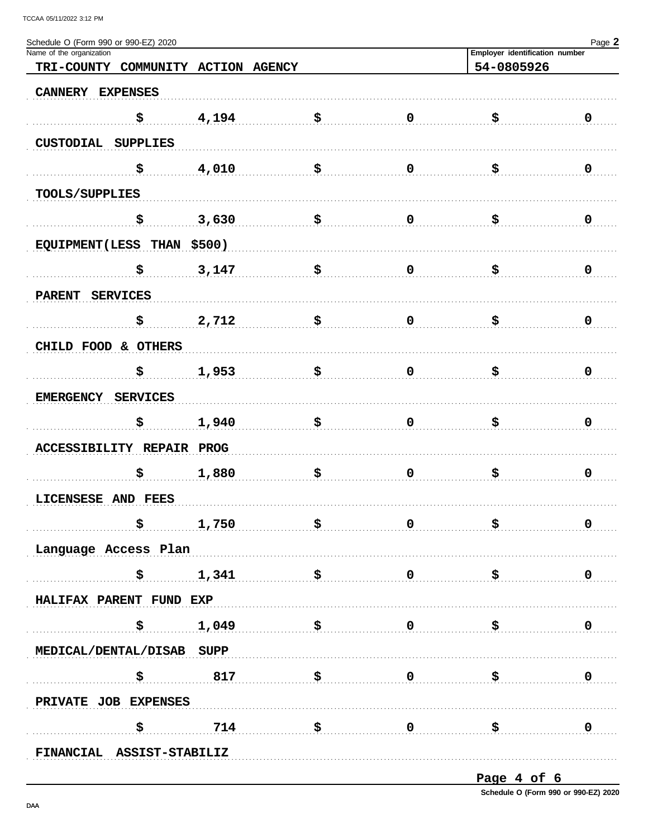| Schedule O (Form 990 or 990-EZ) 2020<br>Name of the organization |                 |                                |             |                                                                | Employer identification number | Page 2                  |
|------------------------------------------------------------------|-----------------|--------------------------------|-------------|----------------------------------------------------------------|--------------------------------|-------------------------|
| TRI-COUNTY                                                       | COMMUNITY       | <b>ACTION</b><br><b>AGENCY</b> |             |                                                                | 54-0805926                     |                         |
|                                                                  |                 |                                |             |                                                                |                                |                         |
| <b>CANNERY</b>                                                   | <b>EXPENSES</b> |                                |             |                                                                |                                |                         |
|                                                                  | \$              | 4,194                          | \$          | $\mathbf 0$                                                    | \$                             | $\mathbf 0$             |
| <b>CUSTODIAL</b>                                                 | <b>SUPPLIES</b> |                                |             |                                                                |                                |                         |
|                                                                  | \$              | 4,010                          | \$          | $\mathbf 0$                                                    | \$                             | $\mathbf 0$             |
| TOOLS/SUPPLIES                                                   |                 |                                |             |                                                                |                                |                         |
|                                                                  |                 |                                |             |                                                                |                                |                         |
|                                                                  | \$              | 3,630                          | \$          | $\mathbf 0$                                                    | \$                             | $\mathbf 0$             |
| EQUIPMENT (LESS THAN                                             |                 | \$500)                         |             |                                                                |                                |                         |
|                                                                  | \$              | 3,147                          | \$          | $\mathbf 0$                                                    | \$                             | 0                       |
| <b>PARENT</b>                                                    | <b>SERVICES</b> |                                |             |                                                                |                                |                         |
|                                                                  | \$              | 2,712                          | \$          | $\mathbf 0$                                                    | \$                             | $\mathbf 0$             |
| CHILD FOOD & OTHERS                                              |                 |                                |             |                                                                |                                |                         |
|                                                                  |                 |                                |             |                                                                |                                |                         |
|                                                                  | \$              | 1,953                          | \$          | $\mathbf 0$                                                    | \$                             | $\mathbf 0$             |
| <b>EMERGENCY</b>                                                 | <b>SERVICES</b> |                                |             |                                                                |                                |                         |
|                                                                  | \$              | 1,940                          | \$          | $\mathbf 0$                                                    | \$                             | 0                       |
| ACCESSIBILITY REPAIR PROG                                        |                 |                                |             |                                                                |                                |                         |
|                                                                  | \$              | 1,880                          | \$          | $\Omega$                                                       | \$                             | 0                       |
| LICENSESE AND FEES                                               |                 |                                |             |                                                                |                                |                         |
|                                                                  |                 |                                |             |                                                                |                                |                         |
| <u>. 이 대표 대표 대표 대표 및 대표 대표 대표 및 대표 대표 및 대표</u>                   |                 |                                | $1,750$ \$  |                                                                |                                | $\mathbf 0$             |
| Language Access Plan                                             |                 |                                |             |                                                                |                                |                         |
|                                                                  | S               | 1,341                          | . \$        | $\overline{\mathbf{0}}$                                        | . \$                           | $\overline{\mathbf{0}}$ |
| HALIFAX PARENT FUND EXP                                          |                 |                                |             |                                                                |                                |                         |
|                                                                  |                 | 1,049                          | . \$        | $\overline{\mathbf{0}}$                                        | ុ\$្                           | $\overline{\mathbf{0}}$ |
| MEDICAL/DENTAL/DISAB SUPP                                        |                 |                                |             |                                                                |                                |                         |
|                                                                  |                 |                                |             |                                                                |                                |                         |
|                                                                  |                 | \$317                          | \$…         | $\mathbf{0}$                                                   | \$.                            | $\mathbf{0}$            |
| PRIVATE JOB EXPENSES                                             |                 |                                |             |                                                                |                                |                         |
|                                                                  | \$              | 714                            | . <b>\$</b> | $\begin{array}{ccc} & & 0 & \dots & \dots & \dots \end{array}$ | $\boldsymbol{\mathsf{S}}$      | $\overline{\mathbf{0}}$ |
| FINANCIAL ASSIST-STABILIZ                                        |                 |                                |             |                                                                |                                |                         |
|                                                                  |                 |                                |             |                                                                |                                |                         |

Page 4 of 6 Schedule O (Form 990 or 990-EZ) 2020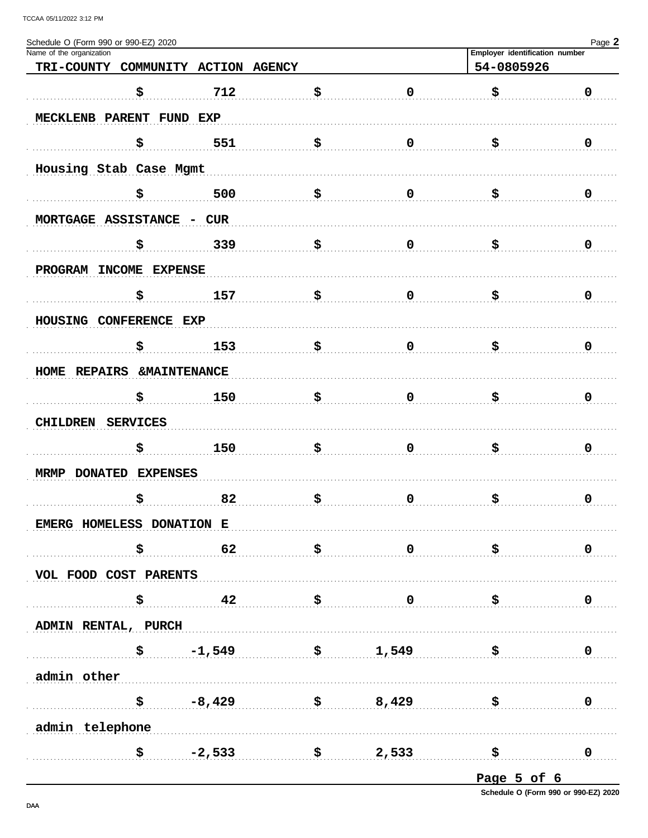| Schedule O (Form 990 or 990-EZ) 2020   |                         |                                        |               |                                                                                                                     |                                              | Page 2                  |
|----------------------------------------|-------------------------|----------------------------------------|---------------|---------------------------------------------------------------------------------------------------------------------|----------------------------------------------|-------------------------|
| Name of the organization<br>TRI-COUNTY | COMMUNITY               | <b>ACTION</b>                          | <b>AGENCY</b> |                                                                                                                     | Employer identification number<br>54-0805926 |                         |
|                                        |                         |                                        |               |                                                                                                                     |                                              |                         |
|                                        | \$                      | 712                                    |               | \$<br>$\pmb{0}$                                                                                                     | \$                                           | $\bf{0}$                |
| MECKLENB PARENT                        | <b>FUND EXP</b>         |                                        |               |                                                                                                                     |                                              |                         |
|                                        | \$                      | 551                                    |               | \$<br>$\pmb{0}$                                                                                                     | \$                                           | $\mathbf 0$             |
| Housing Stab Case Mgmt                 |                         |                                        |               |                                                                                                                     |                                              |                         |
|                                        | \$                      | 500                                    |               | \$<br>$\pmb{0}$                                                                                                     | \$                                           | $\mathbf 0$             |
| MORTGAGE ASSISTANCE                    |                         | <b>CUR</b><br>$\overline{\phantom{a}}$ |               |                                                                                                                     |                                              |                         |
|                                        | \$                      | 339                                    |               | \$<br>$\pmb{0}$                                                                                                     | \$                                           | $\mathbf 0$             |
| PROGRAM INCOME EXPENSE                 |                         |                                        |               |                                                                                                                     |                                              |                         |
|                                        | \$                      | 157                                    |               | \$<br>$\mathbf 0$                                                                                                   | \$                                           | $\mathbf 0$             |
| HOUSING CONFERENCE EXP                 |                         |                                        |               |                                                                                                                     |                                              |                         |
|                                        | \$                      | 153                                    |               | \$<br>$\mathbf 0$                                                                                                   | \$                                           | $\mathbf 0$             |
| <b>HOME REPAIRS</b>                    | <b>&amp;MAINTENANCE</b> |                                        |               |                                                                                                                     |                                              |                         |
|                                        | \$                      | 150                                    |               | \$<br>$\mathbf 0$                                                                                                   | \$                                           | $\mathbf 0$             |
| <b>CHILDREN</b>                        | <b>SERVICES</b>         |                                        |               |                                                                                                                     |                                              |                         |
|                                        | \$                      | 150                                    |               | \$<br>$\mathbf 0$                                                                                                   | \$                                           | $\mathbf 0$             |
| MRMP DONATED                           | <b>EXPENSES</b>         |                                        |               |                                                                                                                     |                                              |                         |
|                                        | \$                      | 82                                     |               | \$<br>$\pmb{0}$                                                                                                     | \$                                           | $\boldsymbol{0}$        |
| EMERG HOMELESS DONATION E              |                         |                                        |               |                                                                                                                     |                                              |                         |
|                                        |                         |                                        |               | $\begin{array}{ccc} \xi \end{array}$ 62 $\begin{array}{ccc} \xi \end{array}$ 0 $\begin{array}{ccc} \xi \end{array}$ |                                              | $\overline{\mathbf{0}}$ |
| VOL FOOD COST PARENTS                  |                         |                                        |               |                                                                                                                     |                                              |                         |
|                                        | $\frac{1}{2}$ 42        |                                        |               | $\begin{matrix} \texttt{S} & \texttt{O} & \texttt{S} \end{matrix}$                                                  |                                              | $\overline{\mathbf{0}}$ |
| ADMIN RENTAL, PURCH                    |                         |                                        |               |                                                                                                                     |                                              |                         |
|                                        |                         |                                        |               | $\frac{1}{549}$ $\frac{-1,549}{549}$ $\frac{1,549}{5}$ $\frac{1,549}{5}$                                            |                                              | $\mathbf 0$             |
| admin other                            |                         |                                        |               |                                                                                                                     |                                              |                         |
|                                        |                         |                                        |               | $\frac{1}{5}$ -8,429 $\frac{1}{5}$ 8,429                                                                            | $\ddot{\mathbf{s}}$                          | $\mathbf 0$             |
| admin telephone                        |                         |                                        |               |                                                                                                                     |                                              |                         |
|                                        |                         |                                        |               | $\frac{1}{5}$ -2,533 $\frac{1}{5}$ 2,533 $\frac{1}{5}$                                                              |                                              | $\overline{\mathbf{0}}$ |
|                                        |                         |                                        |               |                                                                                                                     |                                              |                         |

Page 5 of 6

Schedule O (Form 990 or 990-EZ) 2020